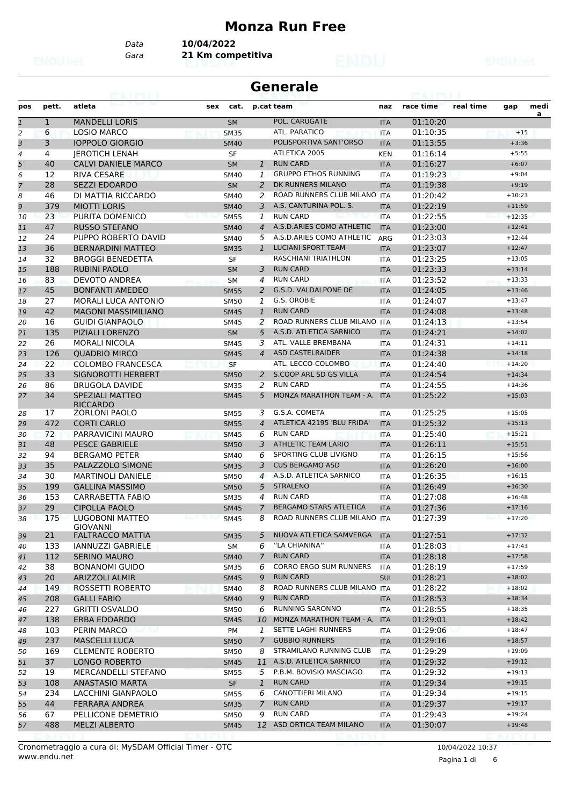#### **Monza Run Free**

*Data* **10/04/2022**

*Gara* **21 Km competitiva**

| <b>Generale</b><br>69. I KYLI |              |                                            |                                    |                |                               |            |           |           |          |           |
|-------------------------------|--------------|--------------------------------------------|------------------------------------|----------------|-------------------------------|------------|-----------|-----------|----------|-----------|
| pos                           | pett.        | atleta                                     | sex<br>cat.                        |                | p.cat team                    | naz        | race time | real time | gap      | medi<br>a |
| $\mathbf{1}$                  | $\mathbf{1}$ | <b>MANDELLI LORIS</b>                      | <b>SM</b>                          |                | POL. CARUGATE                 | <b>ITA</b> | 01:10:20  |           |          |           |
| 2                             | 6            | <b>LOSIO MARCO</b>                         | <b>SM35</b>                        |                | ATL. PARATICO                 | <b>ITA</b> | 01:10:35  |           | $+15$    |           |
| 3                             | 3            | <b>IOPPOLO GIORGIO</b>                     | <b>SM40</b>                        |                | POLISPORTIVA SANT'ORSO        | <b>ITA</b> | 01:13:55  |           | $+3:36$  |           |
| 4                             | 4            | <b>JEROTICH LENAH</b>                      | SF                                 |                | ATLETICA 2005                 | <b>KEN</b> | 01:16:14  |           | $+5:55$  |           |
| 5                             | 40           | <b>CALVI DANIELE MARCO</b>                 | <b>SM</b>                          | $\mathbf{1}$   | <b>RUN CARD</b>               | <b>ITA</b> | 01:16:27  |           | $+6:07$  |           |
| 6                             | 12           | <b>RIVA CESARE</b>                         | <b>SM40</b>                        | 1              | <b>GRUPPO ETHOS RUNNING</b>   | <b>ITA</b> | 01:19:23  |           | $+9:04$  |           |
| 7                             | 28           | <b>SEZZI EDOARDO</b>                       | <b>SM</b>                          | $\overline{2}$ | DK RUNNERS MILANO             | <b>ITA</b> | 01:19:38  |           | $+9:19$  |           |
| 8                             | 46           | DI MATTIA RICCARDO                         | <b>SM40</b>                        | 2              | ROAD RUNNERS CLUB MILANO ITA  |            | 01:20:42  |           | $+10:23$ |           |
| 9                             | 379          | <b>MIOTTI LORIS</b>                        | <b>SM40</b>                        | 3              | A.S. CANTURINA POL. S.        | <b>ITA</b> | 01:22:19  |           | $+11:59$ |           |
| 10                            | 23           | PURITA DOMENICO                            | <b>SM55</b>                        | 1              | <b>RUN CARD</b>               | <b>ITA</b> | 01:22:55  |           | $+12:35$ |           |
| 11                            | 47           | <b>RUSSO STEFANO</b>                       | <b>SM40</b>                        | 4              | A.S.D.ARIES COMO ATHLETIC     | <b>ITA</b> | 01:23:00  |           | $+12:41$ |           |
| 12                            | 24           | PUPPO ROBERTO DAVID                        | SM40                               | 5              | A.S.D.ARIES COMO ATHLETIC     | ARG        | 01:23:03  |           | $+12:44$ |           |
| 13                            | 36           | <b>BERNARDINI MATTEO</b>                   | <b>SM35</b>                        | $\mathbf{1}$   | <b>LUCIANI SPORT TEAM</b>     | <b>ITA</b> | 01:23:07  |           | $+12:47$ |           |
| 14                            | 32           | <b>BROGGI BENEDETTA</b>                    | <b>SF</b>                          |                | RASCHIANI TRIATHLON           | <b>ITA</b> | 01:23:25  |           | $+13:05$ |           |
| 15                            | 188          | <b>RUBINI PAOLO</b>                        | <b>SM</b>                          | 3              | <b>RUN CARD</b>               | <b>ITA</b> | 01:23:33  |           | $+13:14$ |           |
| 16                            | 83           | DEVOTO ANDREA                              | <b>SM</b>                          | 4              | <b>RUN CARD</b>               | <b>ITA</b> | 01:23:52  |           | $+13:33$ |           |
| 17                            | 45           | <b>BONFANTI AMEDEO</b>                     | <b>SM55</b>                        | 2              | G.S.D. VALDALPONE DE          | <b>ITA</b> | 01:24:05  |           | $+13:46$ |           |
| 18                            | 27           | <b>MORALI LUCA ANTONIO</b>                 | <b>SM50</b>                        | 1              | G.S. OROBIE                   | <b>ITA</b> | 01:24:07  |           | $+13:47$ |           |
| 19                            | 42           | <b>MAGONI MASSIMILIANO</b>                 | <b>SM45</b>                        | $\mathbf{1}$   | <b>RUN CARD</b>               | <b>ITA</b> | 01:24:08  |           | $+13:48$ |           |
| 20                            | 16           | <b>GUIDI GIANPAOLO</b>                     | <b>SM45</b>                        | 2              | ROAD RUNNERS CLUB MILANO ITA  |            | 01:24:13  |           | $+13:54$ |           |
| 21                            | 135          | PIZIALI LORENZO                            | <b>SM</b>                          | 5              | A.S.D. ATLETICA SARNICO       | <b>ITA</b> | 01:24:21  |           | $+14:02$ |           |
| 22                            | 26           | <b>MORALI NICOLA</b>                       | <b>SM45</b>                        | 3              | ATL. VALLE BREMBANA           | <b>ITA</b> | 01:24:31  |           | $+14:11$ |           |
| 23                            | 126          | <b>QUADRIO MIRCO</b>                       | <b>SM45</b>                        | 4              | <b>ASD CASTELRAIDER</b>       | <b>ITA</b> | 01:24:38  |           | $+14:18$ |           |
| 24                            | 22           | <b>COLOMBO FRANCESCA</b>                   | <b>SF</b>                          |                | ATL. LECCO-COLOMBO            | <b>ITA</b> | 01:24:40  |           | $+14:20$ |           |
| 25                            | 33           | <b>SIGNOROTTI HERBERT</b>                  | <b>SM50</b>                        | 2              | S.COOP ARL SD GS VILLA        | <b>ITA</b> | 01:24:54  |           | $+14:34$ |           |
| 26                            | 86           | <b>BRUGOLA DAVIDE</b>                      | <b>SM35</b>                        | 2              | <b>RUN CARD</b>               | <b>ITA</b> | 01:24:55  |           | $+14:36$ |           |
| 27                            | 34           | <b>SPEZIALI MATTEO</b>                     | <b>SM45</b>                        | 5              | MONZA MARATHON TEAM - A.      | <b>ITA</b> | 01:25:22  |           | $+15:03$ |           |
|                               |              | <b>RICCARDO</b>                            |                                    |                |                               |            |           |           |          |           |
| 28                            | 17           | <b>ZORLONI PAOLO</b>                       | <b>SM55</b>                        | 3              | G.S.A. COMETA                 | <b>ITA</b> | 01:25:25  |           | $+15:05$ |           |
| 29                            | 472          | <b>CORTI CARLO</b>                         | <b>SM55</b>                        | 4              | ATLETICA 42195 'BLU FRIDA'    | <b>ITA</b> | 01:25:32  |           | $+15:13$ |           |
| 30                            | 72           | PARRAVICINI MAURO                          | <b>SM45</b>                        | 6              | <b>RUN CARD</b>               | <b>ITA</b> | 01:25:40  |           | $+15:21$ |           |
| 31                            | 48           | <b>PESCE GABRIELE</b>                      | <b>SM50</b>                        | 3              | <b>ATHLETIC TEAM LARIO</b>    | <b>ITA</b> | 01:26:11  |           | $+15:51$ |           |
| 32                            | 94           | <b>BERGAMO PETER</b>                       | SM40                               | 6              | SPORTING CLUB LIVIGNO         | <b>ITA</b> | 01:26:15  |           | $+15:56$ |           |
| 33                            | 35           | PALAZZOLO SIMONE                           | <b>SM35</b>                        | 3              | <b>CUS BERGAMO ASD</b>        | <b>ITA</b> | 01:26:20  |           | $+16:00$ |           |
| 34                            | 30           | <b>MARTINOLI DANIELE</b>                   | SM50                               | 4              | A.S.D. ATLETICA SARNICO       | <b>ITA</b> | 01:26:35  |           | $+16:15$ |           |
| 35                            | 199          | <b>GALLINA MASSIMO</b>                     | <b>SM50</b>                        | 5              | <b>STRALENO</b>               | <b>ITA</b> | 01:26:49  |           | $+16:30$ |           |
| 36                            | 153          | CARRABETTA FABIO                           | <b>SM35</b>                        | 4              | <b>RUN CARD</b>               | <b>ITA</b> | 01:27:08  |           | $+16:48$ |           |
| 37                            | 29           | <b>CIPOLLA PAOLO</b>                       | <b>SM45</b>                        | $\overline{7}$ | <b>BERGAMO STARS ATLETICA</b> | <b>ITA</b> | 01:27:36  |           | $+17:16$ |           |
| 38                            | 175          | LUGOBONI MATTEO                            | <b>SM45</b><br><b>MARKET ST 10</b> | 8              | ROAD RUNNERS CLUB MILANO ITA  |            | 01:27:39  |           | $+17:20$ |           |
| 39                            | 21           | <b>GIOVANNI</b><br><b>FALTRACCO MATTIA</b> | <b>SM35</b>                        | 5              | NUOVA ATLETICA SAMVERGA       | <b>ITA</b> | 01:27:51  |           | $+17:32$ |           |
| 40                            | 133          | <b>IANNUZZI GABRIELE</b>                   | SM                                 | 6              | "LA CHIANINA"                 | ITA        | 01:28:03  |           | $+17:43$ |           |
| 41                            | 112          | <b>SERINO MAURO</b>                        | <b>SM40</b>                        | 7              | <b>RUN CARD</b>               | <b>ITA</b> | 01:28:18  |           | $+17:58$ |           |
| 42                            | 38           | <b>BONANOMI GUIDO</b>                      | <b>SM35</b>                        | 6              | CORRO ERGO SUM RUNNERS        | ITA        | 01:28:19  |           | $+17:59$ |           |
| 43                            | 20           | <b>ARIZZOLI ALMIR</b>                      | <b>SM45</b>                        | 9              | <b>RUN CARD</b>               | <b>SUI</b> | 01:28:21  |           | $+18:02$ |           |
| 44                            | 149          | ROSSETTI ROBERTO                           | <b>SM40</b>                        | 8              | ROAD RUNNERS CLUB MILANO ITA  |            | 01:28:22  |           | $+18:02$ |           |
| 45                            | 208          | <b>GALLI FABIO</b>                         | <b>SM40</b>                        | 9              | <b>RUN CARD</b>               | <b>ITA</b> | 01:28:53  |           | $+18:34$ |           |
|                               | 227          | <b>GRITTI OSVALDO</b>                      |                                    | 6              | RUNNING SARONNO               |            |           |           | $+18:35$ |           |
| 46                            |              |                                            | SM50                               |                | MONZA MARATHON TEAM - A.      | ITA        | 01:28:55  |           |          |           |
| 47                            | 138          | ERBA EDOARDO                               | <b>SM45</b>                        | 10             |                               | <b>ITA</b> | 01:29:01  |           | $+18:42$ |           |
| 48                            | 103          | PERIN MARCO                                | PM                                 | $\mathbf{1}$   | SETTE LAGHI RUNNERS           | ITA        | 01:29:06  |           | $+18:47$ |           |
| 49                            | 237          | <b>MASCELLI LUCA</b>                       | <b>SM50</b>                        | $\mathcal{I}$  | <b>GUBBIO RUNNERS</b>         | <b>ITA</b> | 01:29:16  |           | $+18:57$ |           |
| 50                            | 169          | <b>CLEMENTE ROBERTO</b>                    | SM50                               | 8              | STRAMILANO RUNNING CLUB       | ITA        | 01:29:29  |           | $+19:09$ |           |
| 51                            | 37           | LONGO ROBERTO                              | <b>SM45</b>                        |                | 11 A.S.D. ATLETICA SARNICO    | <b>ITA</b> | 01:29:32  |           | $+19:12$ |           |
| 52                            | 19           | MERCANDELLI STEFANO                        | <b>SM55</b>                        | 5              | P.B.M. BOVISIO MASCIAGO       | <b>ITA</b> | 01:29:32  |           | $+19:13$ |           |
| 53                            | 108          | <b>ANASTASIO MARTA</b>                     | SF                                 | $\mathbf{1}$   | <b>RUN CARD</b>               | <b>ITA</b> | 01:29:34  |           | $+19:15$ |           |
| 54                            | 234          | LACCHINI GIANPAOLO                         | <b>SM55</b>                        | 6              | CANOTTIERI MILANO             | ITA        | 01:29:34  |           | $+19:15$ |           |
| 55                            | 44           | FERRARA ANDREA                             | <b>SM35</b>                        | $\overline{7}$ | <b>RUN CARD</b>               | <b>ITA</b> | 01:29:37  |           | $+19:17$ |           |
| 56                            | 67           | PELLICONE DEMETRIO                         | SM50                               | 9              | <b>RUN CARD</b>               | ITA        | 01:29:43  |           | $+19:24$ |           |
| 57                            | 488          | <b>MELZI ALBERTO</b>                       | <b>SM45</b>                        |                | 12 ASD ORTICA TEAM MILANO     | <b>ITA</b> | 01:30:07  |           | $+19:48$ |           |
|                               |              |                                            |                                    |                |                               |            |           |           |          |           |

Pagina 1 di 6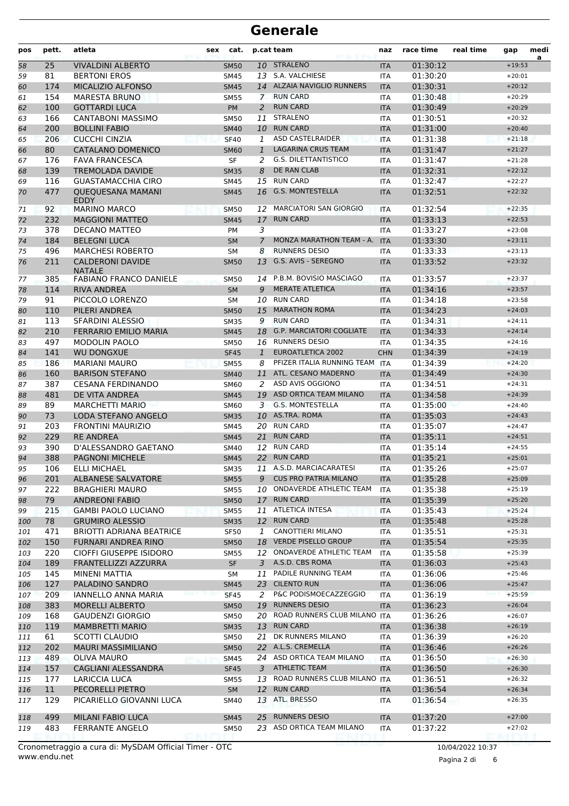| pos | pett. | atleta                                   | sex | cat.        |                | p.cat team                      | naz        | race time | real time | gap      | medi<br>a |
|-----|-------|------------------------------------------|-----|-------------|----------------|---------------------------------|------------|-----------|-----------|----------|-----------|
| 58  | 25    | <b>VIVALDINI ALBERTO</b>                 |     | <b>SM50</b> |                | 10 STRALENO                     | <b>ITA</b> | 01:30:12  |           | $+19:53$ |           |
| 59  | 81    | <b>BERTONI EROS</b>                      |     | <b>SM45</b> |                | 13 S.A. VALCHIESE               | <b>ITA</b> | 01:30:20  |           | $+20:01$ |           |
| 60  | 174   | MICALIZIO ALFONSO                        |     | <b>SM45</b> |                | 14 ALZAIA NAVIGLIO RUNNERS      | <b>ITA</b> | 01:30:31  |           | $+20:12$ |           |
| 61  | 154   | <b>MARESTA BRUNO</b>                     |     | <b>SM55</b> | $\mathbf{7}$   | <b>RUN CARD</b>                 | <b>ITA</b> | 01:30:48  |           | $+20:29$ |           |
| 62  | 100   | <b>GOTTARDI LUCA</b>                     |     | <b>PM</b>   | 2              | <b>RUN CARD</b>                 | <b>ITA</b> | 01:30:49  |           | $+20:29$ |           |
| 63  | 166   | <b>CANTABONI MASSIMO</b>                 |     | <b>SM50</b> | 11             | <b>STRALENO</b>                 | <b>ITA</b> | 01:30:51  |           | $+20:32$ |           |
| 64  | 200   | <b>BOLLINI FABIO</b>                     |     | <b>SM40</b> | 10             | <b>RUN CARD</b>                 | <b>ITA</b> | 01:31:00  |           | $+20:40$ |           |
| 65  | 206   | <b>CUCCHI CINZIA</b>                     |     | <b>SF40</b> | 1              | <b>ASD CASTELRAIDER</b>         | <b>ITA</b> | 01:31:38  |           | $+21:18$ |           |
| 66  | 80    | <b>CATALANO DOMENICO</b>                 |     | <b>SM60</b> | $\mathbf{1}$   | <b>LAGARINA CRUS TEAM</b>       | <b>ITA</b> | 01:31:47  |           | $+21:27$ |           |
| 67  | 176   | <b>FAVA FRANCESCA</b>                    |     | <b>SF</b>   | 2              | G.S. DILETTANTISTICO            | <b>ITA</b> | 01:31:47  |           | $+21:28$ |           |
| 68  | 139   | <b>TREMOLADA DAVIDE</b>                  |     | <b>SM35</b> | 8              | <b>DE RAN CLAB</b>              | <b>ITA</b> | 01:32:31  |           | $+22:12$ |           |
| 69  | 116   | <b>GUASTAMACCHIA CIRO</b>                |     | SM45        | 15             | <b>RUN CARD</b>                 | <b>ITA</b> | 01:32:47  |           | $+22:27$ |           |
| 70  | 477   | <b>QUEQUESANA MAMANI</b><br><b>EDDY</b>  |     | <b>SM45</b> | 16             | <b>G.S. MONTESTELLA</b>         | <b>ITA</b> | 01:32:51  |           | $+22:32$ |           |
| 71  | 92    | <b>MARINO MARCO</b>                      |     | <b>SM50</b> | 12             | <b>MARCIATORI SAN GIORGIO</b>   | <b>ITA</b> | 01:32:54  |           | $+22:35$ |           |
| 72  | 232   | <b>MAGGIONI MATTEO</b>                   |     | <b>SM45</b> | 17             | <b>RUN CARD</b>                 | <b>ITA</b> | 01:33:13  |           | $+22:53$ |           |
| 73  | 378   | DECANO MATTEO                            |     | PM          | 3              |                                 | <b>ITA</b> | 01:33:27  |           | $+23:08$ |           |
| 74  | 184   | <b>BELEGNI LUCA</b>                      |     | <b>SM</b>   | $\overline{7}$ | <b>MONZA MARATHON TEAM - A.</b> | <b>ITA</b> | 01:33:30  |           | $+23:11$ |           |
| 75  | 496   | <b>MARCHESI ROBERTO</b>                  |     | <b>SM</b>   | 8              | <b>RUNNERS DESIO</b>            | <b>ITA</b> | 01:33:33  |           | $+23:13$ |           |
| 76  | 211   | <b>CALDERONI DAVIDE</b><br><b>NATALE</b> |     | <b>SM50</b> | 13             | G.S. AVIS - SEREGNO             | <b>ITA</b> | 01:33:52  |           | $+23:32$ |           |
| 77  | 385   | <b>FABIANO FRANCO DANIELE</b>            |     | <b>SM50</b> | 14             | P.B.M. BOVISIO MASCIAGO         | <b>ITA</b> | 01:33:57  |           | $+23:37$ |           |
| 78  | 114   | <b>RIVA ANDREA</b>                       |     | <b>SM</b>   | 9              | <b>MERATE ATLETICA</b>          | <b>ITA</b> | 01:34:16  |           | $+23:57$ |           |
| 79  | 91    | PICCOLO LORENZO                          |     | <b>SM</b>   |                | 10 RUN CARD                     | <b>ITA</b> | 01:34:18  |           | $+23:58$ |           |
| 80  | 110   | PILERI ANDREA                            |     | <b>SM50</b> | 15             | <b>MARATHON ROMA</b>            | <b>ITA</b> | 01:34:23  |           | $+24:03$ |           |
| 81  | 113   | SFARDINI ALESSIO                         |     | <b>SM35</b> | 9              | <b>RUN CARD</b>                 | <b>ITA</b> | 01:34:31  |           | $+24:11$ |           |
| 82  | 210   | <b>FERRARIO EMILIO MARIA</b>             |     | <b>SM45</b> | 18             | <b>G.P. MARCIATORI COGLIATE</b> | <b>ITA</b> | 01:34:33  |           | $+24:14$ |           |
| 83  | 497   | <b>MODOLIN PAOLO</b>                     |     | SM50        |                | 16 RUNNERS DESIO                | <b>ITA</b> | 01:34:35  |           | $+24:16$ |           |
| 84  | 141   | <b>WU DONGXUE</b>                        |     | <b>SF45</b> | 1              | <b>EUROATLETICA 2002</b>        | <b>CHN</b> | 01:34:39  |           | $+24:19$ |           |
| 85  | 186   | <b>MARIANI MAURO</b>                     |     | <b>SM55</b> | 8              | PFIZER ITALIA RUNNING TEAM      | <b>ITA</b> | 01:34:39  |           | $+24:20$ |           |
| 86  | 160   | <b>BARISON STEFANO</b>                   |     | <b>SM40</b> | 11             | ATL. CESANO MADERNO             | <b>ITA</b> | 01:34:49  |           | $+24:30$ |           |
| 87  | 387   | <b>CESANA FERDINANDO</b>                 |     | <b>SM60</b> | 2              | ASD AVIS OGGIONO                | <b>ITA</b> | 01:34:51  |           | $+24:31$ |           |
| 88  | 481   | DE VITA ANDREA                           |     | <b>SM45</b> | 19             | ASD ORTICA TEAM MILANO          | <b>ITA</b> | 01:34:58  |           | $+24:39$ |           |
| 89  | 89    | <b>MARCHETTI MARIO</b>                   |     | SM60        | 3              | <b>G.S. MONTESTELLA</b>         | <b>ITA</b> | 01:35:00  |           | $+24:40$ |           |
| 90  | 73    | LODA STEFANO ANGELO                      |     | <b>SM35</b> | 10             | AS.TRA. ROMA                    | <b>ITA</b> | 01:35:03  |           | $+24:43$ |           |
| 91  | 203   | <b>FRONTINI MAURIZIO</b>                 |     | <b>SM45</b> |                | 20 RUN CARD                     | <b>ITA</b> | 01:35:07  |           | $+24:47$ |           |
| 92  | 229   | <b>RE ANDREA</b>                         |     | <b>SM45</b> | 21             | <b>RUN CARD</b>                 | <b>ITA</b> | 01:35:11  |           | $+24:51$ |           |
| 93  | 390   | D'ALESSANDRO GAETANO                     |     | SM40        | 12             | <b>RUN CARD</b>                 | <b>ITA</b> | 01:35:14  |           | $+24:55$ |           |
| 94  | 388   | <b>PAGNONI MICHELE</b>                   |     | <b>SM45</b> |                | 22 RUN CARD                     | <b>ITA</b> | 01:35:21  |           | $+25:01$ |           |
| 95  | 106   | <b>ELLI MICHAEL</b>                      |     | <b>SM35</b> |                | 11 A.S.D. MARCIACARATESI        | <b>ITA</b> | 01:35:26  |           | $+25:07$ |           |
| 96  | 201   | <b>ALBANESE SALVATORE</b>                |     | <b>SM55</b> | 9              | <b>CUS PRO PATRIA MILANO</b>    | <b>ITA</b> | 01:35:28  |           | $+25:09$ |           |
| 97  | 222   | <b>BRAGHIERI MAURO</b>                   |     | <b>SM55</b> |                | 10 ONDAVERDE ATHLETIC TEAM      | <b>ITA</b> | 01:35:38  |           | $+25:19$ |           |
| 98  | 79    | <b>ANDREONI FABIO</b>                    |     | <b>SM50</b> |                | 17 RUN CARD                     | <b>ITA</b> | 01:35:39  |           | $+25:20$ |           |
| 99  | 215   | <b>GAMBI PAOLO LUCIANO</b>               |     | <b>SM55</b> | 11             | <b>ATLETICA INTESA</b>          | <b>ITA</b> | 01:35:43  |           | $+25:24$ |           |
| 100 | 78    | <b>GRUMIRO ALESSIO</b>                   |     | <b>SM35</b> |                | 12 RUN CARD                     | <b>ITA</b> | 01:35:48  |           | $+25:28$ |           |
| 101 | 471   | <b>BRIOTTI ADRIANA BEATRICE</b>          |     | SF50        | 1              | CANOTTIERI MILANO               | <b>ITA</b> | 01:35:51  |           | $+25:31$ |           |
| 102 | 150   | FURNARI ANDREA RINO                      |     | <b>SM50</b> | 18             | VERDE PISELLO GROUP             | <b>ITA</b> | 01:35:54  |           | $+25:35$ |           |
| 103 | 220   | CIOFFI GIUSEPPE ISIDORO                  |     | <b>SM55</b> |                | 12 ONDAVERDE ATHLETIC TEAM      | <b>ITA</b> | 01:35:58  |           | $+25:39$ |           |
| 104 | 189   | FRANTELLIZZI AZZURRA                     |     | <b>SF</b>   | 3              | A.S.D. CBS ROMA                 | <b>ITA</b> | 01:36:03  |           | $+25:43$ |           |
| 105 | 145   | MINENI MATTIA                            |     | SM          | 11             | PADILE RUNNING TEAM             | <b>ITA</b> | 01:36:06  |           | $+25:46$ |           |
| 106 | 127   | PALADINO SANDRO                          |     | <b>SM45</b> | 23             | <b>CILENTO RUN</b>              | <b>ITA</b> | 01:36:06  |           | $+25:47$ |           |
| 107 | 209   | IANNELLO ANNA MARIA                      |     | <b>SF45</b> | 2              | P&C PODISMOECAZZEGGIO           | <b>ITA</b> | 01:36:19  |           | $+25:59$ |           |
| 108 | 383   | <b>MORELLI ALBERTO</b>                   |     | <b>SM50</b> | 19             | <b>RUNNERS DESIO</b>            | <b>ITA</b> | 01:36:23  |           | $+26:04$ |           |
| 109 | 168   | <b>GAUDENZI GIORGIO</b>                  |     | <b>SM50</b> |                | 20 ROAD RUNNERS CLUB MILANO ITA |            | 01:36:26  |           | $+26:07$ |           |
| 110 | 119   | <b>MAMBRETTI MARIO</b>                   |     | <b>SM35</b> |                | 13 RUN CARD                     | <b>ITA</b> | 01:36:38  |           | $+26:19$ |           |
| 111 | 61    | SCOTTI CLAUDIO                           |     | <b>SM50</b> | 21             | DK RUNNERS MILANO               | ITA        | 01:36:39  |           | $+26:20$ |           |
| 112 | 202   | <b>MAURI MASSIMILIANO</b>                |     | <b>SM50</b> |                | 22 A.L.S. CREMELLA              | <b>ITA</b> | 01:36:46  |           | $+26:26$ |           |
| 113 | 489   | <b>OLIVA MAURO</b>                       |     | <b>SM45</b> |                | 24 ASD ORTICA TEAM MILANO       | ITA        | 01:36:50  |           | $+26:30$ |           |
| 114 | 157   | CAGLIANI ALESSANDRA                      |     | <b>SF45</b> | 3              | <b>ATHLETIC TEAM</b>            | <b>ITA</b> | 01:36:50  |           | $+26:30$ |           |
| 115 | 177   | LARICCIA LUCA                            |     | <b>SM55</b> |                | 13 ROAD RUNNERS CLUB MILANO ITA |            | 01:36:51  |           | $+26:32$ |           |
| 116 | 11    | PECORELLI PIETRO                         |     | SM          |                | 12 RUN CARD                     | <b>ITA</b> | 01:36:54  |           | $+26:34$ |           |
| 117 | 129   | PICARIELLO GIOVANNI LUCA                 |     | SM40        |                | 13 ATL. BRESSO                  | ITA        | 01:36:54  |           | $+26:35$ |           |
| 118 | 499   | MILANI FABIO LUCA                        |     | <b>SM45</b> | 25             | <b>RUNNERS DESIO</b>            | <b>ITA</b> | 01:37:20  |           | $+27:00$ |           |
| 119 | 483   | FERRANTE ANGELO                          |     | <b>SM50</b> |                | 23 ASD ORTICA TEAM MILANO       | ITA        | 01:37:22  |           | $+27:02$ |           |

Pagina 2 di 6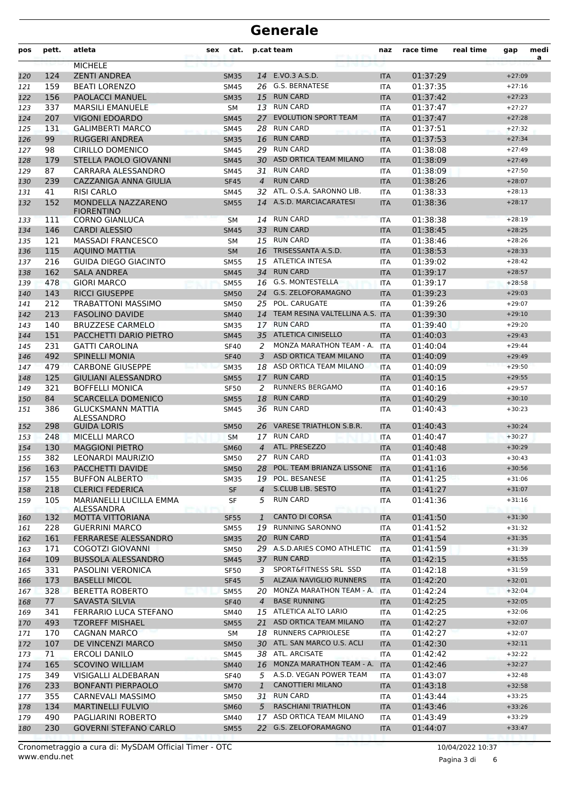| pos | pett. | atleta                                  | sex | cat.        |                | p.cat team                         | naz        | race time | real time | gap      | medi<br>a |
|-----|-------|-----------------------------------------|-----|-------------|----------------|------------------------------------|------------|-----------|-----------|----------|-----------|
|     |       | <b>MICHELE</b>                          |     |             |                |                                    |            |           |           |          |           |
| 120 | 124   | <b>ZENTI ANDREA</b>                     |     | <b>SM35</b> |                | 14 E.VO.3 A.S.D.                   | <b>ITA</b> | 01:37:29  |           | $+27:09$ |           |
| 121 | 159   | <b>BEATI LORENZO</b>                    |     | <b>SM45</b> | 26             | G.S. BERNATESE                     | <b>ITA</b> | 01:37:35  |           | $+27:16$ |           |
| 122 | 156   | <b>PAOLACCI MANUEL</b>                  |     | <b>SM35</b> | 15             | <b>RUN CARD</b>                    | <b>ITA</b> | 01:37:42  |           | $+27:23$ |           |
| 123 | 337   | <b>MARSILI EMANUELE</b>                 |     | <b>SM</b>   |                | 13 RUN CARD                        | <b>ITA</b> | 01:37:47  |           | $+27:27$ |           |
| 124 | 207   | <b>VIGONI EDOARDO</b>                   |     | <b>SM45</b> | 27             | <b>EVOLUTION SPORT TEAM</b>        | <b>ITA</b> | 01:37:47  |           | $+27:28$ |           |
| 125 | 131   | <b>GALIMBERTI MARCO</b>                 |     | <b>SM45</b> | 28             | <b>RUN CARD</b>                    | <b>ITA</b> | 01:37:51  |           | $+27:32$ |           |
| 126 | 99    | <b>RUGGERI ANDREA</b>                   |     | <b>SM35</b> | 16             | <b>RUN CARD</b>                    | <b>ITA</b> | 01:37:53  |           | $+27:34$ |           |
| 127 | 98    | <b>CIRILLO DOMENICO</b>                 |     | SM45        | 29             | <b>RUN CARD</b>                    | <b>ITA</b> | 01:38:08  |           | $+27:49$ |           |
| 128 | 179   | STELLA PAOLO GIOVANNI                   |     | <b>SM45</b> | 30             | ASD ORTICA TEAM MILANO             | <b>ITA</b> | 01:38:09  |           | $+27:49$ |           |
| 129 | 87    | CARRARA ALESSANDRO                      |     | <b>SM45</b> | 31             | <b>RUN CARD</b>                    | <b>ITA</b> | 01:38:09  |           | $+27:50$ |           |
| 130 | 239   | CAZZANIGA ANNA GIULIA                   |     | <b>SF45</b> | $\overline{4}$ | <b>RUN CARD</b>                    | <b>ITA</b> | 01:38:26  |           | $+28:07$ |           |
| 131 | 41    | <b>RISI CARLO</b>                       |     | <b>SM45</b> | 32             | ATL. O.S.A. SARONNO LIB.           | <b>ITA</b> | 01:38:33  |           | $+28:13$ |           |
| 132 | 152   | MONDELLA NAZZARENO<br><b>FIORENTINO</b> |     | <b>SM55</b> | 14             | A.S.D. MARCIACARATESI              | <b>ITA</b> | 01:38:36  |           | $+28:17$ |           |
| 133 | 111   | <b>CORNO GIANLUCA</b>                   |     | <b>SM</b>   | 14             | <b>RUN CARD</b>                    | <b>ITA</b> | 01:38:38  |           | $+28:19$ |           |
| 134 | 146   | <b>CARDI ALESSIO</b>                    |     | <b>SM45</b> | 33             | <b>RUN CARD</b>                    | <b>ITA</b> | 01:38:45  |           | $+28:25$ |           |
| 135 | 121   | <b>MASSADI FRANCESCO</b>                |     | <b>SM</b>   | 15             | <b>RUN CARD</b>                    | <b>ITA</b> | 01:38:46  |           | $+28:26$ |           |
| 136 | 115   | <b>AQUINO MATTIA</b>                    |     | <b>SM</b>   | 16             | TRISESSANTA A.S.D.                 | <b>ITA</b> | 01:38:53  |           | $+28:33$ |           |
| 137 | 216   | <b>GUIDA DIEGO GIACINTO</b>             |     | <b>SM55</b> | 15             | <b>ATLETICA INTESA</b>             | <b>ITA</b> | 01:39:02  |           | $+28:42$ |           |
| 138 | 162   | <b>SALA ANDREA</b>                      |     | <b>SM45</b> | 34             | <b>RUN CARD</b>                    | <b>ITA</b> | 01:39:17  |           | $+28:57$ |           |
| 139 | 478   | <b>GIORI MARCO</b>                      |     | <b>SM55</b> |                | 16 G.S. MONTESTELLA                | <b>ITA</b> | 01:39:17  |           | $+28:58$ |           |
| 140 | 143   | <b>RICCI GIUSEPPE</b>                   |     | <b>SM50</b> | 24             | <b>G.S. ZELOFORAMAGNO</b>          | <b>ITA</b> | 01:39:23  |           | $+29:03$ |           |
| 141 | 212   | <b>TRABATTONI MASSIMO</b>               |     | <b>SM50</b> | 25             | POL. CARUGATE                      | <b>ITA</b> | 01:39:26  |           | $+29:07$ |           |
| 142 | 213   | <b>FASOLINO DAVIDE</b>                  |     | <b>SM40</b> |                | 14 TEAM RESINA VALTELLINA A.S. ITA |            | 01:39:30  |           | $+29:10$ |           |
| 143 | 140   | <b>BRUZZESE CARMELO</b>                 |     | <b>SM35</b> |                | 17 RUN CARD                        | <b>ITA</b> | 01:39:40  |           | $+29:20$ |           |
| 144 | 151   | PACCHETTI DARIO PIETRO                  |     | <b>SM45</b> |                | 35 ATLETICA CINISELLO              | <b>ITA</b> | 01:40:03  |           | $+29:43$ |           |
| 145 | 231   | <b>GATTI CAROLINA</b>                   |     | <b>SF40</b> | 2              | MONZA MARATHON TEAM - A.           | <b>ITA</b> | 01:40:04  |           | $+29:44$ |           |
| 146 | 492   | <b>SPINELLI MONIA</b>                   |     | <b>SF40</b> | 3              | ASD ORTICA TEAM MILANO             | <b>ITA</b> | 01:40:09  |           | $+29:49$ |           |
| 147 | 479   | <b>CARBONE GIUSEPPE</b>                 |     | <b>SM35</b> | 18             | ASD ORTICA TEAM MILANO             | <b>ITA</b> | 01:40:09  |           | $+29:50$ |           |
| 148 | 125   | <b>GIULIANI ALESSANDRO</b>              |     | <b>SM55</b> | 17             | <b>RUN CARD</b>                    | <b>ITA</b> | 01:40:15  |           | $+29:55$ |           |
| 149 | 321   | <b>BOFFELLI MONICA</b>                  |     | <b>SF50</b> | 2              | <b>RUNNERS BERGAMO</b>             | <b>ITA</b> | 01:40:16  |           | $+29:57$ |           |
| 150 | 84    | <b>SCARCELLA DOMENICO</b>               |     | <b>SM55</b> | 18             | <b>RUN CARD</b>                    | <b>ITA</b> | 01:40:29  |           | $+30:10$ |           |
| 151 | 386   | <b>GLUCKSMANN MATTIA</b><br>ALESSANDRO  |     | SM45        | 36             | <b>RUN CARD</b>                    | <b>ITA</b> | 01:40:43  |           | $+30:23$ |           |
| 152 | 298   | <b>GUIDA LORIS</b>                      |     | <b>SM50</b> | 26             | <b>VARESE TRIATHLON S.B.R.</b>     | <b>ITA</b> | 01:40:43  |           | $+30:24$ |           |
| 153 | 248   | <b>MICELLI MARCO</b>                    |     | <b>SM</b>   | 17             | <b>RUN CARD</b>                    | <b>ITA</b> | 01:40:47  |           | $+30:27$ |           |
| 154 | 130   | <b>MAGGIONI PIETRO</b>                  |     | <b>SM60</b> | 4              | ATL. PRESEZZO                      | <b>ITA</b> | 01:40:48  |           | $+30:29$ |           |
| 155 | 382   | LEONARDI MAURIZIO                       |     | SM50        | 27             | <b>RUN CARD</b>                    | <b>ITA</b> | 01:41:03  |           | $+30:43$ |           |
| 156 | 163   | PACCHETTI DAVIDE                        |     | <b>SM50</b> | 28             | POL. TEAM BRIANZA LISSONE          | <b>ITA</b> | 01:41:16  |           | $+30:56$ |           |
| 157 | 155   | <b>BUFFON ALBERTO</b>                   |     | <b>SM35</b> |                | 19 POL. BESANESE                   | <b>ITA</b> | 01:41:25  |           | $+31:06$ |           |
| 158 | 218   | <b>CLERICI FEDERICA</b>                 |     | <b>SF</b>   | $\overline{4}$ | S.CLUB LIB. SESTO                  | <b>ITA</b> | 01:41:27  |           | $+31:07$ |           |
| 159 | 105   | MARIANELLI LUCILLA EMMA<br>ALESSANDRA   |     | SF          | 5              | <b>RUN CARD</b>                    | ITA        | 01:41:36  |           | $+31:16$ |           |
| 160 | 132   | MOTTA VITTORIANA                        |     | <b>SF55</b> | $\mathbf{1}$   | <b>CANTO DI CORSA</b>              | <b>ITA</b> | 01:41:50  |           | $+31:30$ |           |
| 161 | 228   | <b>GUERRINI MARCO</b>                   |     | <b>SM55</b> | 19             | <b>RUNNING SARONNO</b>             | ITA        | 01:41:52  |           | $+31:32$ |           |
| 162 | 161   | FERRARESE ALESSANDRO                    |     | <b>SM35</b> |                | 20 RUN CARD                        | <b>ITA</b> | 01:41:54  |           | $+31:35$ |           |
| 163 | 171   | COGOTZI GIOVANNI                        |     | SM50        |                | 29 A.S.D.ARIES COMO ATHLETIC       | <b>ITA</b> | 01:41:59  |           | $+31:39$ |           |
| 164 | 109   | <b>BUSSOLA ALESSANDRO</b>               |     | <b>SM45</b> |                | 37 RUN CARD                        | <b>ITA</b> | 01:42:15  |           | $+31:55$ |           |
| 165 | 331   | PASOLINI VERONICA                       |     | <b>SF50</b> | 3              | SPORT&FITNESS SRL SSD              | <b>ITA</b> | 01:42:18  |           | $+31:59$ |           |
| 166 | 173   | <b>BASELLI MICOL</b>                    |     | <b>SF45</b> | 5              | ALZAIA NAVIGLIO RUNNERS            | <b>ITA</b> | 01:42:20  |           | $+32:01$ |           |
| 167 | 328   | <b>BERETTA ROBERTO</b>                  |     | <b>SM55</b> | 20             | MONZA MARATHON TEAM - A.           | <b>ITA</b> | 01:42:24  |           | $+32:04$ |           |
| 168 | 77    | <b>SAVASTA SILVIA</b>                   |     | <b>SF40</b> | $\overline{4}$ | <b>BASE RUNNING</b>                | <b>ITA</b> | 01:42:25  |           | $+32:05$ |           |
| 169 | 341   | FERRARIO LUCA STEFANO                   |     | SM40        |                | 15 ATLETICA ALTO LARIO             | ITA        | 01:42:25  |           | $+32:06$ |           |
| 170 | 493   | <b>TZOREFF MISHAEL</b>                  |     | <b>SM55</b> | 21             | ASD ORTICA TEAM MILANO             | <b>ITA</b> | 01:42:27  |           | $+32:07$ |           |
| 171 | 170   | <b>CAGNAN MARCO</b>                     |     | SM          |                | 18 RUNNERS CAPRIOLESE              | <b>ITA</b> | 01:42:27  |           | $+32:07$ |           |
| 172 | 107   | DE VINCENZI MARCO                       |     | <b>SM50</b> | 30             | ATL. SAN MARCO U.S. ACLI           | <b>ITA</b> | 01:42:30  |           | $+32:11$ |           |
| 173 | 71    | ERCOLI DANILO                           |     | SM45        |                | 38 ATL. ARCISATE                   | ITA        | 01:42:42  |           | $+32:22$ |           |
| 174 | 165   | <b>SCOVINO WILLIAM</b>                  |     | <b>SM40</b> | 16             | MONZA MARATHON TEAM - A.           | <b>ITA</b> | 01:42:46  |           | $+32:27$ |           |
| 175 | 349   | VISIGALLI ALDEBARAN                     |     | <b>SF40</b> | 5              | A.S.D. VEGAN POWER TEAM            | ITA        | 01:43:07  |           | $+32:48$ |           |
| 176 | 233   | <b>BONFANTI PIERPAOLO</b>               |     | <b>SM70</b> | $\mathbf{1}$   | <b>CANOTTIERI MILANO</b>           | <b>ITA</b> | 01:43:18  |           | $+32:58$ |           |
| 177 | 355   | CARNEVALI MASSIMO                       |     | SM50        |                | 31 RUN CARD                        | ITA        | 01:43:44  |           | $+33:25$ |           |
| 178 | 134   | <b>MARTINELLI FULVIO</b>                |     | <b>SM60</b> | 5 <sup>5</sup> | <b>RASCHIANI TRIATHLON</b>         | <b>ITA</b> | 01:43:46  |           | $+33:26$ |           |
| 179 | 490   | PAGLIARINI ROBERTO                      |     | SM40        | 17             | ASD ORTICA TEAM MILANO             | ITA        | 01:43:49  |           | $+33:29$ |           |
| 180 | 230   | <b>GOVERNI STEFANO CARLO</b>            |     | <b>SM55</b> |                | 22 G.S. ZELOFORAMAGNO              | <b>ITA</b> | 01:44:07  |           | $+33:47$ |           |
|     |       |                                         |     |             |                |                                    |            |           |           |          |           |

Pagina 3 di 6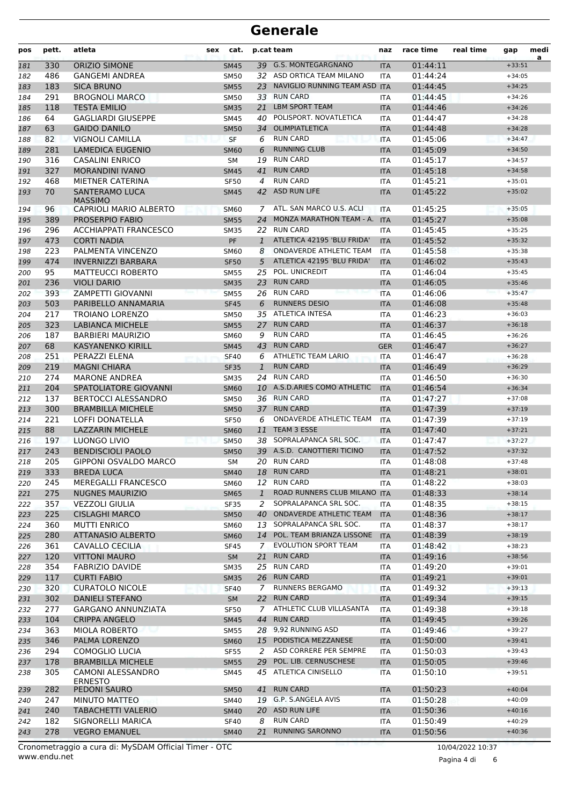| pos        | pett.      | atleta                                          | sex | cat.                       |                | p.cat team                                                 | naz                      | race time            | real time | gap                  | medi<br>a |
|------------|------------|-------------------------------------------------|-----|----------------------------|----------------|------------------------------------------------------------|--------------------------|----------------------|-----------|----------------------|-----------|
| 181        | 330        | <b>ORIZIO SIMONE</b>                            |     | <b>SM45</b>                |                | 39 G.S. MONTEGARGNANO                                      | <b>ITA</b>               | 01:44:11             |           | $+33:51$             |           |
| 182        | 486        | <b>GANGEMI ANDREA</b>                           |     | <b>SM50</b>                |                | 32 ASD ORTICA TEAM MILANO                                  | <b>ITA</b>               | 01:44:24             |           | $+34:05$             |           |
| 183        | 183        | <b>SICA BRUNO</b>                               |     | <b>SM55</b>                | 23             | NAVIGLIO RUNNING TEAM ASD ITA                              |                          | 01:44:45             |           | $+34:25$             |           |
| 184        | 291        | <b>BROGNOLI MARCO</b>                           |     | <b>SM50</b>                | 33             | <b>RUN CARD</b>                                            | <b>ITA</b>               | 01:44:45             |           | $+34:26$             |           |
| 185        | 118        | TESTA EMILIO                                    |     | <b>SM35</b>                | 21             | <b>LBM SPORT TEAM</b>                                      | <b>ITA</b>               | 01:44:46             |           | $+34:26$             |           |
| 186        | 64         | <b>GAGLIARDI GIUSEPPE</b>                       |     | <b>SM45</b>                | 40             | POLISPORT. NOVATLETICA                                     | <b>ITA</b>               | 01:44:47             |           | $+34:28$             |           |
| 187        | 63         | <b>GAIDO DANILO</b>                             |     | <b>SM50</b>                | 34             | <b>OLIMPIATLETICA</b>                                      | <b>ITA</b>               | 01:44:48             |           | $+34:28$             |           |
| 188        | 82         | VIGNOLI CAMILLA                                 |     | <b>SF</b>                  | 6              | <b>RUN CARD</b>                                            | <b>ITA</b>               | 01:45:06             |           | $+34:47$             |           |
| 189        | 281        | LAMEDICA EUGENIO                                |     | <b>SM60</b>                | 6              | <b>RUNNING CLUB</b>                                        | <b>ITA</b>               | 01:45:09             |           | $+34:50$             |           |
| 190        | 316        | <b>CASALINI ENRICO</b>                          |     | SM                         | 19             | <b>RUN CARD</b>                                            | <b>ITA</b>               | 01:45:17             |           | $+34:57$             |           |
| 191        | 327        | <b>MORANDINI IVANO</b>                          |     | <b>SM45</b>                | 41             | <b>RUN CARD</b>                                            | <b>ITA</b>               | 01:45:18             |           | $+34:58$             |           |
| 192        | 468        | MIETNER CATERINA                                |     | <b>SF50</b>                | 4              | <b>RUN CARD</b><br><b>ASD RUN LIFE</b>                     | <b>ITA</b>               | 01:45:21             |           | $+35:01$<br>$+35:02$ |           |
| 193        | 70         | <b>SANTERAMO LUCA</b><br><b>MASSIMO</b>         |     | <b>SM45</b>                | 42             |                                                            | <b>ITA</b>               | 01:45:22             |           |                      |           |
| 194        | 96         | <b>CAPRIOLI MARIO ALBERTO</b>                   |     | <b>SM60</b>                | 7              | ATL. SAN MARCO U.S. ACLI                                   | <b>ITA</b>               | 01:45:25             |           | $+35:05$             |           |
| 195        | 389        | <b>PROSERPIO FABIO</b>                          |     | <b>SM55</b>                | 24             | MONZA MARATHON TEAM - A.                                   | <b>ITA</b>               | 01:45:27             |           | $+35:08$             |           |
| 196        | 296        | <b>ACCHIAPPATI FRANCESCO</b>                    |     | <b>SM35</b>                |                | 22 RUN CARD                                                | <b>ITA</b>               | 01:45:45             |           | $+35:25$             |           |
| 197        | 473        | <b>CORTI NADIA</b>                              |     | <b>PF</b>                  | $\mathbf{1}$   | ATLETICA 42195 'BLU FRIDA'                                 | <b>ITA</b>               | 01:45:52             |           | $+35:32$             |           |
| 198        | 223        | PALMENTA VINCENZO                               |     | <b>SM60</b>                | 8              | <b>ONDAVERDE ATHLETIC TEAM</b>                             | <b>ITA</b>               | 01:45:58             |           | $+35:38$             |           |
| 199        | 474        | <b>INVERNIZZI BARBARA</b>                       |     | <b>SF50</b>                | 5              | ATLETICA 42195 'BLU FRIDA'<br>POL. UNICREDIT               | <b>ITA</b>               | 01:46:02             |           | $+35:43$             |           |
| 200        | 95<br>236  | <b>MATTEUCCI ROBERTO</b>                        |     | <b>SM55</b>                | 25<br>23       | <b>RUN CARD</b>                                            | <b>ITA</b>               | 01:46:04<br>01:46:05 |           | $+35:45$             |           |
| 201        | 393        | <b>VIOLI DARIO</b><br><b>ZAMPETTI GIOVANNI</b>  |     | <b>SM35</b><br><b>SM55</b> |                | 26 RUN CARD                                                | <b>ITA</b><br><b>ITA</b> | 01:46:06             |           | $+35:46$<br>$+35:47$ |           |
| 202<br>203 | 503        | PARIBELLO ANNAMARIA                             |     | <b>SF45</b>                | 6              | <b>RUNNERS DESIO</b>                                       | <b>ITA</b>               | 01:46:08             |           | $+35:48$             |           |
| 204        | 217        | TROIANO LORENZO                                 |     | SM50                       |                | 35 ATLETICA INTESA                                         | <b>ITA</b>               | 01:46:23             |           | $+36:03$             |           |
| 205        | 323        | <b>LABIANCA MICHELE</b>                         |     | <b>SM55</b>                | 27             | <b>RUN CARD</b>                                            | <b>ITA</b>               | 01:46:37             |           | $+36:18$             |           |
| 206        | 187        | <b>BARBIERI MAURIZIO</b>                        |     | <b>SM60</b>                | 9              | <b>RUN CARD</b>                                            | ITA                      | 01:46:45             |           | $+36:26$             |           |
| 207        | 68         | <b>KASYANENKO KIRILL</b>                        |     | <b>SM45</b>                | 43             | <b>RUN CARD</b>                                            | <b>GER</b>               | 01:46:47             |           | $+36:27$             |           |
| 208        | 251        | PERAZZI ELENA                                   |     | <b>SF40</b>                | 6              | ATHLETIC TEAM LARIO                                        | <b>ITA</b>               | 01:46:47             |           | $+36:28$             |           |
| 209        | 219        | <b>MAGNI CHIARA</b>                             |     | <b>SF35</b>                | $\mathbf{1}$   | <b>RUN CARD</b>                                            | <b>ITA</b>               | 01:46:49             |           | $+36:29$             |           |
| 210        | 274        | <b>MARONE ANDREA</b>                            |     | <b>SM35</b>                | 24             | <b>RUN CARD</b>                                            | <b>ITA</b>               | 01:46:50             |           | $+36:30$             |           |
| 211        | 204        | SPATOLIATORE GIOVANNI                           |     | <b>SM60</b>                |                | 10 A.S.D.ARIES COMO ATHLETIC                               | <b>ITA</b>               | 01:46:54             |           | $+36:34$             |           |
| 212        | 137        | <b>BERTOCCI ALESSANDRO</b>                      |     | <b>SM50</b>                |                | 36 RUN CARD                                                | <b>ITA</b>               | 01:47:27             |           | $+37:08$             |           |
| 213        | 300        | <b>BRAMBILLA MICHELE</b>                        |     | <b>SM50</b>                | 37             | <b>RUN CARD</b>                                            | <b>ITA</b>               | 01:47:39             |           | $+37:19$             |           |
| 214        | 221        | LOFFI DONATELLA                                 |     | <b>SF50</b>                | 6              | ONDAVERDE ATHLETIC TEAM                                    | <b>ITA</b>               | 01:47:39             |           | $+37:19$             |           |
| 215        | 88         | <b>LAZZARIN MICHELE</b>                         |     | <b>SM60</b>                | 11             | <b>TEAM 3 ESSE</b>                                         | <b>ITA</b>               | 01:47:40             |           | $+37:21$             |           |
| 216        | 197        | LUONGO LIVIO                                    |     | <b>SM50</b>                | 38.            | SOPRALAPANCA SRL SOC.                                      | <b>ITA</b>               | 01:47:47             |           | $+37:27$             |           |
| 217        | 243        | <b>BENDISCIOLI PAOLO</b>                        |     | <b>SM50</b>                |                | 39 A.S.D. CANOTTIERI TICINO                                | <b>ITA</b>               | 01:47:52             |           | $+37:32$             |           |
| 218        | 205        | <b>GIPPONI OSVALDO MARCO</b>                    |     | SM                         |                | 20 RUN CARD                                                | <b>ITA</b>               | 01:48:08             |           | $+37:48$             |           |
| 219        | 333        | <b>BREDA LUCA</b>                               |     | <b>SM40</b>                |                | 18 RUN CARD                                                | <b>ITA</b>               | 01:48:21             |           | $+38:01$             |           |
| 220        | 245        | <b>MEREGALLI FRANCESCO</b>                      |     | <b>SM60</b>                |                | 12 RUN CARD                                                | ITA                      | 01:48:22             |           | $+38:03$             |           |
| 221        | 275        | <b>NUGNES MAURIZIO</b>                          |     | <b>SM65</b>                | $\mathbf{1}$   | ROAD RUNNERS CLUB MILANO ITA                               |                          | 01:48:33             |           | $+38:14$             |           |
| 222        | 357        | VEZZOLI GIULIA                                  |     | SF35                       | 2              | SOPRALAPANCA SRL SOC.                                      | ITA                      | 01:48:35             |           | $+38:15$             |           |
| 223        | 225        | <b>CISLAGHI MARCO</b>                           |     | <b>SM50</b>                | 40             | <b>ONDAVERDE ATHLETIC TEAM</b><br>13 SOPRALAPANCA SRL SOC. | <b>ITA</b>               | 01:48:36             |           | $+38:17$             |           |
| 224        | 360<br>280 | <b>MUTTI ENRICO</b><br><b>ATTANASIO ALBERTO</b> |     | <b>SM60</b><br><b>SM60</b> |                | 14 POL. TEAM BRIANZA LISSONE                               | <b>ITA</b><br><b>ITA</b> | 01:48:37<br>01:48:39 |           | $+38:17$<br>$+38:19$ |           |
| 225<br>226 | 361        | CAVALLO CECILIA                                 |     | <b>SF45</b>                | $\mathcal{I}$  | <b>EVOLUTION SPORT TEAM</b>                                | ITA                      | 01:48:42             |           | $+38:23$             |           |
| 227        | 120        | <b>VITTONI MAURO</b>                            |     | <b>SM</b>                  | 21             | <b>RUN CARD</b>                                            | <b>ITA</b>               | 01:49:16             |           | $+38:56$             |           |
| 228        | 354        | <b>FABRIZIO DAVIDE</b>                          |     | <b>SM35</b>                |                | 25 RUN CARD                                                | ITA                      | 01:49:20             |           | $+39:01$             |           |
| 229        | 117        | <b>CURTI FABIO</b>                              |     | <b>SM35</b>                |                | 26 RUN CARD                                                | <b>ITA</b>               | 01:49:21             |           | $+39:01$             |           |
| 230        | 320        | <b>CURATOLO NICOLE</b>                          |     | <b>SF40</b>                | $\overline{7}$ | <b>RUNNERS BERGAMO</b>                                     | <b>ITA</b>               | 01:49:32             |           | $+39:13$             |           |
| 231        | 302        | DANIELI STEFANO                                 |     | <b>SM</b>                  |                | 22 RUN CARD                                                | <b>ITA</b>               | 01:49:34             |           | $+39:15$             |           |
| 232        | 277        | <b>GARGANO ANNUNZIATA</b>                       |     | <b>SF50</b>                | 7              | ATHLETIC CLUB VILLASANTA                                   | ITA                      | 01:49:38             |           | $+39:18$             |           |
| 233        | 104        | <b>CRIPPA ANGELO</b>                            |     | <b>SM45</b>                | 44             | <b>RUN CARD</b>                                            | <b>ITA</b>               | 01:49:45             |           | $+39:26$             |           |
| 234        | 363        | MIOLA ROBERTO                                   |     | SM55                       |                | 28 9,92 RUNNING ASD                                        | ITA                      | 01:49:46             |           | $+39:27$             |           |
| 235        | 346        | PALMA LORENZO                                   |     | <b>SM60</b>                | 15             | PODISTICA MEZZANESE                                        | <b>ITA</b>               | 01:50:00             |           | $+39:41$             |           |
| 236        | 294        | <b>COMOGLIO LUCIA</b>                           |     | <b>SF55</b>                | 2              | ASD CORRERE PER SEMPRE                                     | <b>ITA</b>               | 01:50:03             |           | $+39:43$             |           |
| 237        | 178        | <b>BRAMBILLA MICHELE</b>                        |     | <b>SM55</b>                | 29             | POL. LIB. CERNUSCHESE                                      | <b>ITA</b>               | 01:50:05             |           | $+39:46$             |           |
| 238        | 305        | CAMONI ALESSANDRO<br><b>ERNESTO</b>             |     | SM45                       |                | 45 ATLETICA CINISELLO                                      | <b>ITA</b>               | 01:50:10             |           | $+39:51$             |           |
| 239        | 282        | PEDONI SAURO                                    |     | <b>SM50</b>                | 41             | <b>RUN CARD</b>                                            | <b>ITA</b>               | 01:50:23             |           | $+40:04$             |           |
| 240        | 247        | MINUTO MATTEO                                   |     | SM40                       |                | 19 G.P. S.ANGELA AVIS                                      | ITA                      | 01:50:28             |           | $+40:09$             |           |
| 241        | 240        | <b>TABACHETTI VALERIO</b>                       |     | <b>SM40</b>                |                | 20 ASD RUN LIFE                                            | <b>ITA</b>               | 01:50:36             |           | $+40:16$             |           |
| 242        | 182        | SIGNORELLI MARICA                               |     | <b>SF40</b>                | 8              | <b>RUN CARD</b>                                            | ITA                      | 01:50:49             |           | $+40:29$             |           |
| 243        | 278        | <b>VEGRO EMANUEL</b>                            |     | <b>SM40</b>                | 21             | <b>RUNNING SARONNO</b>                                     | <b>ITA</b>               | 01:50:56             |           | $+40:36$             |           |

www.endu.net Cronometraggio a cura di: MySDAM Official Timer - OTC 10/04/2022 10:37

Pagina 4 di 6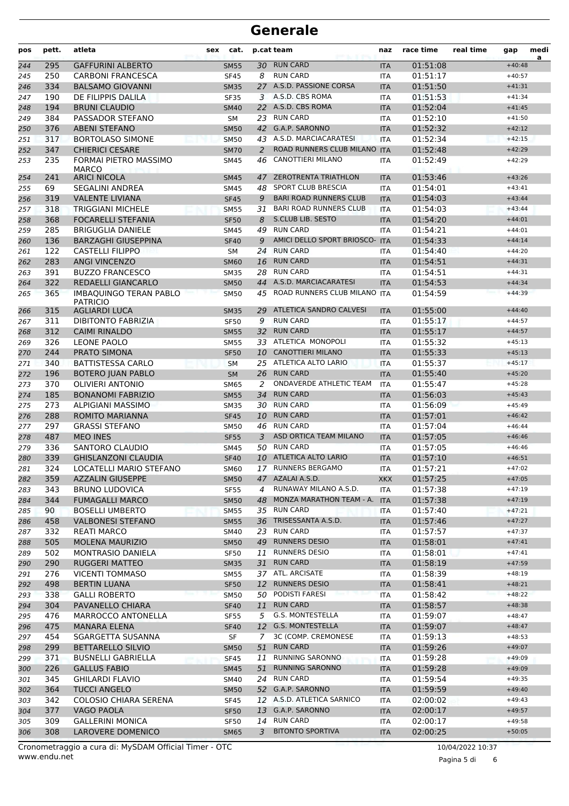| pos        | pett.      | atleta                                                 | sex | cat.                       |          | p.cat team                                               | naz                      | race time            | real time | gap                  | medi<br>a |
|------------|------------|--------------------------------------------------------|-----|----------------------------|----------|----------------------------------------------------------|--------------------------|----------------------|-----------|----------------------|-----------|
| 244        | 295        | <b>GAFFURINI ALBERTO</b>                               |     | <b>SM55</b>                |          | 30 RUN CARD                                              | <b>ITA</b>               | 01:51:08             |           | $+40:48$             |           |
| 245        | 250        | <b>CARBONI FRANCESCA</b>                               |     | <b>SF45</b>                | 8        | <b>RUN CARD</b>                                          | <b>ITA</b>               | 01:51:17             |           | $+40:57$             |           |
| 246        | 334        | <b>BALSAMO GIOVANNI</b>                                |     | <b>SM35</b>                |          | 27 A.S.D. PASSIONE CORSA                                 | <b>ITA</b>               | 01:51:50             |           | $+41:31$             |           |
| 247        | 190        | DE FILIPPIS DALILA                                     |     | <b>SF35</b>                | 3        | A.S.D. CBS ROMA                                          | <b>ITA</b>               | 01:51:53             |           | $+41:34$             |           |
| 248        | 194        | <b>BRUNI CLAUDIO</b>                                   |     | <b>SM40</b>                |          | 22 A.S.D. CBS ROMA                                       | <b>ITA</b>               | 01:52:04             |           | $+41:45$             |           |
| 249        | 384        | PASSADOR STEFANO                                       |     | <b>SM</b>                  |          | 23 RUN CARD                                              | <b>ITA</b>               | 01:52:10             |           | $+41:50$             |           |
| 250        | 376        | <b>ABENI STEFANO</b>                                   |     | <b>SM50</b>                |          | 42 G.A.P. SARONNO                                        | <b>ITA</b>               | 01:52:32             |           | $+42:12$             |           |
| 251        | 317        | <b>BORTOLASO SIMONE</b>                                |     | <b>SM50</b>                |          | 43 A.S.D. MARCIACARATESI<br>ROAD RUNNERS CLUB MILANO ITA | <b>ITA</b>               | 01:52:34             |           | $+42:15$             |           |
| 252        | 347<br>235 | <b>CHIERICI CESARE</b><br><b>FORMAI PIETRO MASSIMO</b> |     | <b>SM70</b>                | 2<br>46  | CANOTTIERI MILANO                                        |                          | 01:52:48             |           | $+42:29$<br>$+42:29$ |           |
| 253        |            | <b>MARCO</b>                                           |     | <b>SM45</b>                |          |                                                          | <b>ITA</b>               | 01:52:49             |           |                      |           |
| 254        | 241        | <b>ARICI NICOLA</b>                                    |     | <b>SM45</b>                | 47       | <b>ZEROTRENTA TRIATHLON</b>                              | <b>ITA</b>               | 01:53:46             |           | $+43:26$             |           |
| 255        | 69         | <b>SEGALINI ANDREA</b>                                 |     | SM45                       | 48       | <b>SPORT CLUB BRESCIA</b>                                | <b>ITA</b>               | 01:54:01             |           | $+43:41$             |           |
| 256        | 319        | <b>VALENTE LIVIANA</b>                                 |     | <b>SF45</b>                | 9        | <b>BARI ROAD RUNNERS CLUB</b>                            | <b>ITA</b>               | 01:54:03             |           | $+43:44$             |           |
| 257        | 318        | <b>TRIGGIANI MICHELE</b>                               |     | <b>SM55</b>                | 31       | <b>BARI ROAD RUNNERS CLUB</b>                            | <b>ITA</b>               | 01:54:03             |           | $+43:44$             |           |
| 258        | 368        | <b>FOCARELLI STEFANIA</b>                              |     | <b>SF50</b>                | 8        | <b>S.CLUB LIB. SESTO</b>                                 | <b>ITA</b>               | 01:54:20             |           | $+44:01$             |           |
| 259        | 285        | <b>BRIGUGLIA DANIELE</b>                               |     | <b>SM45</b>                |          | 49 RUN CARD                                              | <b>ITA</b>               | 01:54:21             |           | $+44:01$             |           |
| 260        | 136        | <b>BARZAGHI GIUSEPPINA</b>                             |     | <b>SF40</b>                | 9        | AMICI DELLO SPORT BRIOSCO-<br><b>RUN CARD</b>            | <b>ITA</b>               | 01:54:33<br>01:54:40 |           | $+44:14$             |           |
| 261        | 122<br>283 | <b>CASTELLI FILIPPO</b><br><b>ANGI VINCENZO</b>        |     | SM                         | 24<br>16 | <b>RUN CARD</b>                                          | ITA                      | 01:54:51             |           | $+44:20$<br>$+44:31$ |           |
| 262<br>263 | 391        | <b>BUZZO FRANCESCO</b>                                 |     | <b>SM60</b><br><b>SM35</b> | 28       | <b>RUN CARD</b>                                          | <b>ITA</b><br><b>ITA</b> | 01:54:51             |           | $+44:31$             |           |
| 264        | 322        | REDAELLI GIANCARLO                                     |     | <b>SM50</b>                | 44       | A.S.D. MARCIACARATESI                                    | <b>ITA</b>               | 01:54:53             |           | $+44:34$             |           |
| 265        | 365        | <b>IMBAQUINGO TERAN PABLO</b>                          |     | <b>SM50</b>                | 45       | ROAD RUNNERS CLUB MILANO ITA                             |                          | 01:54:59             |           | $+44:39$             |           |
|            |            | <b>PATRICIO</b>                                        |     |                            |          |                                                          |                          |                      |           |                      |           |
| 266        | 315        | <b>AGLIARDI LUCA</b>                                   |     | <b>SM35</b>                | 29       | ATLETICA SANDRO CALVESI                                  | <b>ITA</b>               | 01:55:00             |           | $+44:40$             |           |
| 267        | 311        | <b>DIBITONTO FABRIZIA</b>                              |     | <b>SF50</b>                | 9        | <b>RUN CARD</b>                                          | <b>ITA</b>               | 01:55:17             |           | $+44:57$             |           |
| 268        | 312        | <b>CAIMI RINALDO</b>                                   |     | <b>SM55</b>                | 32       | <b>RUN CARD</b>                                          | <b>ITA</b>               | 01:55:17             |           | $+44:57$             |           |
| 269        | 326        | <b>LEONE PAOLO</b>                                     |     | <b>SM55</b>                |          | 33 ATLETICA MONOPOLI                                     | <b>ITA</b>               | 01:55:32             |           | $+45:13$             |           |
| 270        | 244        | PRATO SIMONA                                           |     | <b>SF50</b>                |          | 10 CANOTTIERI MILANO<br>25 ATLETICA ALTO LARIO           | <b>ITA</b>               | 01:55:33             |           | $+45:13$             |           |
| 271        | 340<br>196 | <b>BATTISTESSA CARLO</b><br><b>BOTERO JUAN PABLO</b>   |     | <b>SM</b><br><b>SM</b>     |          | 26 RUN CARD                                              | <b>ITA</b><br><b>ITA</b> | 01:55:37<br>01:55:40 |           | $+45:17$<br>$+45:20$ |           |
| 272<br>273 | 370        | <b>OLIVIERI ANTONIO</b>                                |     | <b>SM65</b>                | 2        | ONDAVERDE ATHLETIC TEAM                                  | <b>ITA</b>               | 01:55:47             |           | $+45:28$             |           |
| 274        | 185        | <b>BONANOMI FABRIZIO</b>                               |     | <b>SM55</b>                | 34       | <b>RUN CARD</b>                                          | <b>ITA</b>               | 01:56:03             |           | $+45:43$             |           |
| 275        | 273        | ALPIGIANI MASSIMO                                      |     | <b>SM35</b>                |          | 30 RUN CARD                                              | <b>ITA</b>               | 01:56:09             |           | $+45:49$             |           |
| 276        | 288        | ROMITO MARIANNA                                        |     | <b>SF45</b>                |          | 10 RUN CARD                                              | <b>ITA</b>               | 01:57:01             |           | $+46:42$             |           |
| 277        | 297        | <b>GRASSI STEFANO</b>                                  |     | <b>SM50</b>                | 46       | <b>RUN CARD</b>                                          | <b>ITA</b>               | 01:57:04             |           | $+46:44$             |           |
| 278        | 487        | <b>MEO INES</b>                                        |     | <b>SF55</b>                | 3        | ASD ORTICA TEAM MILANO                                   | <b>ITA</b>               | 01:57:05             |           | $+46:46$             |           |
| 279        | 336        | <b>SANTORO CLAUDIO</b>                                 |     | <b>SM45</b>                |          | 50 RUN CARD                                              | <b>ITA</b>               | 01:57:05             |           | $+46:46$             |           |
| 280        | 339        | <b>GHISLANZONI CLAUDIA</b>                             |     | <b>SF40</b>                |          | 10 ATLETICA ALTO LARIO                                   | <b>ITA</b>               | 01:57:10             |           | $+46:51$             |           |
| 281        | 324        | LOCATELLI MARIO STEFANO                                |     | <b>SM60</b>                |          | 17 RUNNERS BERGAMO                                       | <b>ITA</b>               | 01:57:21             |           | $+47:02$             |           |
| 282        | 359        | <b>AZZALIN GIUSEPPE</b>                                |     | <b>SM50</b>                |          | 47 AZALAI A.S.D.                                         | <b>XKX</b>               | 01:57:25             |           | $+47:05$             |           |
| 283        | 343        | <b>BRUNO LUDOVICA</b>                                  |     | SF55                       | 4        | RUNAWAY MILANO A.S.D.                                    | ITA                      | 01:57:38             |           | $+47:19$             |           |
| 284        | 344        | <b>FUMAGALLI MARCO</b>                                 |     | <b>SM50</b>                |          | 48 MONZA MARATHON TEAM - A.                              | <b>ITA</b>               | 01:57:38             |           | $+47:19$             |           |
| 285        | 90         | <b>BOSELLI UMBERTO</b>                                 |     | <b>SM55</b>                |          | 35 RUN CARD                                              | ITA                      | 01:57:40             |           | $+47:21$             |           |
| 286        | 458        | <b>VALBONESI STEFANO</b>                               |     | <b>SM55</b>                |          | 36 TRISESSANTA A.S.D.                                    | <b>ITA</b>               | 01:57:46             |           | $+47:27$             |           |
| 287        | 332        | <b>REATI MARCO</b>                                     |     | SM40                       |          | 23 RUN CARD                                              | ITA                      | 01:57:57             |           | $+47:37$             |           |
| 288        | 505        | <b>MOLENA MAURIZIO</b>                                 |     | <b>SM50</b>                |          | 49 RUNNERS DESIO                                         | <b>ITA</b>               | 01:58:01             |           | $+47:41$             |           |
| 289        | 502        | MONTRASIO DANIELA                                      |     | SF50                       | 11       | <b>RUNNERS DESIO</b>                                     | ITA                      | 01:58:01             |           | $+47:41$             |           |
| 290        | 290        | <b>RUGGERI MATTEO</b><br><b>VICENTI TOMMASO</b>        |     | <b>SM35</b>                | 31       | <b>RUN CARD</b><br>37 ATL. ARCISATE                      | <b>ITA</b>               | 01:58:19<br>01:58:39 |           | $+47:59$             |           |
| 291<br>292 | 276<br>498 | <b>BERTIN LUANA</b>                                    |     | <b>SM55</b><br><b>SF50</b> |          | 12 RUNNERS DESIO                                         | ITA<br><b>ITA</b>        | 01:58:41             |           | $+48:19$<br>$+48:21$ |           |
| 293        | 338        | <b>GALLI ROBERTO</b>                                   |     | <b>SM50</b>                |          | 50 PODISTI FARESI                                        | ITA                      | 01:58:42             |           | $+48:22$             |           |
| 294        | 304        | PAVANELLO CHIARA                                       |     | <b>SF40</b>                | 11       | <b>RUN CARD</b>                                          | <b>ITA</b>               | 01:58:57             |           | $+48:38$             |           |
| 295        | 476        | MARROCCO ANTONELLA                                     |     | <b>SF55</b>                | 5        | G.S. MONTESTELLA                                         | ITA                      | 01:59:07             |           | $+48:47$             |           |
| 296        | 475        | <b>MANARA ELENA</b>                                    |     | <b>SF40</b>                |          | 12 G.S. MONTESTELLA                                      | <b>ITA</b>               | 01:59:07             |           | $+48:47$             |           |
| 297        | 454        | SGARGETTA SUSANNA                                      |     | SF                         | 7        | 3C (COMP. CREMONESE                                      | ITA                      | 01:59:13             |           | $+48:53$             |           |
| 298        | 299        | <b>BETTARELLO SILVIO</b>                               |     | <b>SM50</b>                | 51       | <b>RUN CARD</b>                                          | <b>ITA</b>               | 01:59:26             |           | $+49:07$             |           |
| 299        | 371        | <b>BUSNELLI GABRIELLA</b>                              |     | <b>SF45</b>                | 11       | <b>RUNNING SARONNO</b>                                   | ITA                      | 01:59:28             |           | $+49:09$             |           |
| 300        | 226        | <b>GALLUS FABIO</b>                                    |     | <b>SM45</b>                | 51       | <b>RUNNING SARONNO</b>                                   | <b>ITA</b>               | 01:59:28             |           | $+49:09$             |           |
| 301        | 345        | <b>GHILARDI FLAVIO</b>                                 |     | SM40                       |          | 24 RUN CARD                                              | ITA                      | 01:59:54             |           | $+49:35$             |           |
| 302        | 364        | <b>TUCCI ANGELO</b>                                    |     | <b>SM50</b>                |          | 52 G.A.P. SARONNO                                        | <b>ITA</b>               | 01:59:59             |           | $+49:40$             |           |
| 303        | 342        | COLOSIO CHIARA SERENA                                  |     | SF45                       |          | 12 A.S.D. ATLETICA SARNICO                               | ITA                      | 02:00:02             |           | $+49:43$             |           |
| 304        | 377        | VAGO PAOLA                                             |     | <b>SF50</b>                |          | 13 G.A.P. SARONNO                                        | <b>ITA</b>               | 02:00:17             |           | $+49:57$             |           |
| 305        | 309        | <b>GALLERINI MONICA</b>                                |     | SF50                       |          | 14 RUN CARD                                              | ITA                      | 02:00:17             |           | $+49:58$             |           |
| 306        | 308        | LAROVERE DOMENICO                                      |     | <b>SM65</b>                | 3        | <b>BITONTO SPORTIVA</b>                                  | <b>ITA</b>               | 02:00:25             |           | $+50:05$             |           |

Pagina 5 di 6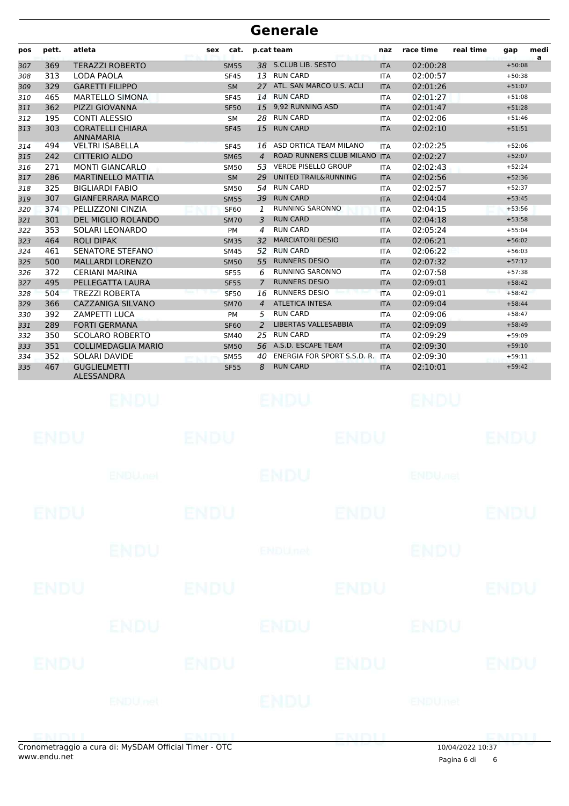| pos        | pett.       | atleta                                                | sex         | cat.                       |                | p.cat team                                     | naz                      | race time                | real time        | gap                  | medi |
|------------|-------------|-------------------------------------------------------|-------------|----------------------------|----------------|------------------------------------------------|--------------------------|--------------------------|------------------|----------------------|------|
| 307        | 369         | <b>TERAZZI ROBERTO</b>                                |             | <b>SM55</b>                | 38             | S.CLUB LIB. SESTO                              | <b>ITA</b>               | 02:00:28                 |                  | $+50:08$             | a    |
| 308        | 313         | LODA PAOLA                                            |             | <b>SF45</b>                | 13             | <b>RUN CARD</b>                                | <b>ITA</b>               | 02:00:57                 |                  | $+50:38$             |      |
| 309        | 329         | <b>GARETTI FILIPPO</b>                                |             | <b>SM</b>                  | 27             | ATL. SAN MARCO U.S. ACLI                       | <b>ITA</b>               | 02:01:26                 |                  | $+51:07$             |      |
| 310        | 465         | <b>MARTELLO SIMONA</b>                                |             | <b>SF45</b>                | 14             | <b>RUN CARD</b>                                | <b>ITA</b>               | 02:01:27                 |                  | $+51:08$             |      |
| 311        | 362         | <b>PIZZI GIOVANNA</b>                                 |             | <b>SF50</b>                | 15             | 9,92 RUNNING ASD                               | <b>ITA</b>               | 02:01:47                 |                  | $+51:28$             |      |
| 312        | 195         | <b>CONTI ALESSIO</b>                                  |             | SM                         | 28             | <b>RUN CARD</b>                                | <b>ITA</b>               | 02:02:06                 |                  | $+51:46$             |      |
| 313        | 303         | <b>CORATELLI CHIARA</b><br><b>ANNAMARIA</b>           |             | <b>SF45</b>                | 15             | <b>RUN CARD</b>                                | <b>ITA</b>               | 02:02:10                 |                  | $+51:51$             |      |
| 314        | 494         | <b>VELTRI ISABELLA</b>                                |             | <b>SF45</b>                | 16             | ASD ORTICA TEAM MILANO                         | <b>ITA</b>               | 02:02:25                 |                  | $+52:06$             |      |
| 315        | 242         | <b>CITTERIO ALDO</b>                                  |             | <b>SM65</b>                | $\overline{4}$ | ROAD RUNNERS CLUB MILANO ITA                   |                          | 02:02:27                 |                  | $+52:07$             |      |
| 316        | 271         | <b>MONTI GIANCARLO</b>                                |             | <b>SM50</b>                | 53             | <b>VERDE PISELLO GROUP</b>                     | <b>ITA</b>               | 02:02:43                 |                  | $+52:24$             |      |
| 317        | 286         | <b>MARTINELLO MATTIA</b>                              |             | <b>SM</b>                  | 29             | UNITED TRAIL&RUNNING                           | <b>ITA</b>               | 02:02:56                 |                  | $+52:36$             |      |
| 318        | 325         | <b>BIGLIARDI FABIO</b>                                |             | <b>SM50</b>                | 54             | <b>RUN CARD</b>                                | <b>ITA</b>               | 02:02:57                 |                  | $+52:37$             |      |
| 319        | 307         | <b>GIANFERRARA MARCO</b>                              |             | <b>SM55</b>                | 39             | <b>RUN CARD</b>                                | <b>ITA</b>               | 02:04:04                 |                  | $+53:45$             |      |
| 320        | 374         | PELLIZZONI CINZIA                                     |             | <b>SF60</b>                | 1              | <b>RUNNING SARONNO</b>                         | <b>ITA</b>               | 02:04:15                 |                  | $+53:56$             |      |
| 321        | 301         | DEL MIGLIO ROLANDO                                    |             | <b>SM70</b>                | 3              | <b>RUN CARD</b>                                | <b>ITA</b>               | 02:04:18                 |                  | $+53:58$             |      |
| 322        | 353         | SOLARI LEONARDO                                       |             | PM                         | 4              | <b>RUN CARD</b>                                | <b>ITA</b>               | 02:05:24                 |                  | $+55:04$             |      |
| 323        | 464         | <b>ROLI DIPAK</b>                                     |             | <b>SM35</b>                | 32             | <b>MARCIATORI DESIO</b>                        | <b>ITA</b>               | 02:06:21                 |                  | $+56:02$             |      |
| 324        | 461         | <b>SENATORE STEFANO</b>                               |             | <b>SM45</b>                | 52             | <b>RUN CARD</b>                                | <b>ITA</b>               | 02:06:22                 |                  | $+56:03$             |      |
| 325        | 500         | <b>MALLARDI LORENZO</b>                               |             | <b>SM50</b>                | 55             | <b>RUNNERS DESIO</b><br><b>RUNNING SARONNO</b> | <b>ITA</b>               | 02:07:32                 |                  | $+57:12$             |      |
| 326<br>327 | 372<br>495  | <b>CERIANI MARINA</b><br>PELLEGATTA LAURA             |             | <b>SF55</b><br><b>SF55</b> | 6<br>7         | <b>RUNNERS DESIO</b>                           | <b>ITA</b><br><b>ITA</b> | 02:07:58<br>02:09:01     |                  | $+57:38$<br>$+58:42$ |      |
| 328        | 504         | <b>TREZZI ROBERTA</b>                                 |             | <b>SF50</b>                | 16             | <b>RUNNERS DESIO</b>                           | <b>ITA</b>               | 02:09:01                 |                  | $+58:42$             |      |
| 329        | 366         | <b>CAZZANIGA SILVANO</b>                              |             | <b>SM70</b>                | $\overline{4}$ | <b>ATLETICA INTESA</b>                         | <b>ITA</b>               | 02:09:04                 |                  | $+58:44$             |      |
| 330        | 392         | <b>ZAMPETTI LUCA</b>                                  |             | <b>PM</b>                  | 5              | <b>RUN CARD</b>                                | <b>ITA</b>               | 02:09:06                 |                  | $+58:47$             |      |
| 331        | 289         | <b>FORTI GERMANA</b>                                  |             | <b>SF60</b>                | 2              | LIBERTAS VALLESABBIA                           | <b>ITA</b>               | 02:09:09                 |                  | $+58:49$             |      |
| 332        | 350         | <b>SCOLARO ROBERTO</b>                                |             | <b>SM40</b>                | 25             | <b>RUN CARD</b>                                | <b>ITA</b>               | 02:09:29                 |                  | $+59:09$             |      |
| 333        | 351         | <b>COLLIMEDAGLIA MARIO</b>                            |             | <b>SM50</b>                | 56             | A.S.D. ESCAPE TEAM                             | <b>ITA</b>               | 02:09:30                 |                  | $+59:10$             |      |
| 334        | 352         | SOLARI DAVIDE                                         |             | <b>SM55</b>                | 40             | ENERGIA FOR SPORT S.S.D. R. ITA                |                          | 02:09:30                 |                  | $+59:11$             |      |
| 335        | 467         | <b>GUGLIELMETTI</b>                                   |             | <b>SF55</b>                | 8              | <b>RUN CARD</b>                                | <b>ITA</b>               | 02:10:01                 |                  | $+59:42$             |      |
|            |             | ALESSANDRA                                            |             |                            |                |                                                |                          |                          |                  |                      |      |
|            |             | ENDU                                                  |             |                            |                | ENDU                                           |                          | BNDU                     |                  |                      |      |
|            | ENDU        |                                                       | ENDU        |                            |                | ENDU                                           |                          |                          |                  | ENDU                 |      |
|            |             | <b>ENDUmet</b>                                        |             |                            |                | <b>ENDU</b>                                    |                          | <b>ENDU<sub>TE</sub></b> |                  |                      |      |
|            | <b>ENDU</b> |                                                       | <b>ENDU</b> |                            |                | <b>ENDU</b>                                    |                          |                          |                  | <b>ENDU</b>          |      |
|            |             |                                                       |             |                            |                |                                                |                          |                          |                  |                      |      |
|            |             | <b>ENDU</b>                                           |             |                            |                | <b>ENDUnet</b>                                 |                          | <b>ENDU</b>              |                  |                      |      |
|            | ENDU        |                                                       | <b>ENDU</b> |                            |                | <b>ENDU</b>                                    |                          |                          |                  | <b>ENDU</b>          |      |
|            |             | ENDU                                                  |             |                            |                | ENDU                                           |                          | ENDU                     |                  |                      |      |
|            | ENDU        |                                                       | <b>ENDU</b> |                            |                | <b>ENDU</b>                                    |                          |                          |                  | <b>ENDU</b>          |      |
|            |             | <b>ENDUnet</b>                                        |             |                            |                | ENDU                                           |                          | <b>ENDUmet</b>           |                  |                      |      |
|            |             | Cronometraggio a cura di: MySDAM Official Timer - OTC |             |                            |                | ENDU                                           |                          |                          | 10/04/2022 10:37 | EMBLI                |      |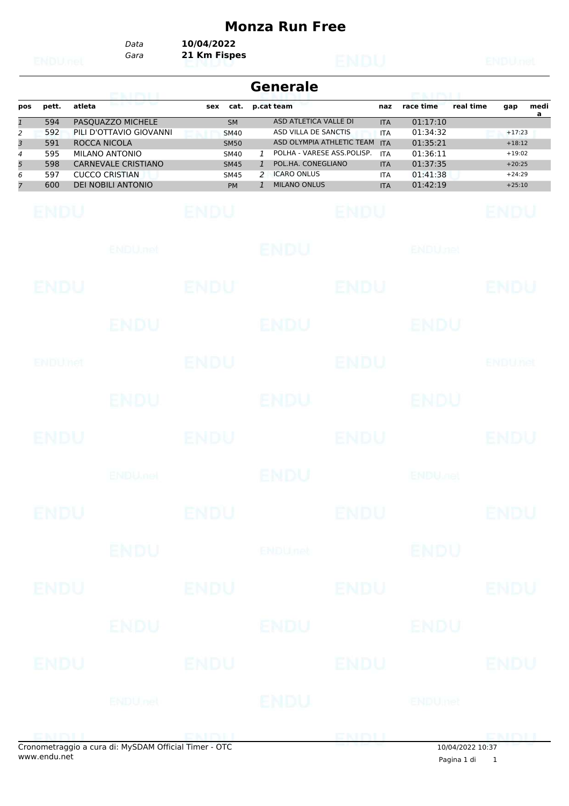## **Monza Run Free**

*Gara* **21 Km Fispes** *Data* **10/04/2022**

|                                         |                                        |                                                                                                                                                      |                                                                                      | <b>Generale</b>                                                                                                                                                                                  |                                                                    | <b>PEACH PACHING</b>                                                 |                                                                      |
|-----------------------------------------|----------------------------------------|------------------------------------------------------------------------------------------------------------------------------------------------------|--------------------------------------------------------------------------------------|--------------------------------------------------------------------------------------------------------------------------------------------------------------------------------------------------|--------------------------------------------------------------------|----------------------------------------------------------------------|----------------------------------------------------------------------|
| pos<br>$\mathbf{1}$                     | pett.<br>594                           | <u>EMDU</u><br>atleta<br>PASQUAZZO MICHELE                                                                                                           | sex<br>cat.<br><b>SM</b>                                                             | p.cat team<br>ASD ATLETICA VALLE DI                                                                                                                                                              | naz<br><b>ITA</b>                                                  | race time<br>01:17:10                                                | real time<br>medi<br>gap<br>a                                        |
| 2<br>3<br>4<br>5<br>6<br>$\overline{7}$ | 592<br>591<br>595<br>598<br>597<br>600 | PILI D'OTTAVIO GIOVANNI<br>ROCCA NICOLA<br><b>MILANO ANTONIO</b><br><b>CARNEVALE CRISTIANO</b><br><b>CUCCO CRISTIAN</b><br><b>DEI NOBILI ANTONIO</b> | <b>SM40</b><br><b>SM50</b><br><b>SM40</b><br><b>SM45</b><br><b>SM45</b><br><b>PM</b> | ASD VILLA DE SANCTIS<br>ASD OLYMPIA ATHLETIC TEAM ITA<br>POLHA - VARESE ASS.POLISP.<br>1<br>POL.HA. CONEGLIANO<br>$\mathbf{1}$<br><b>ICARO ONLUS</b><br>2<br><b>MILANO ONLUS</b><br>$\mathbf{1}$ | <b>ITA</b><br><b>ITA</b><br><b>ITA</b><br><b>ITA</b><br><b>ITA</b> | 01:34:32<br>01:35:21<br>01:36:11<br>01:37:35<br>01:41:38<br>01:42:19 | $+17:23$<br>$+18:12$<br>$+19:02$<br>$+20:25$<br>$+24:29$<br>$+25:10$ |
|                                         | <b>ENDU</b>                            |                                                                                                                                                      | <b>ENDU</b>                                                                          | <b>ENDU</b>                                                                                                                                                                                      |                                                                    |                                                                      | ENDU                                                                 |
|                                         |                                        | <b>ENDU</b> nel                                                                                                                                      |                                                                                      | <b>ENDU</b>                                                                                                                                                                                      |                                                                    | <b>ENDUnet</b>                                                       |                                                                      |
|                                         | ENDU                                   |                                                                                                                                                      | ENDU                                                                                 | <b>ENDU</b>                                                                                                                                                                                      |                                                                    |                                                                      | ENDU                                                                 |
|                                         |                                        | ENDU                                                                                                                                                 |                                                                                      | ENDU                                                                                                                                                                                             |                                                                    | ENDU                                                                 |                                                                      |
|                                         | ENDUMet                                |                                                                                                                                                      | <b>ENDU</b>                                                                          | <b>ENDU</b>                                                                                                                                                                                      |                                                                    |                                                                      | ENDUnet                                                              |
|                                         |                                        | ENDU                                                                                                                                                 |                                                                                      | ENDU                                                                                                                                                                                             |                                                                    | ENDU                                                                 |                                                                      |
|                                         | ENDU                                   |                                                                                                                                                      | ENDU                                                                                 | <b>ENDU</b>                                                                                                                                                                                      |                                                                    |                                                                      | ENDU                                                                 |
|                                         |                                        | <b>ENDU<sub>net</sub></b>                                                                                                                            |                                                                                      | ENDU                                                                                                                                                                                             |                                                                    | <b>ENDU<sub>DED</sub></b>                                            |                                                                      |
|                                         | ENDU                                   |                                                                                                                                                      | ENDU                                                                                 | ENDU                                                                                                                                                                                             |                                                                    |                                                                      | ENDU                                                                 |
|                                         |                                        | <b>ENDU</b>                                                                                                                                          |                                                                                      | <b>ENDUnet</b>                                                                                                                                                                                   |                                                                    | <b>ENDU</b>                                                          |                                                                      |
|                                         | <b>ENDU</b>                            |                                                                                                                                                      | <b>ENDU</b>                                                                          | <b>ENDU</b>                                                                                                                                                                                      |                                                                    |                                                                      | <b>ENDU</b>                                                          |
|                                         |                                        | ENDU                                                                                                                                                 |                                                                                      | <b>ENDU</b>                                                                                                                                                                                      |                                                                    | ENDU                                                                 |                                                                      |
|                                         | <b>ENDU</b>                            |                                                                                                                                                      | <b>ENDU</b>                                                                          | <b>ENDU</b>                                                                                                                                                                                      |                                                                    |                                                                      | <b>ENDU</b>                                                          |
|                                         |                                        | <b>ENDUnet</b>                                                                                                                                       |                                                                                      | ENDU                                                                                                                                                                                             |                                                                    | <b>ENDUmet</b>                                                       |                                                                      |
|                                         |                                        |                                                                                                                                                      |                                                                                      |                                                                                                                                                                                                  |                                                                    |                                                                      |                                                                      |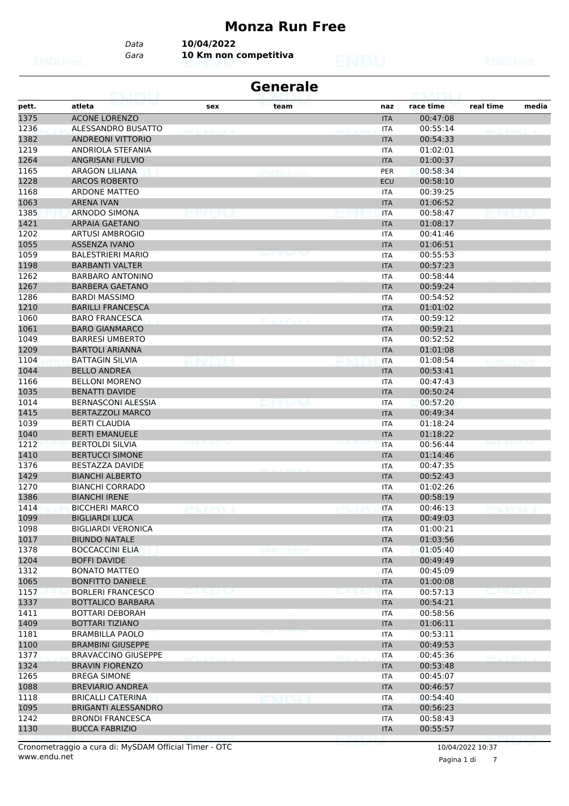#### **Monza Run Free**

*Gara* **10 Km non competitiva** *Data* **10/04/2022**

|       | 69. I KYLI                 |                     | <b>Generale</b>     |            |           |           |       |
|-------|----------------------------|---------------------|---------------------|------------|-----------|-----------|-------|
| pett. | atleta                     | sex                 | team                | naz        | race time | real time | media |
| 1375  | <b>ACONE LORENZO</b>       |                     |                     | <b>ITA</b> | 00:47:08  |           |       |
| 1236  | ALESSANDRO BUSATTO         | <b>STATISTICS I</b> |                     | ITA        | 00:55:14  |           |       |
| 1382  | <b>ANDREONI VITTORIO</b>   |                     |                     | <b>ITA</b> | 00:54:33  |           |       |
| 1219  | ANDRIOLA STEFANIA          |                     |                     | ITA        | 01:02:01  |           |       |
| 1264  | <b>ANGRISANI FULVIO</b>    |                     |                     | <b>ITA</b> | 01:00:37  |           |       |
| 1165  | ARAGON LILIANA             |                     |                     | PER        | 00:58:34  |           |       |
| 1228  | <b>ARCOS ROBERTO</b>       |                     |                     | ECU        | 00:58:10  |           |       |
| 1168  | <b>ARDONE MATTEO</b>       |                     |                     | <b>ITA</b> | 00:39:25  |           |       |
| 1063  | <b>ARENA IVAN</b>          |                     |                     | <b>ITA</b> | 01:06:52  |           |       |
| 1385  | ARNODO SIMONA              |                     |                     | <b>ITA</b> | 00:58:47  |           |       |
| 1421  | <b>ARPAIA GAETANO</b>      |                     |                     | <b>ITA</b> | 01:08:17  |           |       |
| 1202  | <b>ARTUSI AMBROGIO</b>     |                     |                     | ITA        | 00:41:46  |           |       |
| 1055  | <b>ASSENZA IVANO</b>       |                     |                     | <b>ITA</b> | 01:06:51  |           |       |
| 1059  | <b>BALESTRIERI MARIO</b>   |                     | میں وہ روز بیٹ      | <b>ITA</b> | 00:55:53  |           |       |
| 1198  | <b>BARBANTI VALTER</b>     |                     |                     | <b>ITA</b> | 00:57:23  |           |       |
| 1262  | <b>BARBARO ANTONINO</b>    |                     |                     | <b>ITA</b> | 00:58:44  |           |       |
| 1267  | <b>BARBERA GAETANO</b>     |                     |                     | <b>ITA</b> | 00:59:24  |           |       |
| 1286  | <b>BARDI MASSIMO</b>       |                     |                     | ITA        | 00:54:52  |           |       |
| 1210  | <b>BARILLI FRANCESCA</b>   |                     |                     | <b>ITA</b> | 01:01:02  |           |       |
| 1060  | <b>BARO FRANCESCA</b>      |                     | <b>ESSAY PART 2</b> | <b>ITA</b> | 00:59:12  |           |       |
| 1061  | <b>BARO GIANMARCO</b>      |                     |                     | <b>ITA</b> | 00:59:21  |           |       |
| 1049  | <b>BARRESI UMBERTO</b>     |                     |                     | <b>ITA</b> | 00:52:52  |           |       |
| 1209  | <b>BARTOLI ARIANNA</b>     |                     |                     | <b>ITA</b> | 01:01:08  |           |       |
| 1104  | <b>BATTAGIN SILVIA</b>     |                     |                     | <b>ITA</b> | 01:08:54  |           |       |
| 1044  | <b>BELLO ANDREA</b>        |                     |                     | <b>ITA</b> | 00:53:41  |           |       |
| 1166  | <b>BELLONI MORENO</b>      |                     |                     | <b>ITA</b> | 00:47:43  |           |       |
| 1035  | <b>BENATTI DAVIDE</b>      |                     |                     | <b>ITA</b> | 00:50:24  |           |       |
| 1014  | BERNASCONI ALESSIA         |                     |                     | <b>ITA</b> | 00:57:20  |           |       |
| 1415  | <b>BERTAZZOLI MARCO</b>    |                     |                     | <b>ITA</b> | 00:49:34  |           |       |
| 1039  | <b>BERTI CLAUDIA</b>       |                     |                     | ITA        | 01:18:24  |           |       |
| 1040  | <b>BERTI EMANUELE</b>      |                     |                     | <b>ITA</b> | 01:18:22  |           |       |
| 1212  | <b>BERTOLDI SILVIA</b>     |                     |                     | <b>ITA</b> | 00:56:44  |           |       |
| 1410  | <b>BERTUCCI SIMONE</b>     |                     |                     | <b>ITA</b> | 01:14:46  |           |       |
| 1376  | <b>BESTAZZA DAVIDE</b>     |                     |                     | <b>ITA</b> | 00:47:35  |           |       |
| 1429  | <b>BIANCHI ALBERTO</b>     |                     |                     | <b>ITA</b> | 00:52:43  |           |       |
| 1270  | <b>BIANCHI CORRADO</b>     |                     |                     | <b>ITA</b> | 01:02:26  |           |       |
| 1386  | <b>BIANCHI IRENE</b>       |                     |                     | <b>ITA</b> | 00:58:19  |           |       |
| 1414  | <b>BICCHERI MARCO</b>      |                     |                     | <b>ITA</b> | 00:46:13  |           |       |
| 1099  | <b>BIGLIARDI LUCA</b>      |                     |                     | <b>ITA</b> | 00:49:03  |           |       |
| 1098  | <b>BIGLIARDI VERONICA</b>  |                     |                     | <b>ITA</b> | 01:00:21  |           |       |
| 1017  | <b>BIUNDO NATALE</b>       |                     |                     | <b>ITA</b> | 01:03:56  |           |       |
| 1378  | <b>BOCCACCINI ELIA</b>     |                     |                     | ITA        | 01:05:40  |           |       |
| 1204  | <b>BOFFI DAVIDE</b>        |                     |                     | <b>ITA</b> | 00:49:49  |           |       |
| 1312  | <b>BONATO MATTEO</b>       |                     |                     | <b>ITA</b> | 00:45:09  |           |       |
| 1065  | <b>BONFITTO DANIELE</b>    |                     |                     | <b>ITA</b> | 01:00:08  |           |       |
| 1157  | <b>BORLERI FRANCESCO</b>   | n la va             |                     | <b>ITA</b> | 00:57:13  |           |       |
| 1337  | <b>BOTTALICO BARBARA</b>   |                     |                     | <b>ITA</b> | 00:54:21  |           |       |
| 1411  | <b>BOTTARI DEBORAH</b>     |                     |                     | ITA        | 00:58:56  |           |       |
| 1409  | <b>BOTTARI TIZIANO</b>     |                     |                     | <b>ITA</b> | 01:06:11  |           |       |
| 1181  | <b>BRAMBILLA PAOLO</b>     |                     |                     | ITA        | 00:53:11  |           |       |
| 1100  | <b>BRAMBINI GIUSEPPE</b>   |                     |                     | <b>ITA</b> | 00:49:53  |           |       |
| 1377  | <b>BRAVACCINO GIUSEPPE</b> |                     |                     | <b>ITA</b> | 00:45:36  |           |       |
| 1324  | <b>BRAVIN FIORENZO</b>     |                     |                     | <b>ITA</b> | 00:53:48  |           |       |
| 1265  | <b>BREGA SIMONE</b>        |                     |                     | ITA        | 00:45:07  |           |       |
| 1088  | <b>BREVIARIO ANDREA</b>    |                     |                     | <b>ITA</b> | 00:46:57  |           |       |
| 1118  | <b>BRICALLI CATERINA</b>   |                     | omni                | ITA        | 00:54:40  |           |       |
| 1095  | BRIGANTI ALESSANDRO        |                     |                     | <b>ITA</b> | 00:56:23  |           |       |
| 1242  | <b>BRONDI FRANCESCA</b>    |                     |                     | <b>ITA</b> | 00:58:43  |           |       |
| 1130  | <b>BUCCA FABRIZIO</b>      |                     |                     | <b>ITA</b> | 00:55:57  |           |       |

www.endu.net Cronometraggio a cura di: MySDAM Official Timer - OTC 10/04/2022 10:37

Pagina 1 di 7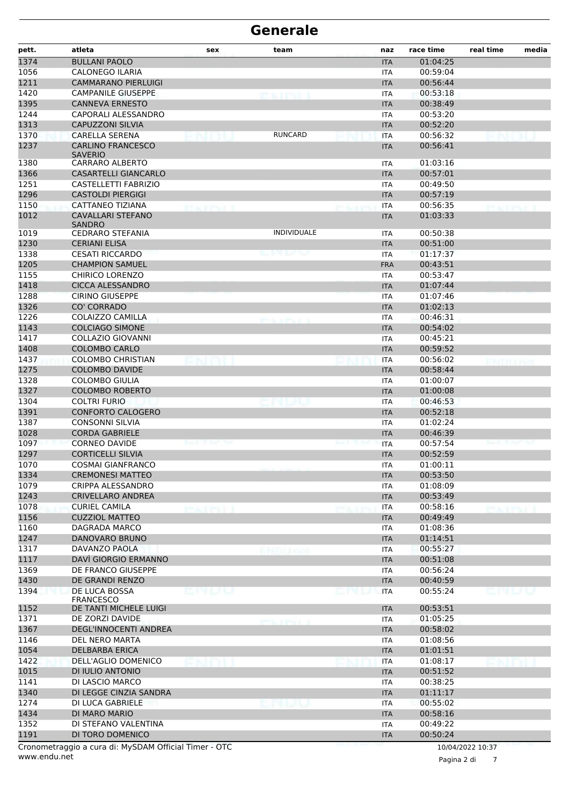| pett.        | atleta                                                | sex                      | team                |     | naz                      | race time            | real time        | media |
|--------------|-------------------------------------------------------|--------------------------|---------------------|-----|--------------------------|----------------------|------------------|-------|
| 1374         | <b>BULLANI PAOLO</b>                                  |                          |                     |     | <b>ITA</b>               | 01:04:25             |                  |       |
| 1056         | <b>CALONEGO ILARIA</b>                                |                          |                     |     | <b>ITA</b>               | 00:59:04             |                  |       |
| 1211         | <b>CAMMARANO PIERLUIGI</b>                            |                          |                     |     | <b>ITA</b>               | 00:56:44             |                  |       |
| 1420         | <b>CAMPANILE GIUSEPPE</b>                             |                          | ES LIPTI            |     | <b>ITA</b>               | 00:53:18             |                  |       |
| 1395         | <b>CANNEVA ERNESTO</b>                                |                          |                     |     | <b>ITA</b>               | 00:38:49             |                  |       |
| 1244         | CAPORALI ALESSANDRO                                   |                          |                     |     | <b>ITA</b>               | 00:53:20             |                  |       |
| 1313         | <b>CAPUZZONI SILVIA</b>                               |                          |                     |     | <b>ITA</b>               | 00:52:20             |                  |       |
| 1370         | CARELLA SERENA                                        |                          | <b>RUNCARD</b>      |     | <b>ITA</b>               | 00:56:32             |                  |       |
| 1237         | <b>CARLINO FRANCESCO</b><br><b>SAVERIO</b>            |                          |                     |     | <b>ITA</b>               | 00:56:41             |                  |       |
| 1380         | <b>CARRARO ALBERTO</b>                                |                          |                     |     | <b>ITA</b>               | 01:03:16             |                  |       |
| 1366         | <b>CASARTELLI GIANCARLO</b>                           |                          |                     |     | <b>ITA</b>               | 00:57:01             |                  |       |
| 1251         | CASTELLETTI FABRIZIO                                  |                          |                     |     | <b>ITA</b>               | 00:49:50             |                  |       |
| 1296         | <b>CASTOLDI PIERGIGI</b>                              |                          |                     |     | <b>ITA</b>               | 00:57:19             |                  |       |
| 1150         | <b>CATTANEO TIZIANA</b>                               | <b><i>CONTRACTOR</i></b> |                     |     | <b>ITA</b>               | 00:56:35             |                  |       |
| 1012         | <b>CAVALLARI STEFANO</b><br><b>SANDRO</b>             |                          |                     |     | <b>ITA</b>               | 01:03:33             |                  |       |
| 1019         | <b>CEDRARO STEFANIA</b>                               |                          | <b>INDIVIDUALE</b>  |     | <b>ITA</b>               | 00:50:38             |                  |       |
| 1230         | <b>CERIANI ELISA</b>                                  |                          |                     |     | <b>ITA</b>               | 00:51:00             |                  |       |
| 1338         | <b>CESATI RICCARDO</b>                                |                          | میں میں بھی س       |     | <b>ITA</b>               | 01:17:37             |                  |       |
| 1205         | <b>CHAMPION SAMUEL</b>                                |                          |                     |     | <b>FRA</b>               | 00:43:51             |                  |       |
| 1155         | <b>CHIRICO LORENZO</b>                                |                          |                     |     | <b>ITA</b>               | 00:53:47             |                  |       |
| 1418         | <b>CICCA ALESSANDRO</b>                               |                          |                     |     | <b>ITA</b>               | 01:07:44             |                  |       |
| 1288         | <b>CIRINO GIUSEPPE</b>                                |                          |                     |     | <b>ITA</b>               | 01:07:46             |                  |       |
| 1326         | <b>CO' CORRADO</b>                                    |                          |                     |     | <b>ITA</b>               | 01:02:13             |                  |       |
| 1226         | <b>COLAIZZO CAMILLA</b>                               |                          | and the company of  |     | <b>ITA</b>               | 00:46:31             |                  |       |
| 1143         | <b>COLCIAGO SIMONE</b>                                |                          |                     |     | <b>ITA</b>               | 00:54:02             |                  |       |
| 1417         | <b>COLLAZIO GIOVANNI</b>                              |                          |                     |     | <b>ITA</b>               | 00:45:21             |                  |       |
| 1408         | <b>COLOMBO CARLO</b>                                  |                          |                     |     | <b>ITA</b>               | 00:59:52             |                  |       |
| 1437         | <b>COLOMBO CHRISTIAN</b>                              |                          |                     |     | <b>ITA</b>               | 00:56:02             |                  |       |
| 1275         | <b>COLOMBO DAVIDE</b>                                 |                          |                     |     | <b>ITA</b>               | 00:58:44             |                  |       |
| 1328         | <b>COLOMBO GIULIA</b>                                 |                          |                     |     | <b>ITA</b>               | 01:00:07             |                  |       |
| 1327         | <b>COLOMBO ROBERTO</b>                                |                          |                     |     | <b>ITA</b>               | 01:00:08             |                  |       |
| 1304         | <b>COLTRI FURIO</b>                                   |                          |                     |     | <b>ITA</b>               | 00:46:53             |                  |       |
| 1391         | <b>CONFORTO CALOGERO</b>                              |                          |                     |     | <b>ITA</b>               | 00:52:18             |                  |       |
| 1387         | <b>CONSONNI SILVIA</b>                                |                          |                     |     | <b>ITA</b>               | 01:02:24             |                  |       |
| 1028         | <b>CORDA GABRIELE</b>                                 |                          |                     |     | <b>ITA</b>               | 00:46:39             |                  |       |
| 1097         | <b>CORNEO DAVIDE</b>                                  |                          |                     |     | <b>ITA</b>               | 00:57:54             |                  |       |
| 1297         | <b>CORTICELLI SILVIA</b>                              |                          |                     |     | <b>ITA</b>               | 00:52:59             |                  |       |
| 1070         | <b>COSMAI GIANFRANCO</b>                              |                          |                     |     | <b>ITA</b>               | 01:00:11             |                  |       |
| 1334         | <b>CREMONESI MATTEO</b>                               |                          |                     |     | <b>ITA</b>               | 00:53:50             |                  |       |
| 1079         | CRIPPA ALESSANDRO                                     |                          |                     |     | <b>ITA</b>               | 01:08:09             |                  |       |
| 1243         | <b>CRIVELLARO ANDREA</b>                              |                          |                     |     | <b>ITA</b>               | 00:53:49             |                  |       |
| 1078         | <b>CURIEL CAMILA</b>                                  | extenti                  |                     |     | <b>ITA</b>               | 00:58:16             | extron           |       |
| 1156         | <b>CUZZIOL MATTEO</b>                                 |                          |                     |     | <b>ITA</b>               | 00:49:49             |                  |       |
| 1160         | DAGRADA MARCO                                         |                          |                     |     | <b>ITA</b>               | 01:08:36             |                  |       |
| 1247         | DANOVARO BRUNO<br><b>DAVANZO PAOLA</b>                |                          |                     |     | <b>ITA</b>               | 01:14:51             |                  |       |
| 1317         | DAVÌ GIORGIO ERMANNO                                  |                          |                     |     | <b>ITA</b>               | 00:55:27<br>00:51:08 |                  |       |
| 1117         |                                                       |                          |                     |     | <b>ITA</b>               | 00:56:24             |                  |       |
| 1369         | DE FRANCO GIUSEPPE<br><b>DE GRANDI RENZO</b>          |                          |                     |     | <b>ITA</b>               | 00:40:59             |                  |       |
| 1430<br>1394 | DE LUCA BOSSA                                         |                          |                     |     | <b>ITA</b><br><b>ITA</b> | 00:55:24             |                  |       |
|              | <b>FRANCESCO</b>                                      | 医胸膜裂                     |                     | unu |                          |                      | cnuv             |       |
| 1152         | DE TANTI MICHELE LUIGI                                |                          |                     |     | <b>ITA</b>               | 00:53:51             |                  |       |
| 1371         | DE ZORZI DAVIDE                                       |                          | <b>SCENTINE AND</b> |     | ITA                      | 01:05:25             |                  |       |
| 1367         | DEGL'INNOCENTI ANDREA                                 |                          |                     |     | <b>ITA</b>               | 00:58:02             |                  |       |
| 1146         | DEL NERO MARTA                                        |                          |                     |     | <b>ITA</b>               | 01:08:56             |                  |       |
| 1054         | DELBARBA ERICA                                        |                          |                     |     | <b>ITA</b>               | 01:01:51             |                  |       |
| 1422         | DELL'AGLIO DOMENICO                                   |                          |                     |     | <b>ITA</b>               | 01:08:17             |                  |       |
| 1015         | DI IULIO ANTONIO                                      |                          |                     |     | <b>ITA</b>               | 00:51:52             |                  |       |
| 1141         | DI LASCIO MARCO                                       |                          |                     |     | <b>ITA</b>               | 00:38:25             |                  |       |
| 1340         | DI LEGGE CINZIA SANDRA                                |                          |                     |     | <b>ITA</b>               | 01:11:17             |                  |       |
| 1274         | DI LUCA GABRIELE                                      |                          |                     |     | <b>ITA</b>               | 00:55:02             |                  |       |
| 1434         | DI MARO MARIO                                         |                          |                     |     | <b>ITA</b>               | 00:58:16             |                  |       |
| 1352         | DI STEFANO VALENTINA                                  |                          |                     |     | <b>ITA</b>               | 00:49:22             |                  |       |
| 1191         | DI TORO DOMENICO                                      |                          |                     |     | <b>ITA</b>               | 00:50:24             |                  |       |
|              | Cronometraggio a cura di: MySDAM Official Timer - OTC |                          |                     |     |                          |                      | 10/04/2022 10:37 |       |

www.endu.net

Pagina 2 di 7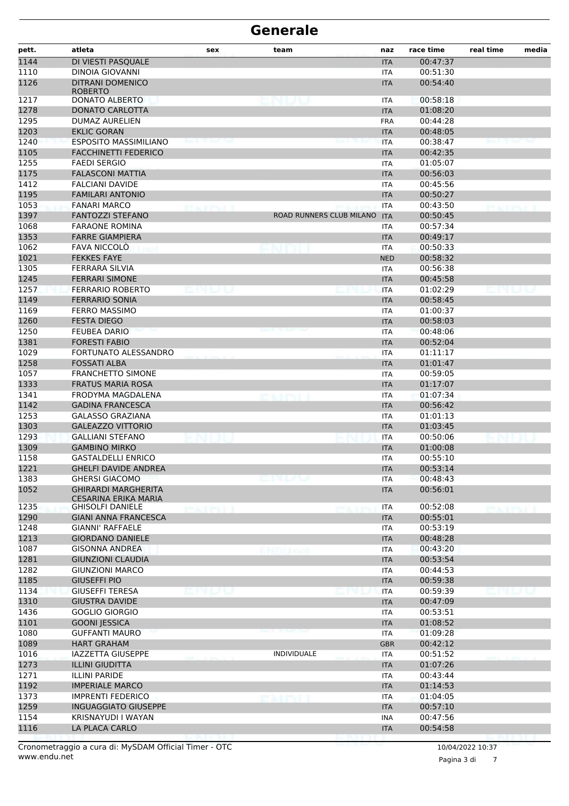| pett.        | atleta                                              | sex          | team                         | naz                      | race time            | real time | media |
|--------------|-----------------------------------------------------|--------------|------------------------------|--------------------------|----------------------|-----------|-------|
| 1144         | DI VIESTI PASQUALE                                  |              |                              | <b>ITA</b>               | 00:47:37             |           |       |
| 1110         | <b>DINOIA GIOVANNI</b>                              |              |                              | <b>ITA</b>               | 00:51:30             |           |       |
| 1126         | <b>DITRANI DOMENICO</b><br><b>ROBERTO</b>           |              |                              | <b>ITA</b>               | 00:54:40             |           |       |
| 1217         | <b>DONATO ALBERTO</b>                               |              |                              | <b>ITA</b>               | 00:58:18             |           |       |
| 1278         | DONATO CARLOTTA                                     |              |                              | <b>ITA</b>               | 01:08:20             |           |       |
| 1295         | DUMAZ AURELIEN                                      |              |                              | <b>FRA</b>               | 00:44:28             |           |       |
| 1203         | <b>EKLIC GORAN</b>                                  |              |                              | <b>ITA</b>               | 00:48:05             |           |       |
| 1240         | <b>ESPOSITO MASSIMILIANO</b>                        |              |                              | <b>ITA</b>               | 00:38:47             |           |       |
| 1105         | <b>FACCHINETTI FEDERICO</b>                         |              |                              | <b>ITA</b>               | 00:42:35             |           |       |
| 1255         | <b>FAEDI SERGIO</b>                                 |              |                              | <b>ITA</b>               | 01:05:07             |           |       |
| 1175         | <b>FALASCONI MATTIA</b>                             |              |                              | <b>ITA</b>               | 00:56:03             |           |       |
| 1412<br>1195 | <b>FALCIANI DAVIDE</b><br><b>FAMILARI ANTONIO</b>   |              |                              | <b>ITA</b>               | 00:45:56<br>00:50:27 |           |       |
| 1053         | <b>FANARI MARCO</b>                                 |              |                              | <b>ITA</b><br><b>ITA</b> | 00:43:50             |           |       |
| 1397         | <b>FANTOZZI STEFANO</b>                             | <b>KITSI</b> | ROAD RUNNERS CLUB MILANO ITA |                          | 00:50:45             |           |       |
| 1068         | <b>FARAONE ROMINA</b>                               |              |                              | <b>ITA</b>               | 00:57:34             |           |       |
| 1353         | <b>FARRE GIAMPIERA</b>                              |              |                              | <b>ITA</b>               | 00:49:17             |           |       |
| 1062         | <b>FAVA NICCOLO</b>                                 |              |                              | ITA                      | 00:50:33             |           |       |
| 1021         | <b>FEKKES FAYE</b>                                  |              |                              | <b>NED</b>               | 00:58:32             |           |       |
| 1305         | FERRARA SILVIA                                      |              |                              | ITA                      | 00:56:38             |           |       |
| 1245         | <b>FERRARI SIMONE</b>                               |              |                              | <b>ITA</b>               | 00:45:58             |           |       |
| 1257         | <b>FERRARIO ROBERTO</b>                             | MU N         |                              | <b>ITA</b>               | 01:02:29             |           |       |
| 1149         | <b>FERRARIO SONIA</b>                               |              |                              | <b>ITA</b>               | 00:58:45             |           |       |
| 1169         | <b>FERRO MASSIMO</b>                                |              |                              | <b>ITA</b>               | 01:00:37             |           |       |
| 1260         | <b>FESTA DIEGO</b>                                  |              |                              | <b>ITA</b>               | 00:58:03             |           |       |
| 1250         | <b>FEUBEA DARIO</b>                                 |              |                              | <b>ITA</b>               | 00:48:06             |           |       |
| 1381         | <b>FORESTI FABIO</b>                                |              |                              | <b>ITA</b>               | 00:52:04             |           |       |
| 1029         | FORTUNATO ALESSANDRO                                |              |                              | <b>ITA</b>               | 01:11:17             |           |       |
| 1258         | <b>FOSSATI ALBA</b>                                 |              |                              | <b>ITA</b>               | 01:01:47             |           |       |
| 1057         | <b>FRANCHETTO SIMONE</b>                            |              |                              | <b>ITA</b>               | 00:59:05             |           |       |
| 1333         | <b>FRATUS MARIA ROSA</b>                            |              |                              | <b>ITA</b>               | 01:17:07             |           |       |
| 1341         | FRODYMA MAGDALENA                                   |              |                              | <b>ITA</b>               | 01:07:34             |           |       |
| 1142         | <b>GADINA FRANCESCA</b>                             |              |                              | <b>ITA</b>               | 00:56:42             |           |       |
| 1253         | <b>GALASSO GRAZIANA</b><br><b>GALEAZZO VITTORIO</b> |              |                              | <b>ITA</b>               | 01:01:13             |           |       |
| 1303<br>1293 | <b>GALLIANI STEFANO</b>                             |              |                              | <b>ITA</b>               | 01:03:45<br>00:50:06 |           |       |
| 1309         | <b>GAMBINO MIRKO</b>                                |              |                              | <b>ITA</b><br><b>ITA</b> | 01:00:08             |           |       |
| 1158         | <b>GASTALDELLI ENRICO</b>                           |              |                              | ITA                      | 00:55:10             |           |       |
| 1221         | <b>GHELFI DAVIDE ANDREA</b>                         |              |                              | $\sf ITA$                | 00:53:14             |           |       |
| 1383         | <b>GHERSI GIACOMO</b>                               |              | emuv                         | ITA                      | 00:48:43             |           |       |
| 1052         | <b>GHIRARDI MARGHERITA</b><br>CESARINA ERIKA MARIA  |              |                              | <b>ITA</b>               | 00:56:01             |           |       |
| 1235         | <b>GHISOLFI DANIELE</b>                             | ekter i      |                              | <b>ITA</b>               | 00:52:08             | ta a mat  |       |
| 1290         | <b>GIANI ANNA FRANCESCA</b>                         |              |                              | <b>ITA</b>               | 00:55:01             |           |       |
| 1248         | <b>GIANNI' RAFFAELE</b>                             |              |                              | <b>ITA</b>               | 00:53:19             |           |       |
| 1213         | <b>GIORDANO DANIELE</b>                             |              |                              | <b>ITA</b>               | 00:48:28             |           |       |
| 1087         | <b>GISONNA ANDREA</b>                               |              |                              | <b>ITA</b>               | 00:43:20             |           |       |
| 1281         | <b>GIUNZIONI CLAUDIA</b>                            |              |                              | <b>ITA</b>               | 00:53:54             |           |       |
| 1282         | <b>GIUNZIONI MARCO</b>                              |              |                              | <b>ITA</b>               | 00:44:53             |           |       |
| 1185         | <b>GIUSEFFI PIO</b>                                 |              |                              | <b>ITA</b>               | 00:59:38             |           |       |
| 1134         | <b>GIUSEFFI TERESA</b>                              |              |                              | <b>ITA</b>               | 00:59:39             |           |       |
| 1310         | <b>GIUSTRA DAVIDE</b>                               |              |                              | <b>ITA</b>               | 00:47:09             |           |       |
| 1436         | <b>GOGLIO GIORGIO</b>                               |              |                              | <b>ITA</b>               | 00:53:51             |           |       |
| 1101         | <b>GOONI JESSICA</b>                                |              |                              | <b>ITA</b>               | 01:08:52             |           |       |
| 1080<br>1089 | <b>GUFFANTI MAURO</b><br><b>HART GRAHAM</b>         |              |                              | <b>ITA</b><br><b>GBR</b> | 01:09:28<br>00:42:12 |           |       |
| 1016         | <b>IAZZETTA GIUSEPPE</b>                            |              | <b>INDIVIDUALE</b>           | <b>ITA</b>               | 00:51:52             |           |       |
| 1273         | <b>ILLINI GIUDITTA</b>                              |              |                              | <b>ITA</b>               | 01:07:26             |           |       |
| 1271         | <b>ILLINI PARIDE</b>                                |              |                              | <b>ITA</b>               | 00:43:44             |           |       |
| 1192         | <b>IMPERIALE MARCO</b>                              |              |                              | <b>ITA</b>               | 01:14:53             |           |       |
| 1373         | <b>IMPRENTI FEDERICO</b>                            |              |                              | <b>ITA</b>               | 01:04:05             |           |       |
| 1259         | <b>INGUAGGIATO GIUSEPPE</b>                         |              |                              | <b>ITA</b>               | 00:57:10             |           |       |
| 1154         | KRISNAYUDI I WAYAN                                  |              |                              | <b>INA</b>               | 00:47:56             |           |       |
| 1116         | LA PLACA CARLO                                      |              |                              | <b>ITA</b>               | 00:54:58             |           |       |
|              |                                                     |              |                              |                          |                      |           |       |

Pagina 3 di 7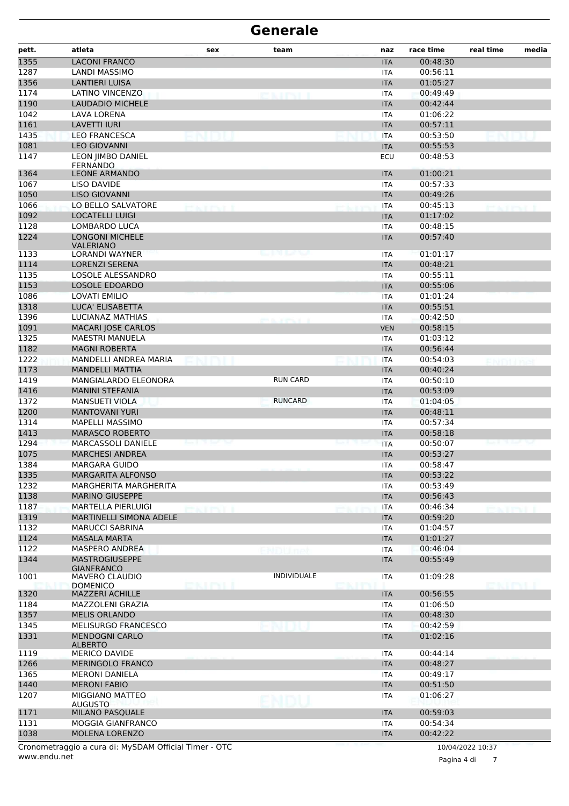| <b>LACONI FRANCO</b><br>00:48:30<br><b>ITA</b><br>1287<br>00:56:11<br>LANDI MASSIMO<br><b>ITA</b><br>1356<br><b>LANTIERI LUISA</b><br>01:05:27<br><b>ITA</b><br>1174<br><b>LATINO VINCENZO</b><br>00:49:49<br><b>ITA</b><br><b>EXAMPLE</b><br>1190<br><b>LAUDADIO MICHELE</b><br>00:42:44<br><b>ITA</b><br>1042<br><b>LAVA LORENA</b><br>01:06:22<br><b>ITA</b><br>1161<br><b>LAVETTI IURI</b><br>00:57:11<br><b>ITA</b><br>1435<br><b>LEO FRANCESCA</b><br>00:53:50<br><b>ITA</b><br>1081<br><b>LEO GIOVANNI</b><br>00:55:53<br><b>ITA</b><br>LEON JIMBO DANIEL<br>1147<br>00:48:53<br>ECU<br><b>FERNANDO</b><br>1364<br><b>LEONE ARMANDO</b><br>01:00:21<br><b>ITA</b><br>1067<br>00:57:33<br>LISO DAVIDE<br><b>ITA</b><br>1050<br><b>LISO GIOVANNI</b><br>00:49:26<br><b>ITA</b><br>1066<br>LO BELLO SALVATORE<br>00:45:13<br><b>ITA</b><br>tan ma<br>SAIT PAT<br>1092<br><b>LOCATELLI LUIGI</b><br>01:17:02<br><b>ITA</b><br>1128<br>LOMBARDO LUCA<br>00:48:15<br><b>ITA</b><br>1224<br><b>LONGONI MICHELE</b><br>00:57:40<br><b>ITA</b><br><b>VALERIANO</b><br>1133<br>LORANDI WAYNER<br>01:01:17<br>میں روبر ہے<br>ITA<br>1114<br>00:48:21<br>LORENZI SERENA<br><b>ITA</b><br>1135<br>LOSOLE ALESSANDRO<br>00:55:11<br><b>ITA</b><br>1153<br><b>LOSOLE EDOARDO</b><br>00:55:06<br><b>ITA</b><br>1086<br>01:01:24<br>LOVATI EMILIO<br><b>ITA</b><br>1318<br>LUCA' ELISABETTA<br>00:55:51<br><b>ITA</b><br>1396<br><b>LUCIANAZ MATHIAS</b><br>00:42:50<br><b>ITA</b><br>and the contemporal<br>1091<br>MACARI JOSE CARLOS<br>00:58:15<br><b>VEN</b><br>1325<br><b>MAESTRI MANUELA</b><br>01:03:12<br><b>ITA</b><br>1182<br><b>MAGNI ROBERTA</b><br>00:56:44<br><b>ITA</b><br>1222<br>MANDELLI ANDREA MARIA<br>00:54:03<br><b>ITA</b><br>1173<br><b>MANDELLI MATTIA</b><br><b>ITA</b><br>00:40:24<br><b>RUN CARD</b><br>1419<br>MANGIALARDO ELEONORA<br><b>ITA</b><br>00:50:10<br>1416<br><b>MANINI STEFANIA</b><br>00:53:09<br><b>ITA</b><br><b>RUNCARD</b><br>1372<br><b>MANSUETI VIOLA</b><br>01:04:05<br><b>ITA</b><br>1200<br><b>MANTOVANI YURI</b><br>00:48:11<br><b>ITA</b><br>1314<br>00:57:34<br>MAPELLI MASSIMO<br><b>ITA</b><br>1413<br><b>MARASCO ROBERTO</b><br>00:58:18<br><b>ITA</b><br>1294<br>MARCASSOLI DANIELE<br>00:50:07<br><b>ITA</b><br>1075<br><b>MARCHESI ANDREA</b><br>00:53:27<br><b>ITA</b><br>1384<br><b>MARGARA GUIDO</b><br>00:58:47<br>ITA<br>1335<br>00:53:22<br><b>MARGARITA ALFONSO</b><br><b>ITA</b><br>1232<br><b>MARGHERITA MARGHERITA</b><br>00:53:49<br>ITA<br>1138<br><b>MARINO GIUSEPPE</b><br>00:56:43<br><b>ITA</b><br>1187<br>MARTELLA PIERLUIGI<br>00:46:34<br>ITA<br>KT TYLL<br>exter i<br>1319<br>MARTINELLI SIMONA ADELE<br>00:59:20<br><b>ITA</b><br>1132<br><b>MARUCCI SABRINA</b><br>01:04:57<br><b>ITA</b><br>1124<br><b>MASALA MARTA</b><br>01:01:27<br><b>ITA</b><br>1122<br><b>MASPERO ANDREA</b><br>00:46:04<br>ITA<br>1344<br><b>MASTROGIUSEPPE</b><br>00:55:49<br><b>ITA</b><br><b>GIANFRANCO</b><br><b>INDIVIDUALE</b><br>1001<br>01:09:28<br>MAVERO CLAUDIO<br>ITA<br>EN INI<br>euru<br><b>DOMENICO</b><br>1320<br><b>MAZZERI ACHILLE</b><br><b>ITA</b><br>00:56:55<br>MAZZOLENI GRAZIA<br>01:06:50<br><b>ITA</b><br>1357<br><b>MELIS ORLANDO</b><br><b>ITA</b><br>00:48:30<br>MELISURGO FRANCESCO<br>00:42:59<br><b>ITA</b><br><b>MENDOGNI CARLO</b><br>01:02:16<br><b>ITA</b><br><b>ALBERTO</b><br><b>MERICO DAVIDE</b><br>00:44:14<br>ITA<br><b>MERINGOLO FRANCO</b><br>00:48:27<br><b>ITA</b><br>00:49:17<br><b>MERONI DANIELA</b><br><b>ITA</b><br>1440<br><b>MERONI FABIO</b><br>00:51:50<br><b>ITA</b><br>MIGGIANO MATTEO<br>1207<br>01:06:27<br>ITA<br><b>AUGUSTO</b><br>1171<br><b>MILANO PASQUALE</b><br><b>ITA</b><br>00:59:03<br>MOGGIA GIANFRANCO<br>00:54:34<br><b>ITA</b><br>1038<br>MOLENA LORENZO<br>00:42:22<br><b>ITA</b><br>$P_{\text{M}}$ CD $\lambda M$ OCC $\lambda T$ | pett. | atleta | sex | team | naz | race time | real time | media |
|---------------------------------------------------------------------------------------------------------------------------------------------------------------------------------------------------------------------------------------------------------------------------------------------------------------------------------------------------------------------------------------------------------------------------------------------------------------------------------------------------------------------------------------------------------------------------------------------------------------------------------------------------------------------------------------------------------------------------------------------------------------------------------------------------------------------------------------------------------------------------------------------------------------------------------------------------------------------------------------------------------------------------------------------------------------------------------------------------------------------------------------------------------------------------------------------------------------------------------------------------------------------------------------------------------------------------------------------------------------------------------------------------------------------------------------------------------------------------------------------------------------------------------------------------------------------------------------------------------------------------------------------------------------------------------------------------------------------------------------------------------------------------------------------------------------------------------------------------------------------------------------------------------------------------------------------------------------------------------------------------------------------------------------------------------------------------------------------------------------------------------------------------------------------------------------------------------------------------------------------------------------------------------------------------------------------------------------------------------------------------------------------------------------------------------------------------------------------------------------------------------------------------------------------------------------------------------------------------------------------------------------------------------------------------------------------------------------------------------------------------------------------------------------------------------------------------------------------------------------------------------------------------------------------------------------------------------------------------------------------------------------------------------------------------------------------------------------------------------------------------------------------------------------------------------------------------------------------------------------------------------------------------------------------------------------------------------------------------------------------------------------------------------------------------------------------------------------------------------------------------------------------------------------------------------------------------------------------------------------------------------------------------------------------------------------------------------------------------------------------------------------------------------------------------------------------------------------------------------------|-------|--------|-----|------|-----|-----------|-----------|-------|
|                                                                                                                                                                                                                                                                                                                                                                                                                                                                                                                                                                                                                                                                                                                                                                                                                                                                                                                                                                                                                                                                                                                                                                                                                                                                                                                                                                                                                                                                                                                                                                                                                                                                                                                                                                                                                                                                                                                                                                                                                                                                                                                                                                                                                                                                                                                                                                                                                                                                                                                                                                                                                                                                                                                                                                                                                                                                                                                                                                                                                                                                                                                                                                                                                                                                                                                                                                                                                                                                                                                                                                                                                                                                                                                                                                                                                                                               | 1355  |        |     |      |     |           |           |       |
|                                                                                                                                                                                                                                                                                                                                                                                                                                                                                                                                                                                                                                                                                                                                                                                                                                                                                                                                                                                                                                                                                                                                                                                                                                                                                                                                                                                                                                                                                                                                                                                                                                                                                                                                                                                                                                                                                                                                                                                                                                                                                                                                                                                                                                                                                                                                                                                                                                                                                                                                                                                                                                                                                                                                                                                                                                                                                                                                                                                                                                                                                                                                                                                                                                                                                                                                                                                                                                                                                                                                                                                                                                                                                                                                                                                                                                                               |       |        |     |      |     |           |           |       |
|                                                                                                                                                                                                                                                                                                                                                                                                                                                                                                                                                                                                                                                                                                                                                                                                                                                                                                                                                                                                                                                                                                                                                                                                                                                                                                                                                                                                                                                                                                                                                                                                                                                                                                                                                                                                                                                                                                                                                                                                                                                                                                                                                                                                                                                                                                                                                                                                                                                                                                                                                                                                                                                                                                                                                                                                                                                                                                                                                                                                                                                                                                                                                                                                                                                                                                                                                                                                                                                                                                                                                                                                                                                                                                                                                                                                                                                               |       |        |     |      |     |           |           |       |
|                                                                                                                                                                                                                                                                                                                                                                                                                                                                                                                                                                                                                                                                                                                                                                                                                                                                                                                                                                                                                                                                                                                                                                                                                                                                                                                                                                                                                                                                                                                                                                                                                                                                                                                                                                                                                                                                                                                                                                                                                                                                                                                                                                                                                                                                                                                                                                                                                                                                                                                                                                                                                                                                                                                                                                                                                                                                                                                                                                                                                                                                                                                                                                                                                                                                                                                                                                                                                                                                                                                                                                                                                                                                                                                                                                                                                                                               |       |        |     |      |     |           |           |       |
|                                                                                                                                                                                                                                                                                                                                                                                                                                                                                                                                                                                                                                                                                                                                                                                                                                                                                                                                                                                                                                                                                                                                                                                                                                                                                                                                                                                                                                                                                                                                                                                                                                                                                                                                                                                                                                                                                                                                                                                                                                                                                                                                                                                                                                                                                                                                                                                                                                                                                                                                                                                                                                                                                                                                                                                                                                                                                                                                                                                                                                                                                                                                                                                                                                                                                                                                                                                                                                                                                                                                                                                                                                                                                                                                                                                                                                                               |       |        |     |      |     |           |           |       |
|                                                                                                                                                                                                                                                                                                                                                                                                                                                                                                                                                                                                                                                                                                                                                                                                                                                                                                                                                                                                                                                                                                                                                                                                                                                                                                                                                                                                                                                                                                                                                                                                                                                                                                                                                                                                                                                                                                                                                                                                                                                                                                                                                                                                                                                                                                                                                                                                                                                                                                                                                                                                                                                                                                                                                                                                                                                                                                                                                                                                                                                                                                                                                                                                                                                                                                                                                                                                                                                                                                                                                                                                                                                                                                                                                                                                                                                               |       |        |     |      |     |           |           |       |
|                                                                                                                                                                                                                                                                                                                                                                                                                                                                                                                                                                                                                                                                                                                                                                                                                                                                                                                                                                                                                                                                                                                                                                                                                                                                                                                                                                                                                                                                                                                                                                                                                                                                                                                                                                                                                                                                                                                                                                                                                                                                                                                                                                                                                                                                                                                                                                                                                                                                                                                                                                                                                                                                                                                                                                                                                                                                                                                                                                                                                                                                                                                                                                                                                                                                                                                                                                                                                                                                                                                                                                                                                                                                                                                                                                                                                                                               |       |        |     |      |     |           |           |       |
|                                                                                                                                                                                                                                                                                                                                                                                                                                                                                                                                                                                                                                                                                                                                                                                                                                                                                                                                                                                                                                                                                                                                                                                                                                                                                                                                                                                                                                                                                                                                                                                                                                                                                                                                                                                                                                                                                                                                                                                                                                                                                                                                                                                                                                                                                                                                                                                                                                                                                                                                                                                                                                                                                                                                                                                                                                                                                                                                                                                                                                                                                                                                                                                                                                                                                                                                                                                                                                                                                                                                                                                                                                                                                                                                                                                                                                                               |       |        |     |      |     |           |           |       |
|                                                                                                                                                                                                                                                                                                                                                                                                                                                                                                                                                                                                                                                                                                                                                                                                                                                                                                                                                                                                                                                                                                                                                                                                                                                                                                                                                                                                                                                                                                                                                                                                                                                                                                                                                                                                                                                                                                                                                                                                                                                                                                                                                                                                                                                                                                                                                                                                                                                                                                                                                                                                                                                                                                                                                                                                                                                                                                                                                                                                                                                                                                                                                                                                                                                                                                                                                                                                                                                                                                                                                                                                                                                                                                                                                                                                                                                               |       |        |     |      |     |           |           |       |
|                                                                                                                                                                                                                                                                                                                                                                                                                                                                                                                                                                                                                                                                                                                                                                                                                                                                                                                                                                                                                                                                                                                                                                                                                                                                                                                                                                                                                                                                                                                                                                                                                                                                                                                                                                                                                                                                                                                                                                                                                                                                                                                                                                                                                                                                                                                                                                                                                                                                                                                                                                                                                                                                                                                                                                                                                                                                                                                                                                                                                                                                                                                                                                                                                                                                                                                                                                                                                                                                                                                                                                                                                                                                                                                                                                                                                                                               |       |        |     |      |     |           |           |       |
|                                                                                                                                                                                                                                                                                                                                                                                                                                                                                                                                                                                                                                                                                                                                                                                                                                                                                                                                                                                                                                                                                                                                                                                                                                                                                                                                                                                                                                                                                                                                                                                                                                                                                                                                                                                                                                                                                                                                                                                                                                                                                                                                                                                                                                                                                                                                                                                                                                                                                                                                                                                                                                                                                                                                                                                                                                                                                                                                                                                                                                                                                                                                                                                                                                                                                                                                                                                                                                                                                                                                                                                                                                                                                                                                                                                                                                                               |       |        |     |      |     |           |           |       |
|                                                                                                                                                                                                                                                                                                                                                                                                                                                                                                                                                                                                                                                                                                                                                                                                                                                                                                                                                                                                                                                                                                                                                                                                                                                                                                                                                                                                                                                                                                                                                                                                                                                                                                                                                                                                                                                                                                                                                                                                                                                                                                                                                                                                                                                                                                                                                                                                                                                                                                                                                                                                                                                                                                                                                                                                                                                                                                                                                                                                                                                                                                                                                                                                                                                                                                                                                                                                                                                                                                                                                                                                                                                                                                                                                                                                                                                               |       |        |     |      |     |           |           |       |
|                                                                                                                                                                                                                                                                                                                                                                                                                                                                                                                                                                                                                                                                                                                                                                                                                                                                                                                                                                                                                                                                                                                                                                                                                                                                                                                                                                                                                                                                                                                                                                                                                                                                                                                                                                                                                                                                                                                                                                                                                                                                                                                                                                                                                                                                                                                                                                                                                                                                                                                                                                                                                                                                                                                                                                                                                                                                                                                                                                                                                                                                                                                                                                                                                                                                                                                                                                                                                                                                                                                                                                                                                                                                                                                                                                                                                                                               |       |        |     |      |     |           |           |       |
|                                                                                                                                                                                                                                                                                                                                                                                                                                                                                                                                                                                                                                                                                                                                                                                                                                                                                                                                                                                                                                                                                                                                                                                                                                                                                                                                                                                                                                                                                                                                                                                                                                                                                                                                                                                                                                                                                                                                                                                                                                                                                                                                                                                                                                                                                                                                                                                                                                                                                                                                                                                                                                                                                                                                                                                                                                                                                                                                                                                                                                                                                                                                                                                                                                                                                                                                                                                                                                                                                                                                                                                                                                                                                                                                                                                                                                                               |       |        |     |      |     |           |           |       |
|                                                                                                                                                                                                                                                                                                                                                                                                                                                                                                                                                                                                                                                                                                                                                                                                                                                                                                                                                                                                                                                                                                                                                                                                                                                                                                                                                                                                                                                                                                                                                                                                                                                                                                                                                                                                                                                                                                                                                                                                                                                                                                                                                                                                                                                                                                                                                                                                                                                                                                                                                                                                                                                                                                                                                                                                                                                                                                                                                                                                                                                                                                                                                                                                                                                                                                                                                                                                                                                                                                                                                                                                                                                                                                                                                                                                                                                               |       |        |     |      |     |           |           |       |
|                                                                                                                                                                                                                                                                                                                                                                                                                                                                                                                                                                                                                                                                                                                                                                                                                                                                                                                                                                                                                                                                                                                                                                                                                                                                                                                                                                                                                                                                                                                                                                                                                                                                                                                                                                                                                                                                                                                                                                                                                                                                                                                                                                                                                                                                                                                                                                                                                                                                                                                                                                                                                                                                                                                                                                                                                                                                                                                                                                                                                                                                                                                                                                                                                                                                                                                                                                                                                                                                                                                                                                                                                                                                                                                                                                                                                                                               |       |        |     |      |     |           |           |       |
|                                                                                                                                                                                                                                                                                                                                                                                                                                                                                                                                                                                                                                                                                                                                                                                                                                                                                                                                                                                                                                                                                                                                                                                                                                                                                                                                                                                                                                                                                                                                                                                                                                                                                                                                                                                                                                                                                                                                                                                                                                                                                                                                                                                                                                                                                                                                                                                                                                                                                                                                                                                                                                                                                                                                                                                                                                                                                                                                                                                                                                                                                                                                                                                                                                                                                                                                                                                                                                                                                                                                                                                                                                                                                                                                                                                                                                                               |       |        |     |      |     |           |           |       |
|                                                                                                                                                                                                                                                                                                                                                                                                                                                                                                                                                                                                                                                                                                                                                                                                                                                                                                                                                                                                                                                                                                                                                                                                                                                                                                                                                                                                                                                                                                                                                                                                                                                                                                                                                                                                                                                                                                                                                                                                                                                                                                                                                                                                                                                                                                                                                                                                                                                                                                                                                                                                                                                                                                                                                                                                                                                                                                                                                                                                                                                                                                                                                                                                                                                                                                                                                                                                                                                                                                                                                                                                                                                                                                                                                                                                                                                               |       |        |     |      |     |           |           |       |
|                                                                                                                                                                                                                                                                                                                                                                                                                                                                                                                                                                                                                                                                                                                                                                                                                                                                                                                                                                                                                                                                                                                                                                                                                                                                                                                                                                                                                                                                                                                                                                                                                                                                                                                                                                                                                                                                                                                                                                                                                                                                                                                                                                                                                                                                                                                                                                                                                                                                                                                                                                                                                                                                                                                                                                                                                                                                                                                                                                                                                                                                                                                                                                                                                                                                                                                                                                                                                                                                                                                                                                                                                                                                                                                                                                                                                                                               |       |        |     |      |     |           |           |       |
|                                                                                                                                                                                                                                                                                                                                                                                                                                                                                                                                                                                                                                                                                                                                                                                                                                                                                                                                                                                                                                                                                                                                                                                                                                                                                                                                                                                                                                                                                                                                                                                                                                                                                                                                                                                                                                                                                                                                                                                                                                                                                                                                                                                                                                                                                                                                                                                                                                                                                                                                                                                                                                                                                                                                                                                                                                                                                                                                                                                                                                                                                                                                                                                                                                                                                                                                                                                                                                                                                                                                                                                                                                                                                                                                                                                                                                                               |       |        |     |      |     |           |           |       |
|                                                                                                                                                                                                                                                                                                                                                                                                                                                                                                                                                                                                                                                                                                                                                                                                                                                                                                                                                                                                                                                                                                                                                                                                                                                                                                                                                                                                                                                                                                                                                                                                                                                                                                                                                                                                                                                                                                                                                                                                                                                                                                                                                                                                                                                                                                                                                                                                                                                                                                                                                                                                                                                                                                                                                                                                                                                                                                                                                                                                                                                                                                                                                                                                                                                                                                                                                                                                                                                                                                                                                                                                                                                                                                                                                                                                                                                               |       |        |     |      |     |           |           |       |
|                                                                                                                                                                                                                                                                                                                                                                                                                                                                                                                                                                                                                                                                                                                                                                                                                                                                                                                                                                                                                                                                                                                                                                                                                                                                                                                                                                                                                                                                                                                                                                                                                                                                                                                                                                                                                                                                                                                                                                                                                                                                                                                                                                                                                                                                                                                                                                                                                                                                                                                                                                                                                                                                                                                                                                                                                                                                                                                                                                                                                                                                                                                                                                                                                                                                                                                                                                                                                                                                                                                                                                                                                                                                                                                                                                                                                                                               |       |        |     |      |     |           |           |       |
|                                                                                                                                                                                                                                                                                                                                                                                                                                                                                                                                                                                                                                                                                                                                                                                                                                                                                                                                                                                                                                                                                                                                                                                                                                                                                                                                                                                                                                                                                                                                                                                                                                                                                                                                                                                                                                                                                                                                                                                                                                                                                                                                                                                                                                                                                                                                                                                                                                                                                                                                                                                                                                                                                                                                                                                                                                                                                                                                                                                                                                                                                                                                                                                                                                                                                                                                                                                                                                                                                                                                                                                                                                                                                                                                                                                                                                                               |       |        |     |      |     |           |           |       |
|                                                                                                                                                                                                                                                                                                                                                                                                                                                                                                                                                                                                                                                                                                                                                                                                                                                                                                                                                                                                                                                                                                                                                                                                                                                                                                                                                                                                                                                                                                                                                                                                                                                                                                                                                                                                                                                                                                                                                                                                                                                                                                                                                                                                                                                                                                                                                                                                                                                                                                                                                                                                                                                                                                                                                                                                                                                                                                                                                                                                                                                                                                                                                                                                                                                                                                                                                                                                                                                                                                                                                                                                                                                                                                                                                                                                                                                               |       |        |     |      |     |           |           |       |
|                                                                                                                                                                                                                                                                                                                                                                                                                                                                                                                                                                                                                                                                                                                                                                                                                                                                                                                                                                                                                                                                                                                                                                                                                                                                                                                                                                                                                                                                                                                                                                                                                                                                                                                                                                                                                                                                                                                                                                                                                                                                                                                                                                                                                                                                                                                                                                                                                                                                                                                                                                                                                                                                                                                                                                                                                                                                                                                                                                                                                                                                                                                                                                                                                                                                                                                                                                                                                                                                                                                                                                                                                                                                                                                                                                                                                                                               |       |        |     |      |     |           |           |       |
|                                                                                                                                                                                                                                                                                                                                                                                                                                                                                                                                                                                                                                                                                                                                                                                                                                                                                                                                                                                                                                                                                                                                                                                                                                                                                                                                                                                                                                                                                                                                                                                                                                                                                                                                                                                                                                                                                                                                                                                                                                                                                                                                                                                                                                                                                                                                                                                                                                                                                                                                                                                                                                                                                                                                                                                                                                                                                                                                                                                                                                                                                                                                                                                                                                                                                                                                                                                                                                                                                                                                                                                                                                                                                                                                                                                                                                                               |       |        |     |      |     |           |           |       |
|                                                                                                                                                                                                                                                                                                                                                                                                                                                                                                                                                                                                                                                                                                                                                                                                                                                                                                                                                                                                                                                                                                                                                                                                                                                                                                                                                                                                                                                                                                                                                                                                                                                                                                                                                                                                                                                                                                                                                                                                                                                                                                                                                                                                                                                                                                                                                                                                                                                                                                                                                                                                                                                                                                                                                                                                                                                                                                                                                                                                                                                                                                                                                                                                                                                                                                                                                                                                                                                                                                                                                                                                                                                                                                                                                                                                                                                               |       |        |     |      |     |           |           |       |
|                                                                                                                                                                                                                                                                                                                                                                                                                                                                                                                                                                                                                                                                                                                                                                                                                                                                                                                                                                                                                                                                                                                                                                                                                                                                                                                                                                                                                                                                                                                                                                                                                                                                                                                                                                                                                                                                                                                                                                                                                                                                                                                                                                                                                                                                                                                                                                                                                                                                                                                                                                                                                                                                                                                                                                                                                                                                                                                                                                                                                                                                                                                                                                                                                                                                                                                                                                                                                                                                                                                                                                                                                                                                                                                                                                                                                                                               |       |        |     |      |     |           |           |       |
|                                                                                                                                                                                                                                                                                                                                                                                                                                                                                                                                                                                                                                                                                                                                                                                                                                                                                                                                                                                                                                                                                                                                                                                                                                                                                                                                                                                                                                                                                                                                                                                                                                                                                                                                                                                                                                                                                                                                                                                                                                                                                                                                                                                                                                                                                                                                                                                                                                                                                                                                                                                                                                                                                                                                                                                                                                                                                                                                                                                                                                                                                                                                                                                                                                                                                                                                                                                                                                                                                                                                                                                                                                                                                                                                                                                                                                                               |       |        |     |      |     |           |           |       |
|                                                                                                                                                                                                                                                                                                                                                                                                                                                                                                                                                                                                                                                                                                                                                                                                                                                                                                                                                                                                                                                                                                                                                                                                                                                                                                                                                                                                                                                                                                                                                                                                                                                                                                                                                                                                                                                                                                                                                                                                                                                                                                                                                                                                                                                                                                                                                                                                                                                                                                                                                                                                                                                                                                                                                                                                                                                                                                                                                                                                                                                                                                                                                                                                                                                                                                                                                                                                                                                                                                                                                                                                                                                                                                                                                                                                                                                               |       |        |     |      |     |           |           |       |
|                                                                                                                                                                                                                                                                                                                                                                                                                                                                                                                                                                                                                                                                                                                                                                                                                                                                                                                                                                                                                                                                                                                                                                                                                                                                                                                                                                                                                                                                                                                                                                                                                                                                                                                                                                                                                                                                                                                                                                                                                                                                                                                                                                                                                                                                                                                                                                                                                                                                                                                                                                                                                                                                                                                                                                                                                                                                                                                                                                                                                                                                                                                                                                                                                                                                                                                                                                                                                                                                                                                                                                                                                                                                                                                                                                                                                                                               |       |        |     |      |     |           |           |       |
|                                                                                                                                                                                                                                                                                                                                                                                                                                                                                                                                                                                                                                                                                                                                                                                                                                                                                                                                                                                                                                                                                                                                                                                                                                                                                                                                                                                                                                                                                                                                                                                                                                                                                                                                                                                                                                                                                                                                                                                                                                                                                                                                                                                                                                                                                                                                                                                                                                                                                                                                                                                                                                                                                                                                                                                                                                                                                                                                                                                                                                                                                                                                                                                                                                                                                                                                                                                                                                                                                                                                                                                                                                                                                                                                                                                                                                                               |       |        |     |      |     |           |           |       |
|                                                                                                                                                                                                                                                                                                                                                                                                                                                                                                                                                                                                                                                                                                                                                                                                                                                                                                                                                                                                                                                                                                                                                                                                                                                                                                                                                                                                                                                                                                                                                                                                                                                                                                                                                                                                                                                                                                                                                                                                                                                                                                                                                                                                                                                                                                                                                                                                                                                                                                                                                                                                                                                                                                                                                                                                                                                                                                                                                                                                                                                                                                                                                                                                                                                                                                                                                                                                                                                                                                                                                                                                                                                                                                                                                                                                                                                               |       |        |     |      |     |           |           |       |
|                                                                                                                                                                                                                                                                                                                                                                                                                                                                                                                                                                                                                                                                                                                                                                                                                                                                                                                                                                                                                                                                                                                                                                                                                                                                                                                                                                                                                                                                                                                                                                                                                                                                                                                                                                                                                                                                                                                                                                                                                                                                                                                                                                                                                                                                                                                                                                                                                                                                                                                                                                                                                                                                                                                                                                                                                                                                                                                                                                                                                                                                                                                                                                                                                                                                                                                                                                                                                                                                                                                                                                                                                                                                                                                                                                                                                                                               |       |        |     |      |     |           |           |       |
|                                                                                                                                                                                                                                                                                                                                                                                                                                                                                                                                                                                                                                                                                                                                                                                                                                                                                                                                                                                                                                                                                                                                                                                                                                                                                                                                                                                                                                                                                                                                                                                                                                                                                                                                                                                                                                                                                                                                                                                                                                                                                                                                                                                                                                                                                                                                                                                                                                                                                                                                                                                                                                                                                                                                                                                                                                                                                                                                                                                                                                                                                                                                                                                                                                                                                                                                                                                                                                                                                                                                                                                                                                                                                                                                                                                                                                                               |       |        |     |      |     |           |           |       |
|                                                                                                                                                                                                                                                                                                                                                                                                                                                                                                                                                                                                                                                                                                                                                                                                                                                                                                                                                                                                                                                                                                                                                                                                                                                                                                                                                                                                                                                                                                                                                                                                                                                                                                                                                                                                                                                                                                                                                                                                                                                                                                                                                                                                                                                                                                                                                                                                                                                                                                                                                                                                                                                                                                                                                                                                                                                                                                                                                                                                                                                                                                                                                                                                                                                                                                                                                                                                                                                                                                                                                                                                                                                                                                                                                                                                                                                               |       |        |     |      |     |           |           |       |
|                                                                                                                                                                                                                                                                                                                                                                                                                                                                                                                                                                                                                                                                                                                                                                                                                                                                                                                                                                                                                                                                                                                                                                                                                                                                                                                                                                                                                                                                                                                                                                                                                                                                                                                                                                                                                                                                                                                                                                                                                                                                                                                                                                                                                                                                                                                                                                                                                                                                                                                                                                                                                                                                                                                                                                                                                                                                                                                                                                                                                                                                                                                                                                                                                                                                                                                                                                                                                                                                                                                                                                                                                                                                                                                                                                                                                                                               |       |        |     |      |     |           |           |       |
|                                                                                                                                                                                                                                                                                                                                                                                                                                                                                                                                                                                                                                                                                                                                                                                                                                                                                                                                                                                                                                                                                                                                                                                                                                                                                                                                                                                                                                                                                                                                                                                                                                                                                                                                                                                                                                                                                                                                                                                                                                                                                                                                                                                                                                                                                                                                                                                                                                                                                                                                                                                                                                                                                                                                                                                                                                                                                                                                                                                                                                                                                                                                                                                                                                                                                                                                                                                                                                                                                                                                                                                                                                                                                                                                                                                                                                                               |       |        |     |      |     |           |           |       |
|                                                                                                                                                                                                                                                                                                                                                                                                                                                                                                                                                                                                                                                                                                                                                                                                                                                                                                                                                                                                                                                                                                                                                                                                                                                                                                                                                                                                                                                                                                                                                                                                                                                                                                                                                                                                                                                                                                                                                                                                                                                                                                                                                                                                                                                                                                                                                                                                                                                                                                                                                                                                                                                                                                                                                                                                                                                                                                                                                                                                                                                                                                                                                                                                                                                                                                                                                                                                                                                                                                                                                                                                                                                                                                                                                                                                                                                               |       |        |     |      |     |           |           |       |
|                                                                                                                                                                                                                                                                                                                                                                                                                                                                                                                                                                                                                                                                                                                                                                                                                                                                                                                                                                                                                                                                                                                                                                                                                                                                                                                                                                                                                                                                                                                                                                                                                                                                                                                                                                                                                                                                                                                                                                                                                                                                                                                                                                                                                                                                                                                                                                                                                                                                                                                                                                                                                                                                                                                                                                                                                                                                                                                                                                                                                                                                                                                                                                                                                                                                                                                                                                                                                                                                                                                                                                                                                                                                                                                                                                                                                                                               |       |        |     |      |     |           |           |       |
|                                                                                                                                                                                                                                                                                                                                                                                                                                                                                                                                                                                                                                                                                                                                                                                                                                                                                                                                                                                                                                                                                                                                                                                                                                                                                                                                                                                                                                                                                                                                                                                                                                                                                                                                                                                                                                                                                                                                                                                                                                                                                                                                                                                                                                                                                                                                                                                                                                                                                                                                                                                                                                                                                                                                                                                                                                                                                                                                                                                                                                                                                                                                                                                                                                                                                                                                                                                                                                                                                                                                                                                                                                                                                                                                                                                                                                                               |       |        |     |      |     |           |           |       |
|                                                                                                                                                                                                                                                                                                                                                                                                                                                                                                                                                                                                                                                                                                                                                                                                                                                                                                                                                                                                                                                                                                                                                                                                                                                                                                                                                                                                                                                                                                                                                                                                                                                                                                                                                                                                                                                                                                                                                                                                                                                                                                                                                                                                                                                                                                                                                                                                                                                                                                                                                                                                                                                                                                                                                                                                                                                                                                                                                                                                                                                                                                                                                                                                                                                                                                                                                                                                                                                                                                                                                                                                                                                                                                                                                                                                                                                               |       |        |     |      |     |           |           |       |
|                                                                                                                                                                                                                                                                                                                                                                                                                                                                                                                                                                                                                                                                                                                                                                                                                                                                                                                                                                                                                                                                                                                                                                                                                                                                                                                                                                                                                                                                                                                                                                                                                                                                                                                                                                                                                                                                                                                                                                                                                                                                                                                                                                                                                                                                                                                                                                                                                                                                                                                                                                                                                                                                                                                                                                                                                                                                                                                                                                                                                                                                                                                                                                                                                                                                                                                                                                                                                                                                                                                                                                                                                                                                                                                                                                                                                                                               |       |        |     |      |     |           |           |       |
|                                                                                                                                                                                                                                                                                                                                                                                                                                                                                                                                                                                                                                                                                                                                                                                                                                                                                                                                                                                                                                                                                                                                                                                                                                                                                                                                                                                                                                                                                                                                                                                                                                                                                                                                                                                                                                                                                                                                                                                                                                                                                                                                                                                                                                                                                                                                                                                                                                                                                                                                                                                                                                                                                                                                                                                                                                                                                                                                                                                                                                                                                                                                                                                                                                                                                                                                                                                                                                                                                                                                                                                                                                                                                                                                                                                                                                                               |       |        |     |      |     |           |           |       |
|                                                                                                                                                                                                                                                                                                                                                                                                                                                                                                                                                                                                                                                                                                                                                                                                                                                                                                                                                                                                                                                                                                                                                                                                                                                                                                                                                                                                                                                                                                                                                                                                                                                                                                                                                                                                                                                                                                                                                                                                                                                                                                                                                                                                                                                                                                                                                                                                                                                                                                                                                                                                                                                                                                                                                                                                                                                                                                                                                                                                                                                                                                                                                                                                                                                                                                                                                                                                                                                                                                                                                                                                                                                                                                                                                                                                                                                               |       |        |     |      |     |           |           |       |
|                                                                                                                                                                                                                                                                                                                                                                                                                                                                                                                                                                                                                                                                                                                                                                                                                                                                                                                                                                                                                                                                                                                                                                                                                                                                                                                                                                                                                                                                                                                                                                                                                                                                                                                                                                                                                                                                                                                                                                                                                                                                                                                                                                                                                                                                                                                                                                                                                                                                                                                                                                                                                                                                                                                                                                                                                                                                                                                                                                                                                                                                                                                                                                                                                                                                                                                                                                                                                                                                                                                                                                                                                                                                                                                                                                                                                                                               |       |        |     |      |     |           |           |       |
|                                                                                                                                                                                                                                                                                                                                                                                                                                                                                                                                                                                                                                                                                                                                                                                                                                                                                                                                                                                                                                                                                                                                                                                                                                                                                                                                                                                                                                                                                                                                                                                                                                                                                                                                                                                                                                                                                                                                                                                                                                                                                                                                                                                                                                                                                                                                                                                                                                                                                                                                                                                                                                                                                                                                                                                                                                                                                                                                                                                                                                                                                                                                                                                                                                                                                                                                                                                                                                                                                                                                                                                                                                                                                                                                                                                                                                                               |       |        |     |      |     |           |           |       |
|                                                                                                                                                                                                                                                                                                                                                                                                                                                                                                                                                                                                                                                                                                                                                                                                                                                                                                                                                                                                                                                                                                                                                                                                                                                                                                                                                                                                                                                                                                                                                                                                                                                                                                                                                                                                                                                                                                                                                                                                                                                                                                                                                                                                                                                                                                                                                                                                                                                                                                                                                                                                                                                                                                                                                                                                                                                                                                                                                                                                                                                                                                                                                                                                                                                                                                                                                                                                                                                                                                                                                                                                                                                                                                                                                                                                                                                               |       |        |     |      |     |           |           |       |
|                                                                                                                                                                                                                                                                                                                                                                                                                                                                                                                                                                                                                                                                                                                                                                                                                                                                                                                                                                                                                                                                                                                                                                                                                                                                                                                                                                                                                                                                                                                                                                                                                                                                                                                                                                                                                                                                                                                                                                                                                                                                                                                                                                                                                                                                                                                                                                                                                                                                                                                                                                                                                                                                                                                                                                                                                                                                                                                                                                                                                                                                                                                                                                                                                                                                                                                                                                                                                                                                                                                                                                                                                                                                                                                                                                                                                                                               | 1184  |        |     |      |     |           |           |       |
|                                                                                                                                                                                                                                                                                                                                                                                                                                                                                                                                                                                                                                                                                                                                                                                                                                                                                                                                                                                                                                                                                                                                                                                                                                                                                                                                                                                                                                                                                                                                                                                                                                                                                                                                                                                                                                                                                                                                                                                                                                                                                                                                                                                                                                                                                                                                                                                                                                                                                                                                                                                                                                                                                                                                                                                                                                                                                                                                                                                                                                                                                                                                                                                                                                                                                                                                                                                                                                                                                                                                                                                                                                                                                                                                                                                                                                                               |       |        |     |      |     |           |           |       |
|                                                                                                                                                                                                                                                                                                                                                                                                                                                                                                                                                                                                                                                                                                                                                                                                                                                                                                                                                                                                                                                                                                                                                                                                                                                                                                                                                                                                                                                                                                                                                                                                                                                                                                                                                                                                                                                                                                                                                                                                                                                                                                                                                                                                                                                                                                                                                                                                                                                                                                                                                                                                                                                                                                                                                                                                                                                                                                                                                                                                                                                                                                                                                                                                                                                                                                                                                                                                                                                                                                                                                                                                                                                                                                                                                                                                                                                               | 1345  |        |     |      |     |           |           |       |
|                                                                                                                                                                                                                                                                                                                                                                                                                                                                                                                                                                                                                                                                                                                                                                                                                                                                                                                                                                                                                                                                                                                                                                                                                                                                                                                                                                                                                                                                                                                                                                                                                                                                                                                                                                                                                                                                                                                                                                                                                                                                                                                                                                                                                                                                                                                                                                                                                                                                                                                                                                                                                                                                                                                                                                                                                                                                                                                                                                                                                                                                                                                                                                                                                                                                                                                                                                                                                                                                                                                                                                                                                                                                                                                                                                                                                                                               | 1331  |        |     |      |     |           |           |       |
|                                                                                                                                                                                                                                                                                                                                                                                                                                                                                                                                                                                                                                                                                                                                                                                                                                                                                                                                                                                                                                                                                                                                                                                                                                                                                                                                                                                                                                                                                                                                                                                                                                                                                                                                                                                                                                                                                                                                                                                                                                                                                                                                                                                                                                                                                                                                                                                                                                                                                                                                                                                                                                                                                                                                                                                                                                                                                                                                                                                                                                                                                                                                                                                                                                                                                                                                                                                                                                                                                                                                                                                                                                                                                                                                                                                                                                                               | 1119  |        |     |      |     |           |           |       |
|                                                                                                                                                                                                                                                                                                                                                                                                                                                                                                                                                                                                                                                                                                                                                                                                                                                                                                                                                                                                                                                                                                                                                                                                                                                                                                                                                                                                                                                                                                                                                                                                                                                                                                                                                                                                                                                                                                                                                                                                                                                                                                                                                                                                                                                                                                                                                                                                                                                                                                                                                                                                                                                                                                                                                                                                                                                                                                                                                                                                                                                                                                                                                                                                                                                                                                                                                                                                                                                                                                                                                                                                                                                                                                                                                                                                                                                               | 1266  |        |     |      |     |           |           |       |
|                                                                                                                                                                                                                                                                                                                                                                                                                                                                                                                                                                                                                                                                                                                                                                                                                                                                                                                                                                                                                                                                                                                                                                                                                                                                                                                                                                                                                                                                                                                                                                                                                                                                                                                                                                                                                                                                                                                                                                                                                                                                                                                                                                                                                                                                                                                                                                                                                                                                                                                                                                                                                                                                                                                                                                                                                                                                                                                                                                                                                                                                                                                                                                                                                                                                                                                                                                                                                                                                                                                                                                                                                                                                                                                                                                                                                                                               | 1365  |        |     |      |     |           |           |       |
|                                                                                                                                                                                                                                                                                                                                                                                                                                                                                                                                                                                                                                                                                                                                                                                                                                                                                                                                                                                                                                                                                                                                                                                                                                                                                                                                                                                                                                                                                                                                                                                                                                                                                                                                                                                                                                                                                                                                                                                                                                                                                                                                                                                                                                                                                                                                                                                                                                                                                                                                                                                                                                                                                                                                                                                                                                                                                                                                                                                                                                                                                                                                                                                                                                                                                                                                                                                                                                                                                                                                                                                                                                                                                                                                                                                                                                                               |       |        |     |      |     |           |           |       |
|                                                                                                                                                                                                                                                                                                                                                                                                                                                                                                                                                                                                                                                                                                                                                                                                                                                                                                                                                                                                                                                                                                                                                                                                                                                                                                                                                                                                                                                                                                                                                                                                                                                                                                                                                                                                                                                                                                                                                                                                                                                                                                                                                                                                                                                                                                                                                                                                                                                                                                                                                                                                                                                                                                                                                                                                                                                                                                                                                                                                                                                                                                                                                                                                                                                                                                                                                                                                                                                                                                                                                                                                                                                                                                                                                                                                                                                               |       |        |     |      |     |           |           |       |
|                                                                                                                                                                                                                                                                                                                                                                                                                                                                                                                                                                                                                                                                                                                                                                                                                                                                                                                                                                                                                                                                                                                                                                                                                                                                                                                                                                                                                                                                                                                                                                                                                                                                                                                                                                                                                                                                                                                                                                                                                                                                                                                                                                                                                                                                                                                                                                                                                                                                                                                                                                                                                                                                                                                                                                                                                                                                                                                                                                                                                                                                                                                                                                                                                                                                                                                                                                                                                                                                                                                                                                                                                                                                                                                                                                                                                                                               |       |        |     |      |     |           |           |       |
|                                                                                                                                                                                                                                                                                                                                                                                                                                                                                                                                                                                                                                                                                                                                                                                                                                                                                                                                                                                                                                                                                                                                                                                                                                                                                                                                                                                                                                                                                                                                                                                                                                                                                                                                                                                                                                                                                                                                                                                                                                                                                                                                                                                                                                                                                                                                                                                                                                                                                                                                                                                                                                                                                                                                                                                                                                                                                                                                                                                                                                                                                                                                                                                                                                                                                                                                                                                                                                                                                                                                                                                                                                                                                                                                                                                                                                                               | 1131  |        |     |      |     |           |           |       |
|                                                                                                                                                                                                                                                                                                                                                                                                                                                                                                                                                                                                                                                                                                                                                                                                                                                                                                                                                                                                                                                                                                                                                                                                                                                                                                                                                                                                                                                                                                                                                                                                                                                                                                                                                                                                                                                                                                                                                                                                                                                                                                                                                                                                                                                                                                                                                                                                                                                                                                                                                                                                                                                                                                                                                                                                                                                                                                                                                                                                                                                                                                                                                                                                                                                                                                                                                                                                                                                                                                                                                                                                                                                                                                                                                                                                                                                               |       |        |     |      |     |           |           |       |

www.endu.net Cronometraggio a cura di: MySDAM Official Timer - OTC 10/04/2022 10:37

Pagina 4 di 7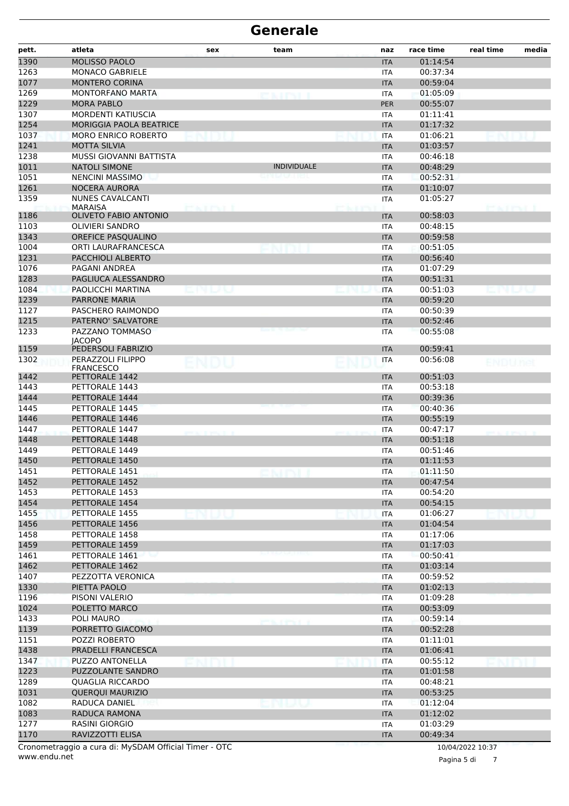| <b>MOLISSO PAOLO</b><br>01:14:54<br><b>ITA</b><br>MONACO GABRIELE<br>00:37:34<br>ITA<br><b>MONTERO CORINA</b><br>00:59:04<br><b>ITA</b><br><b>MONTORFANO MARTA</b><br>01:05:09<br><b>ITA</b><br>1229<br><b>MORA PABLO</b><br>00:55:07<br><b>PER</b><br>1307<br>MORDENTI KATIUSCIA<br>01:11:41<br><b>ITA</b><br>1254<br>MORIGGIA PAOLA BEATRICE<br>01:17:32<br><b>ITA</b><br>1037<br><b>MORO ENRICO ROBERTO</b><br>01:06:21<br><b>ITA</b><br>1241<br><b>MOTTA SILVIA</b><br>01:03:57<br><b>ITA</b><br>1238<br>MUSSI GIOVANNI BATTISTA<br>00:46:18<br><b>ITA</b><br>1011<br><b>NATOLI SIMONE</b><br><b>INDIVIDUALE</b><br>00:48:29<br><b>ITA</b><br>1051<br>00:52:31<br><b>NENCINI MASSIMO</b><br>ITA<br>1261<br><b>NOCERA AURORA</b><br>01:10:07<br><b>ITA</b><br>1359<br><b>NUNES CAVALCANTI</b><br>01:05:27<br><b>ITA</b><br><b>MARAISA</b><br>man ma<br><b>PEACEPES</b><br><b>OLIVETO FABIO ANTONIO</b><br>00:58:03<br><b>ITA</b><br><b>OLIVIERI SANDRO</b><br>00:48:15<br><b>ITA</b><br>OREFICE PASQUALINO<br><b>ITA</b><br>00:59:58<br>ORTI LAURAFRANCESCA<br>00:51:05<br><b>ITA</b><br>PACCHIOLI ALBERTO<br>00:56:40<br><b>ITA</b><br>01:07:29<br>PAGANI ANDREA<br><b>ITA</b><br>PAGLIUCA ALESSANDRO<br>00:51:31<br><b>ITA</b><br>PAOLICCHI MARTINA<br>00:51:03<br><b>ITA</b><br><b>PARRONE MARIA</b><br>00:59:20<br><b>ITA</b><br>PASCHERO RAIMONDO<br>00:50:39<br><b>ITA</b><br>PATERNO' SALVATORE<br>00:52:46<br><b>ITA</b><br>PAZZANO TOMMASO<br>00:55:08<br><b>ITA</b><br><b>JACOPO</b><br>1159<br>00:59:41<br>PEDERSOLI FABRIZIO<br><b>ITA</b><br>1302<br>PERAZZOLI FILIPPO<br>00:56:08<br><b>ITA</b><br>ENDU<br>ENDU.nel<br><b>FRANCESCO</b><br>PETTORALE 1442<br>00:51:03<br><b>ITA</b><br>00:53:18<br>PETTORALE 1443<br><b>ITA</b><br>PETTORALE 1444<br><b>ITA</b><br>00:39:36<br>PETTORALE 1445<br>00:40:36<br><b>ITA</b><br>PETTORALE 1446<br>00:55:19<br><b>ITA</b><br>PETTORALE 1447<br>00:47:17<br><b>ITA</b><br>PETTORALE 1448<br>00:51:18<br><b>ITA</b><br>PETTORALE 1449<br>00:51:46<br><b>ITA</b><br>1450<br>PETTORALE 1450<br>01:11:53<br><b>ITA</b><br>1451<br>PETTORALE 1451<br>01:11:50<br><b>ITA</b><br>1452<br>PETTORALE 1452<br>00:47:54<br><b>ITA</b><br>1453<br>PETTORALE 1453<br>00:54:20<br><b>ITA</b><br>1454<br>PETTORALE 1454<br>00:54:15<br><b>ITA</b><br>1455<br>PETTORALE 1455<br><b>ITA</b><br>01:06:27<br>1456<br>PETTORALE 1456<br><b>ITA</b><br>01:04:54<br>1458<br>PETTORALE 1458<br>01:17:06<br><b>ITA</b><br>1459<br>PETTORALE 1459<br>01:17:03<br><b>ITA</b><br>1461<br>00:50:41<br>PETTORALE 1461<br><b>ITA</b><br>1462<br>PETTORALE 1462<br>01:03:14<br><b>ITA</b><br>1407<br>PEZZOTTA VERONICA<br><b>ITA</b><br>00:59:52<br>1330<br>PIETTA PAOLO<br><b>ITA</b><br>01:02:13<br>1196<br>PISONI VALERIO<br>01:09:28<br>ITA<br>1024<br>POLETTO MARCO<br>00:53:09<br><b>ITA</b><br>1433<br>POLI MAURO<br>00:59:14<br>ITA<br>1139<br>PORRETTO GIACOMO<br>00:52:28<br><b>ITA</b><br>1151<br>POZZI ROBERTO<br><b>ITA</b><br>01:11:01<br>1438<br>PRADELLI FRANCESCA<br>01:06:41<br><b>ITA</b><br>1347<br><b>PUZZO ANTONELLA</b><br>00:55:12<br><b>ITA</b><br>1223<br>PUZZOLANTE SANDRO<br>01:01:58<br><b>ITA</b><br>1289<br>QUAGLIA RICCARDO<br>00:48:21<br>ITA<br>1031<br>QUERQUI MAURIZIO<br>00:53:25<br><b>ITA</b><br>1082<br>RADUCA DANIEL<br><b>ITA</b><br>01:12:04<br>.<br>1083<br>RADUCA RAMONA<br>01:12:02<br><b>ITA</b><br>1277<br>RASINI GIORGIO<br>01:03:29<br>ITA<br>RAVIZZOTTI ELISA<br>00:49:34<br><b>ITA</b><br>Cronometraggio a cura di: MySDAM Official Timer - OTC<br>10/04/2022 10:37 | pett. | atleta | sex | team | naz | race time | real time | media |
|----------------------------------------------------------------------------------------------------------------------------------------------------------------------------------------------------------------------------------------------------------------------------------------------------------------------------------------------------------------------------------------------------------------------------------------------------------------------------------------------------------------------------------------------------------------------------------------------------------------------------------------------------------------------------------------------------------------------------------------------------------------------------------------------------------------------------------------------------------------------------------------------------------------------------------------------------------------------------------------------------------------------------------------------------------------------------------------------------------------------------------------------------------------------------------------------------------------------------------------------------------------------------------------------------------------------------------------------------------------------------------------------------------------------------------------------------------------------------------------------------------------------------------------------------------------------------------------------------------------------------------------------------------------------------------------------------------------------------------------------------------------------------------------------------------------------------------------------------------------------------------------------------------------------------------------------------------------------------------------------------------------------------------------------------------------------------------------------------------------------------------------------------------------------------------------------------------------------------------------------------------------------------------------------------------------------------------------------------------------------------------------------------------------------------------------------------------------------------------------------------------------------------------------------------------------------------------------------------------------------------------------------------------------------------------------------------------------------------------------------------------------------------------------------------------------------------------------------------------------------------------------------------------------------------------------------------------------------------------------------------------------------------------------------------------------------------------------------------------------------------------------------------------------------------------------------------------------------------------------------------------------------------------------------------------------------------------------------------------------------------------------------------------------------------------------------------------------------------------------------------------------------------------------------------|-------|--------|-----|------|-----|-----------|-----------|-------|
|                                                                                                                                                                                                                                                                                                                                                                                                                                                                                                                                                                                                                                                                                                                                                                                                                                                                                                                                                                                                                                                                                                                                                                                                                                                                                                                                                                                                                                                                                                                                                                                                                                                                                                                                                                                                                                                                                                                                                                                                                                                                                                                                                                                                                                                                                                                                                                                                                                                                                                                                                                                                                                                                                                                                                                                                                                                                                                                                                                                                                                                                                                                                                                                                                                                                                                                                                                                                                                                                                                                                                    | 1390  |        |     |      |     |           |           |       |
|                                                                                                                                                                                                                                                                                                                                                                                                                                                                                                                                                                                                                                                                                                                                                                                                                                                                                                                                                                                                                                                                                                                                                                                                                                                                                                                                                                                                                                                                                                                                                                                                                                                                                                                                                                                                                                                                                                                                                                                                                                                                                                                                                                                                                                                                                                                                                                                                                                                                                                                                                                                                                                                                                                                                                                                                                                                                                                                                                                                                                                                                                                                                                                                                                                                                                                                                                                                                                                                                                                                                                    | 1263  |        |     |      |     |           |           |       |
|                                                                                                                                                                                                                                                                                                                                                                                                                                                                                                                                                                                                                                                                                                                                                                                                                                                                                                                                                                                                                                                                                                                                                                                                                                                                                                                                                                                                                                                                                                                                                                                                                                                                                                                                                                                                                                                                                                                                                                                                                                                                                                                                                                                                                                                                                                                                                                                                                                                                                                                                                                                                                                                                                                                                                                                                                                                                                                                                                                                                                                                                                                                                                                                                                                                                                                                                                                                                                                                                                                                                                    | 1077  |        |     |      |     |           |           |       |
|                                                                                                                                                                                                                                                                                                                                                                                                                                                                                                                                                                                                                                                                                                                                                                                                                                                                                                                                                                                                                                                                                                                                                                                                                                                                                                                                                                                                                                                                                                                                                                                                                                                                                                                                                                                                                                                                                                                                                                                                                                                                                                                                                                                                                                                                                                                                                                                                                                                                                                                                                                                                                                                                                                                                                                                                                                                                                                                                                                                                                                                                                                                                                                                                                                                                                                                                                                                                                                                                                                                                                    | 1269  |        |     |      |     |           |           |       |
|                                                                                                                                                                                                                                                                                                                                                                                                                                                                                                                                                                                                                                                                                                                                                                                                                                                                                                                                                                                                                                                                                                                                                                                                                                                                                                                                                                                                                                                                                                                                                                                                                                                                                                                                                                                                                                                                                                                                                                                                                                                                                                                                                                                                                                                                                                                                                                                                                                                                                                                                                                                                                                                                                                                                                                                                                                                                                                                                                                                                                                                                                                                                                                                                                                                                                                                                                                                                                                                                                                                                                    |       |        |     |      |     |           |           |       |
|                                                                                                                                                                                                                                                                                                                                                                                                                                                                                                                                                                                                                                                                                                                                                                                                                                                                                                                                                                                                                                                                                                                                                                                                                                                                                                                                                                                                                                                                                                                                                                                                                                                                                                                                                                                                                                                                                                                                                                                                                                                                                                                                                                                                                                                                                                                                                                                                                                                                                                                                                                                                                                                                                                                                                                                                                                                                                                                                                                                                                                                                                                                                                                                                                                                                                                                                                                                                                                                                                                                                                    |       |        |     |      |     |           |           |       |
|                                                                                                                                                                                                                                                                                                                                                                                                                                                                                                                                                                                                                                                                                                                                                                                                                                                                                                                                                                                                                                                                                                                                                                                                                                                                                                                                                                                                                                                                                                                                                                                                                                                                                                                                                                                                                                                                                                                                                                                                                                                                                                                                                                                                                                                                                                                                                                                                                                                                                                                                                                                                                                                                                                                                                                                                                                                                                                                                                                                                                                                                                                                                                                                                                                                                                                                                                                                                                                                                                                                                                    |       |        |     |      |     |           |           |       |
|                                                                                                                                                                                                                                                                                                                                                                                                                                                                                                                                                                                                                                                                                                                                                                                                                                                                                                                                                                                                                                                                                                                                                                                                                                                                                                                                                                                                                                                                                                                                                                                                                                                                                                                                                                                                                                                                                                                                                                                                                                                                                                                                                                                                                                                                                                                                                                                                                                                                                                                                                                                                                                                                                                                                                                                                                                                                                                                                                                                                                                                                                                                                                                                                                                                                                                                                                                                                                                                                                                                                                    |       |        |     |      |     |           |           |       |
|                                                                                                                                                                                                                                                                                                                                                                                                                                                                                                                                                                                                                                                                                                                                                                                                                                                                                                                                                                                                                                                                                                                                                                                                                                                                                                                                                                                                                                                                                                                                                                                                                                                                                                                                                                                                                                                                                                                                                                                                                                                                                                                                                                                                                                                                                                                                                                                                                                                                                                                                                                                                                                                                                                                                                                                                                                                                                                                                                                                                                                                                                                                                                                                                                                                                                                                                                                                                                                                                                                                                                    |       |        |     |      |     |           |           |       |
|                                                                                                                                                                                                                                                                                                                                                                                                                                                                                                                                                                                                                                                                                                                                                                                                                                                                                                                                                                                                                                                                                                                                                                                                                                                                                                                                                                                                                                                                                                                                                                                                                                                                                                                                                                                                                                                                                                                                                                                                                                                                                                                                                                                                                                                                                                                                                                                                                                                                                                                                                                                                                                                                                                                                                                                                                                                                                                                                                                                                                                                                                                                                                                                                                                                                                                                                                                                                                                                                                                                                                    |       |        |     |      |     |           |           |       |
|                                                                                                                                                                                                                                                                                                                                                                                                                                                                                                                                                                                                                                                                                                                                                                                                                                                                                                                                                                                                                                                                                                                                                                                                                                                                                                                                                                                                                                                                                                                                                                                                                                                                                                                                                                                                                                                                                                                                                                                                                                                                                                                                                                                                                                                                                                                                                                                                                                                                                                                                                                                                                                                                                                                                                                                                                                                                                                                                                                                                                                                                                                                                                                                                                                                                                                                                                                                                                                                                                                                                                    |       |        |     |      |     |           |           |       |
|                                                                                                                                                                                                                                                                                                                                                                                                                                                                                                                                                                                                                                                                                                                                                                                                                                                                                                                                                                                                                                                                                                                                                                                                                                                                                                                                                                                                                                                                                                                                                                                                                                                                                                                                                                                                                                                                                                                                                                                                                                                                                                                                                                                                                                                                                                                                                                                                                                                                                                                                                                                                                                                                                                                                                                                                                                                                                                                                                                                                                                                                                                                                                                                                                                                                                                                                                                                                                                                                                                                                                    |       |        |     |      |     |           |           |       |
|                                                                                                                                                                                                                                                                                                                                                                                                                                                                                                                                                                                                                                                                                                                                                                                                                                                                                                                                                                                                                                                                                                                                                                                                                                                                                                                                                                                                                                                                                                                                                                                                                                                                                                                                                                                                                                                                                                                                                                                                                                                                                                                                                                                                                                                                                                                                                                                                                                                                                                                                                                                                                                                                                                                                                                                                                                                                                                                                                                                                                                                                                                                                                                                                                                                                                                                                                                                                                                                                                                                                                    |       |        |     |      |     |           |           |       |
|                                                                                                                                                                                                                                                                                                                                                                                                                                                                                                                                                                                                                                                                                                                                                                                                                                                                                                                                                                                                                                                                                                                                                                                                                                                                                                                                                                                                                                                                                                                                                                                                                                                                                                                                                                                                                                                                                                                                                                                                                                                                                                                                                                                                                                                                                                                                                                                                                                                                                                                                                                                                                                                                                                                                                                                                                                                                                                                                                                                                                                                                                                                                                                                                                                                                                                                                                                                                                                                                                                                                                    |       |        |     |      |     |           |           |       |
|                                                                                                                                                                                                                                                                                                                                                                                                                                                                                                                                                                                                                                                                                                                                                                                                                                                                                                                                                                                                                                                                                                                                                                                                                                                                                                                                                                                                                                                                                                                                                                                                                                                                                                                                                                                                                                                                                                                                                                                                                                                                                                                                                                                                                                                                                                                                                                                                                                                                                                                                                                                                                                                                                                                                                                                                                                                                                                                                                                                                                                                                                                                                                                                                                                                                                                                                                                                                                                                                                                                                                    | 1186  |        |     |      |     |           |           |       |
|                                                                                                                                                                                                                                                                                                                                                                                                                                                                                                                                                                                                                                                                                                                                                                                                                                                                                                                                                                                                                                                                                                                                                                                                                                                                                                                                                                                                                                                                                                                                                                                                                                                                                                                                                                                                                                                                                                                                                                                                                                                                                                                                                                                                                                                                                                                                                                                                                                                                                                                                                                                                                                                                                                                                                                                                                                                                                                                                                                                                                                                                                                                                                                                                                                                                                                                                                                                                                                                                                                                                                    | 1103  |        |     |      |     |           |           |       |
|                                                                                                                                                                                                                                                                                                                                                                                                                                                                                                                                                                                                                                                                                                                                                                                                                                                                                                                                                                                                                                                                                                                                                                                                                                                                                                                                                                                                                                                                                                                                                                                                                                                                                                                                                                                                                                                                                                                                                                                                                                                                                                                                                                                                                                                                                                                                                                                                                                                                                                                                                                                                                                                                                                                                                                                                                                                                                                                                                                                                                                                                                                                                                                                                                                                                                                                                                                                                                                                                                                                                                    | 1343  |        |     |      |     |           |           |       |
|                                                                                                                                                                                                                                                                                                                                                                                                                                                                                                                                                                                                                                                                                                                                                                                                                                                                                                                                                                                                                                                                                                                                                                                                                                                                                                                                                                                                                                                                                                                                                                                                                                                                                                                                                                                                                                                                                                                                                                                                                                                                                                                                                                                                                                                                                                                                                                                                                                                                                                                                                                                                                                                                                                                                                                                                                                                                                                                                                                                                                                                                                                                                                                                                                                                                                                                                                                                                                                                                                                                                                    | 1004  |        |     |      |     |           |           |       |
|                                                                                                                                                                                                                                                                                                                                                                                                                                                                                                                                                                                                                                                                                                                                                                                                                                                                                                                                                                                                                                                                                                                                                                                                                                                                                                                                                                                                                                                                                                                                                                                                                                                                                                                                                                                                                                                                                                                                                                                                                                                                                                                                                                                                                                                                                                                                                                                                                                                                                                                                                                                                                                                                                                                                                                                                                                                                                                                                                                                                                                                                                                                                                                                                                                                                                                                                                                                                                                                                                                                                                    | 1231  |        |     |      |     |           |           |       |
|                                                                                                                                                                                                                                                                                                                                                                                                                                                                                                                                                                                                                                                                                                                                                                                                                                                                                                                                                                                                                                                                                                                                                                                                                                                                                                                                                                                                                                                                                                                                                                                                                                                                                                                                                                                                                                                                                                                                                                                                                                                                                                                                                                                                                                                                                                                                                                                                                                                                                                                                                                                                                                                                                                                                                                                                                                                                                                                                                                                                                                                                                                                                                                                                                                                                                                                                                                                                                                                                                                                                                    | 1076  |        |     |      |     |           |           |       |
|                                                                                                                                                                                                                                                                                                                                                                                                                                                                                                                                                                                                                                                                                                                                                                                                                                                                                                                                                                                                                                                                                                                                                                                                                                                                                                                                                                                                                                                                                                                                                                                                                                                                                                                                                                                                                                                                                                                                                                                                                                                                                                                                                                                                                                                                                                                                                                                                                                                                                                                                                                                                                                                                                                                                                                                                                                                                                                                                                                                                                                                                                                                                                                                                                                                                                                                                                                                                                                                                                                                                                    | 1283  |        |     |      |     |           |           |       |
|                                                                                                                                                                                                                                                                                                                                                                                                                                                                                                                                                                                                                                                                                                                                                                                                                                                                                                                                                                                                                                                                                                                                                                                                                                                                                                                                                                                                                                                                                                                                                                                                                                                                                                                                                                                                                                                                                                                                                                                                                                                                                                                                                                                                                                                                                                                                                                                                                                                                                                                                                                                                                                                                                                                                                                                                                                                                                                                                                                                                                                                                                                                                                                                                                                                                                                                                                                                                                                                                                                                                                    | 1084  |        |     |      |     |           |           |       |
|                                                                                                                                                                                                                                                                                                                                                                                                                                                                                                                                                                                                                                                                                                                                                                                                                                                                                                                                                                                                                                                                                                                                                                                                                                                                                                                                                                                                                                                                                                                                                                                                                                                                                                                                                                                                                                                                                                                                                                                                                                                                                                                                                                                                                                                                                                                                                                                                                                                                                                                                                                                                                                                                                                                                                                                                                                                                                                                                                                                                                                                                                                                                                                                                                                                                                                                                                                                                                                                                                                                                                    | 1239  |        |     |      |     |           |           |       |
|                                                                                                                                                                                                                                                                                                                                                                                                                                                                                                                                                                                                                                                                                                                                                                                                                                                                                                                                                                                                                                                                                                                                                                                                                                                                                                                                                                                                                                                                                                                                                                                                                                                                                                                                                                                                                                                                                                                                                                                                                                                                                                                                                                                                                                                                                                                                                                                                                                                                                                                                                                                                                                                                                                                                                                                                                                                                                                                                                                                                                                                                                                                                                                                                                                                                                                                                                                                                                                                                                                                                                    | 1127  |        |     |      |     |           |           |       |
|                                                                                                                                                                                                                                                                                                                                                                                                                                                                                                                                                                                                                                                                                                                                                                                                                                                                                                                                                                                                                                                                                                                                                                                                                                                                                                                                                                                                                                                                                                                                                                                                                                                                                                                                                                                                                                                                                                                                                                                                                                                                                                                                                                                                                                                                                                                                                                                                                                                                                                                                                                                                                                                                                                                                                                                                                                                                                                                                                                                                                                                                                                                                                                                                                                                                                                                                                                                                                                                                                                                                                    | 1215  |        |     |      |     |           |           |       |
|                                                                                                                                                                                                                                                                                                                                                                                                                                                                                                                                                                                                                                                                                                                                                                                                                                                                                                                                                                                                                                                                                                                                                                                                                                                                                                                                                                                                                                                                                                                                                                                                                                                                                                                                                                                                                                                                                                                                                                                                                                                                                                                                                                                                                                                                                                                                                                                                                                                                                                                                                                                                                                                                                                                                                                                                                                                                                                                                                                                                                                                                                                                                                                                                                                                                                                                                                                                                                                                                                                                                                    | 1233  |        |     |      |     |           |           |       |
|                                                                                                                                                                                                                                                                                                                                                                                                                                                                                                                                                                                                                                                                                                                                                                                                                                                                                                                                                                                                                                                                                                                                                                                                                                                                                                                                                                                                                                                                                                                                                                                                                                                                                                                                                                                                                                                                                                                                                                                                                                                                                                                                                                                                                                                                                                                                                                                                                                                                                                                                                                                                                                                                                                                                                                                                                                                                                                                                                                                                                                                                                                                                                                                                                                                                                                                                                                                                                                                                                                                                                    |       |        |     |      |     |           |           |       |
|                                                                                                                                                                                                                                                                                                                                                                                                                                                                                                                                                                                                                                                                                                                                                                                                                                                                                                                                                                                                                                                                                                                                                                                                                                                                                                                                                                                                                                                                                                                                                                                                                                                                                                                                                                                                                                                                                                                                                                                                                                                                                                                                                                                                                                                                                                                                                                                                                                                                                                                                                                                                                                                                                                                                                                                                                                                                                                                                                                                                                                                                                                                                                                                                                                                                                                                                                                                                                                                                                                                                                    |       |        |     |      |     |           |           |       |
|                                                                                                                                                                                                                                                                                                                                                                                                                                                                                                                                                                                                                                                                                                                                                                                                                                                                                                                                                                                                                                                                                                                                                                                                                                                                                                                                                                                                                                                                                                                                                                                                                                                                                                                                                                                                                                                                                                                                                                                                                                                                                                                                                                                                                                                                                                                                                                                                                                                                                                                                                                                                                                                                                                                                                                                                                                                                                                                                                                                                                                                                                                                                                                                                                                                                                                                                                                                                                                                                                                                                                    |       |        |     |      |     |           |           |       |
|                                                                                                                                                                                                                                                                                                                                                                                                                                                                                                                                                                                                                                                                                                                                                                                                                                                                                                                                                                                                                                                                                                                                                                                                                                                                                                                                                                                                                                                                                                                                                                                                                                                                                                                                                                                                                                                                                                                                                                                                                                                                                                                                                                                                                                                                                                                                                                                                                                                                                                                                                                                                                                                                                                                                                                                                                                                                                                                                                                                                                                                                                                                                                                                                                                                                                                                                                                                                                                                                                                                                                    | 1442  |        |     |      |     |           |           |       |
|                                                                                                                                                                                                                                                                                                                                                                                                                                                                                                                                                                                                                                                                                                                                                                                                                                                                                                                                                                                                                                                                                                                                                                                                                                                                                                                                                                                                                                                                                                                                                                                                                                                                                                                                                                                                                                                                                                                                                                                                                                                                                                                                                                                                                                                                                                                                                                                                                                                                                                                                                                                                                                                                                                                                                                                                                                                                                                                                                                                                                                                                                                                                                                                                                                                                                                                                                                                                                                                                                                                                                    | 1443  |        |     |      |     |           |           |       |
|                                                                                                                                                                                                                                                                                                                                                                                                                                                                                                                                                                                                                                                                                                                                                                                                                                                                                                                                                                                                                                                                                                                                                                                                                                                                                                                                                                                                                                                                                                                                                                                                                                                                                                                                                                                                                                                                                                                                                                                                                                                                                                                                                                                                                                                                                                                                                                                                                                                                                                                                                                                                                                                                                                                                                                                                                                                                                                                                                                                                                                                                                                                                                                                                                                                                                                                                                                                                                                                                                                                                                    | 1444  |        |     |      |     |           |           |       |
|                                                                                                                                                                                                                                                                                                                                                                                                                                                                                                                                                                                                                                                                                                                                                                                                                                                                                                                                                                                                                                                                                                                                                                                                                                                                                                                                                                                                                                                                                                                                                                                                                                                                                                                                                                                                                                                                                                                                                                                                                                                                                                                                                                                                                                                                                                                                                                                                                                                                                                                                                                                                                                                                                                                                                                                                                                                                                                                                                                                                                                                                                                                                                                                                                                                                                                                                                                                                                                                                                                                                                    | 1445  |        |     |      |     |           |           |       |
|                                                                                                                                                                                                                                                                                                                                                                                                                                                                                                                                                                                                                                                                                                                                                                                                                                                                                                                                                                                                                                                                                                                                                                                                                                                                                                                                                                                                                                                                                                                                                                                                                                                                                                                                                                                                                                                                                                                                                                                                                                                                                                                                                                                                                                                                                                                                                                                                                                                                                                                                                                                                                                                                                                                                                                                                                                                                                                                                                                                                                                                                                                                                                                                                                                                                                                                                                                                                                                                                                                                                                    | 1446  |        |     |      |     |           |           |       |
|                                                                                                                                                                                                                                                                                                                                                                                                                                                                                                                                                                                                                                                                                                                                                                                                                                                                                                                                                                                                                                                                                                                                                                                                                                                                                                                                                                                                                                                                                                                                                                                                                                                                                                                                                                                                                                                                                                                                                                                                                                                                                                                                                                                                                                                                                                                                                                                                                                                                                                                                                                                                                                                                                                                                                                                                                                                                                                                                                                                                                                                                                                                                                                                                                                                                                                                                                                                                                                                                                                                                                    | 1447  |        |     |      |     |           |           |       |
|                                                                                                                                                                                                                                                                                                                                                                                                                                                                                                                                                                                                                                                                                                                                                                                                                                                                                                                                                                                                                                                                                                                                                                                                                                                                                                                                                                                                                                                                                                                                                                                                                                                                                                                                                                                                                                                                                                                                                                                                                                                                                                                                                                                                                                                                                                                                                                                                                                                                                                                                                                                                                                                                                                                                                                                                                                                                                                                                                                                                                                                                                                                                                                                                                                                                                                                                                                                                                                                                                                                                                    | 1448  |        |     |      |     |           |           |       |
|                                                                                                                                                                                                                                                                                                                                                                                                                                                                                                                                                                                                                                                                                                                                                                                                                                                                                                                                                                                                                                                                                                                                                                                                                                                                                                                                                                                                                                                                                                                                                                                                                                                                                                                                                                                                                                                                                                                                                                                                                                                                                                                                                                                                                                                                                                                                                                                                                                                                                                                                                                                                                                                                                                                                                                                                                                                                                                                                                                                                                                                                                                                                                                                                                                                                                                                                                                                                                                                                                                                                                    | 1449  |        |     |      |     |           |           |       |
|                                                                                                                                                                                                                                                                                                                                                                                                                                                                                                                                                                                                                                                                                                                                                                                                                                                                                                                                                                                                                                                                                                                                                                                                                                                                                                                                                                                                                                                                                                                                                                                                                                                                                                                                                                                                                                                                                                                                                                                                                                                                                                                                                                                                                                                                                                                                                                                                                                                                                                                                                                                                                                                                                                                                                                                                                                                                                                                                                                                                                                                                                                                                                                                                                                                                                                                                                                                                                                                                                                                                                    |       |        |     |      |     |           |           |       |
|                                                                                                                                                                                                                                                                                                                                                                                                                                                                                                                                                                                                                                                                                                                                                                                                                                                                                                                                                                                                                                                                                                                                                                                                                                                                                                                                                                                                                                                                                                                                                                                                                                                                                                                                                                                                                                                                                                                                                                                                                                                                                                                                                                                                                                                                                                                                                                                                                                                                                                                                                                                                                                                                                                                                                                                                                                                                                                                                                                                                                                                                                                                                                                                                                                                                                                                                                                                                                                                                                                                                                    |       |        |     |      |     |           |           |       |
|                                                                                                                                                                                                                                                                                                                                                                                                                                                                                                                                                                                                                                                                                                                                                                                                                                                                                                                                                                                                                                                                                                                                                                                                                                                                                                                                                                                                                                                                                                                                                                                                                                                                                                                                                                                                                                                                                                                                                                                                                                                                                                                                                                                                                                                                                                                                                                                                                                                                                                                                                                                                                                                                                                                                                                                                                                                                                                                                                                                                                                                                                                                                                                                                                                                                                                                                                                                                                                                                                                                                                    |       |        |     |      |     |           |           |       |
|                                                                                                                                                                                                                                                                                                                                                                                                                                                                                                                                                                                                                                                                                                                                                                                                                                                                                                                                                                                                                                                                                                                                                                                                                                                                                                                                                                                                                                                                                                                                                                                                                                                                                                                                                                                                                                                                                                                                                                                                                                                                                                                                                                                                                                                                                                                                                                                                                                                                                                                                                                                                                                                                                                                                                                                                                                                                                                                                                                                                                                                                                                                                                                                                                                                                                                                                                                                                                                                                                                                                                    |       |        |     |      |     |           |           |       |
|                                                                                                                                                                                                                                                                                                                                                                                                                                                                                                                                                                                                                                                                                                                                                                                                                                                                                                                                                                                                                                                                                                                                                                                                                                                                                                                                                                                                                                                                                                                                                                                                                                                                                                                                                                                                                                                                                                                                                                                                                                                                                                                                                                                                                                                                                                                                                                                                                                                                                                                                                                                                                                                                                                                                                                                                                                                                                                                                                                                                                                                                                                                                                                                                                                                                                                                                                                                                                                                                                                                                                    |       |        |     |      |     |           |           |       |
|                                                                                                                                                                                                                                                                                                                                                                                                                                                                                                                                                                                                                                                                                                                                                                                                                                                                                                                                                                                                                                                                                                                                                                                                                                                                                                                                                                                                                                                                                                                                                                                                                                                                                                                                                                                                                                                                                                                                                                                                                                                                                                                                                                                                                                                                                                                                                                                                                                                                                                                                                                                                                                                                                                                                                                                                                                                                                                                                                                                                                                                                                                                                                                                                                                                                                                                                                                                                                                                                                                                                                    |       |        |     |      |     |           |           |       |
|                                                                                                                                                                                                                                                                                                                                                                                                                                                                                                                                                                                                                                                                                                                                                                                                                                                                                                                                                                                                                                                                                                                                                                                                                                                                                                                                                                                                                                                                                                                                                                                                                                                                                                                                                                                                                                                                                                                                                                                                                                                                                                                                                                                                                                                                                                                                                                                                                                                                                                                                                                                                                                                                                                                                                                                                                                                                                                                                                                                                                                                                                                                                                                                                                                                                                                                                                                                                                                                                                                                                                    |       |        |     |      |     |           |           |       |
|                                                                                                                                                                                                                                                                                                                                                                                                                                                                                                                                                                                                                                                                                                                                                                                                                                                                                                                                                                                                                                                                                                                                                                                                                                                                                                                                                                                                                                                                                                                                                                                                                                                                                                                                                                                                                                                                                                                                                                                                                                                                                                                                                                                                                                                                                                                                                                                                                                                                                                                                                                                                                                                                                                                                                                                                                                                                                                                                                                                                                                                                                                                                                                                                                                                                                                                                                                                                                                                                                                                                                    |       |        |     |      |     |           |           |       |
|                                                                                                                                                                                                                                                                                                                                                                                                                                                                                                                                                                                                                                                                                                                                                                                                                                                                                                                                                                                                                                                                                                                                                                                                                                                                                                                                                                                                                                                                                                                                                                                                                                                                                                                                                                                                                                                                                                                                                                                                                                                                                                                                                                                                                                                                                                                                                                                                                                                                                                                                                                                                                                                                                                                                                                                                                                                                                                                                                                                                                                                                                                                                                                                                                                                                                                                                                                                                                                                                                                                                                    |       |        |     |      |     |           |           |       |
|                                                                                                                                                                                                                                                                                                                                                                                                                                                                                                                                                                                                                                                                                                                                                                                                                                                                                                                                                                                                                                                                                                                                                                                                                                                                                                                                                                                                                                                                                                                                                                                                                                                                                                                                                                                                                                                                                                                                                                                                                                                                                                                                                                                                                                                                                                                                                                                                                                                                                                                                                                                                                                                                                                                                                                                                                                                                                                                                                                                                                                                                                                                                                                                                                                                                                                                                                                                                                                                                                                                                                    |       |        |     |      |     |           |           |       |
|                                                                                                                                                                                                                                                                                                                                                                                                                                                                                                                                                                                                                                                                                                                                                                                                                                                                                                                                                                                                                                                                                                                                                                                                                                                                                                                                                                                                                                                                                                                                                                                                                                                                                                                                                                                                                                                                                                                                                                                                                                                                                                                                                                                                                                                                                                                                                                                                                                                                                                                                                                                                                                                                                                                                                                                                                                                                                                                                                                                                                                                                                                                                                                                                                                                                                                                                                                                                                                                                                                                                                    |       |        |     |      |     |           |           |       |
|                                                                                                                                                                                                                                                                                                                                                                                                                                                                                                                                                                                                                                                                                                                                                                                                                                                                                                                                                                                                                                                                                                                                                                                                                                                                                                                                                                                                                                                                                                                                                                                                                                                                                                                                                                                                                                                                                                                                                                                                                                                                                                                                                                                                                                                                                                                                                                                                                                                                                                                                                                                                                                                                                                                                                                                                                                                                                                                                                                                                                                                                                                                                                                                                                                                                                                                                                                                                                                                                                                                                                    |       |        |     |      |     |           |           |       |
|                                                                                                                                                                                                                                                                                                                                                                                                                                                                                                                                                                                                                                                                                                                                                                                                                                                                                                                                                                                                                                                                                                                                                                                                                                                                                                                                                                                                                                                                                                                                                                                                                                                                                                                                                                                                                                                                                                                                                                                                                                                                                                                                                                                                                                                                                                                                                                                                                                                                                                                                                                                                                                                                                                                                                                                                                                                                                                                                                                                                                                                                                                                                                                                                                                                                                                                                                                                                                                                                                                                                                    |       |        |     |      |     |           |           |       |
|                                                                                                                                                                                                                                                                                                                                                                                                                                                                                                                                                                                                                                                                                                                                                                                                                                                                                                                                                                                                                                                                                                                                                                                                                                                                                                                                                                                                                                                                                                                                                                                                                                                                                                                                                                                                                                                                                                                                                                                                                                                                                                                                                                                                                                                                                                                                                                                                                                                                                                                                                                                                                                                                                                                                                                                                                                                                                                                                                                                                                                                                                                                                                                                                                                                                                                                                                                                                                                                                                                                                                    |       |        |     |      |     |           |           |       |
|                                                                                                                                                                                                                                                                                                                                                                                                                                                                                                                                                                                                                                                                                                                                                                                                                                                                                                                                                                                                                                                                                                                                                                                                                                                                                                                                                                                                                                                                                                                                                                                                                                                                                                                                                                                                                                                                                                                                                                                                                                                                                                                                                                                                                                                                                                                                                                                                                                                                                                                                                                                                                                                                                                                                                                                                                                                                                                                                                                                                                                                                                                                                                                                                                                                                                                                                                                                                                                                                                                                                                    |       |        |     |      |     |           |           |       |
|                                                                                                                                                                                                                                                                                                                                                                                                                                                                                                                                                                                                                                                                                                                                                                                                                                                                                                                                                                                                                                                                                                                                                                                                                                                                                                                                                                                                                                                                                                                                                                                                                                                                                                                                                                                                                                                                                                                                                                                                                                                                                                                                                                                                                                                                                                                                                                                                                                                                                                                                                                                                                                                                                                                                                                                                                                                                                                                                                                                                                                                                                                                                                                                                                                                                                                                                                                                                                                                                                                                                                    |       |        |     |      |     |           |           |       |
|                                                                                                                                                                                                                                                                                                                                                                                                                                                                                                                                                                                                                                                                                                                                                                                                                                                                                                                                                                                                                                                                                                                                                                                                                                                                                                                                                                                                                                                                                                                                                                                                                                                                                                                                                                                                                                                                                                                                                                                                                                                                                                                                                                                                                                                                                                                                                                                                                                                                                                                                                                                                                                                                                                                                                                                                                                                                                                                                                                                                                                                                                                                                                                                                                                                                                                                                                                                                                                                                                                                                                    |       |        |     |      |     |           |           |       |
|                                                                                                                                                                                                                                                                                                                                                                                                                                                                                                                                                                                                                                                                                                                                                                                                                                                                                                                                                                                                                                                                                                                                                                                                                                                                                                                                                                                                                                                                                                                                                                                                                                                                                                                                                                                                                                                                                                                                                                                                                                                                                                                                                                                                                                                                                                                                                                                                                                                                                                                                                                                                                                                                                                                                                                                                                                                                                                                                                                                                                                                                                                                                                                                                                                                                                                                                                                                                                                                                                                                                                    |       |        |     |      |     |           |           |       |
|                                                                                                                                                                                                                                                                                                                                                                                                                                                                                                                                                                                                                                                                                                                                                                                                                                                                                                                                                                                                                                                                                                                                                                                                                                                                                                                                                                                                                                                                                                                                                                                                                                                                                                                                                                                                                                                                                                                                                                                                                                                                                                                                                                                                                                                                                                                                                                                                                                                                                                                                                                                                                                                                                                                                                                                                                                                                                                                                                                                                                                                                                                                                                                                                                                                                                                                                                                                                                                                                                                                                                    |       |        |     |      |     |           |           |       |
|                                                                                                                                                                                                                                                                                                                                                                                                                                                                                                                                                                                                                                                                                                                                                                                                                                                                                                                                                                                                                                                                                                                                                                                                                                                                                                                                                                                                                                                                                                                                                                                                                                                                                                                                                                                                                                                                                                                                                                                                                                                                                                                                                                                                                                                                                                                                                                                                                                                                                                                                                                                                                                                                                                                                                                                                                                                                                                                                                                                                                                                                                                                                                                                                                                                                                                                                                                                                                                                                                                                                                    |       |        |     |      |     |           |           |       |
|                                                                                                                                                                                                                                                                                                                                                                                                                                                                                                                                                                                                                                                                                                                                                                                                                                                                                                                                                                                                                                                                                                                                                                                                                                                                                                                                                                                                                                                                                                                                                                                                                                                                                                                                                                                                                                                                                                                                                                                                                                                                                                                                                                                                                                                                                                                                                                                                                                                                                                                                                                                                                                                                                                                                                                                                                                                                                                                                                                                                                                                                                                                                                                                                                                                                                                                                                                                                                                                                                                                                                    |       |        |     |      |     |           |           |       |
|                                                                                                                                                                                                                                                                                                                                                                                                                                                                                                                                                                                                                                                                                                                                                                                                                                                                                                                                                                                                                                                                                                                                                                                                                                                                                                                                                                                                                                                                                                                                                                                                                                                                                                                                                                                                                                                                                                                                                                                                                                                                                                                                                                                                                                                                                                                                                                                                                                                                                                                                                                                                                                                                                                                                                                                                                                                                                                                                                                                                                                                                                                                                                                                                                                                                                                                                                                                                                                                                                                                                                    |       |        |     |      |     |           |           |       |
|                                                                                                                                                                                                                                                                                                                                                                                                                                                                                                                                                                                                                                                                                                                                                                                                                                                                                                                                                                                                                                                                                                                                                                                                                                                                                                                                                                                                                                                                                                                                                                                                                                                                                                                                                                                                                                                                                                                                                                                                                                                                                                                                                                                                                                                                                                                                                                                                                                                                                                                                                                                                                                                                                                                                                                                                                                                                                                                                                                                                                                                                                                                                                                                                                                                                                                                                                                                                                                                                                                                                                    |       |        |     |      |     |           |           |       |
|                                                                                                                                                                                                                                                                                                                                                                                                                                                                                                                                                                                                                                                                                                                                                                                                                                                                                                                                                                                                                                                                                                                                                                                                                                                                                                                                                                                                                                                                                                                                                                                                                                                                                                                                                                                                                                                                                                                                                                                                                                                                                                                                                                                                                                                                                                                                                                                                                                                                                                                                                                                                                                                                                                                                                                                                                                                                                                                                                                                                                                                                                                                                                                                                                                                                                                                                                                                                                                                                                                                                                    |       |        |     |      |     |           |           |       |
|                                                                                                                                                                                                                                                                                                                                                                                                                                                                                                                                                                                                                                                                                                                                                                                                                                                                                                                                                                                                                                                                                                                                                                                                                                                                                                                                                                                                                                                                                                                                                                                                                                                                                                                                                                                                                                                                                                                                                                                                                                                                                                                                                                                                                                                                                                                                                                                                                                                                                                                                                                                                                                                                                                                                                                                                                                                                                                                                                                                                                                                                                                                                                                                                                                                                                                                                                                                                                                                                                                                                                    |       |        |     |      |     |           |           |       |
|                                                                                                                                                                                                                                                                                                                                                                                                                                                                                                                                                                                                                                                                                                                                                                                                                                                                                                                                                                                                                                                                                                                                                                                                                                                                                                                                                                                                                                                                                                                                                                                                                                                                                                                                                                                                                                                                                                                                                                                                                                                                                                                                                                                                                                                                                                                                                                                                                                                                                                                                                                                                                                                                                                                                                                                                                                                                                                                                                                                                                                                                                                                                                                                                                                                                                                                                                                                                                                                                                                                                                    | 1170  |        |     |      |     |           |           |       |
|                                                                                                                                                                                                                                                                                                                                                                                                                                                                                                                                                                                                                                                                                                                                                                                                                                                                                                                                                                                                                                                                                                                                                                                                                                                                                                                                                                                                                                                                                                                                                                                                                                                                                                                                                                                                                                                                                                                                                                                                                                                                                                                                                                                                                                                                                                                                                                                                                                                                                                                                                                                                                                                                                                                                                                                                                                                                                                                                                                                                                                                                                                                                                                                                                                                                                                                                                                                                                                                                                                                                                    |       |        |     |      |     |           |           |       |

www.endu.net

Pagina 5 di 7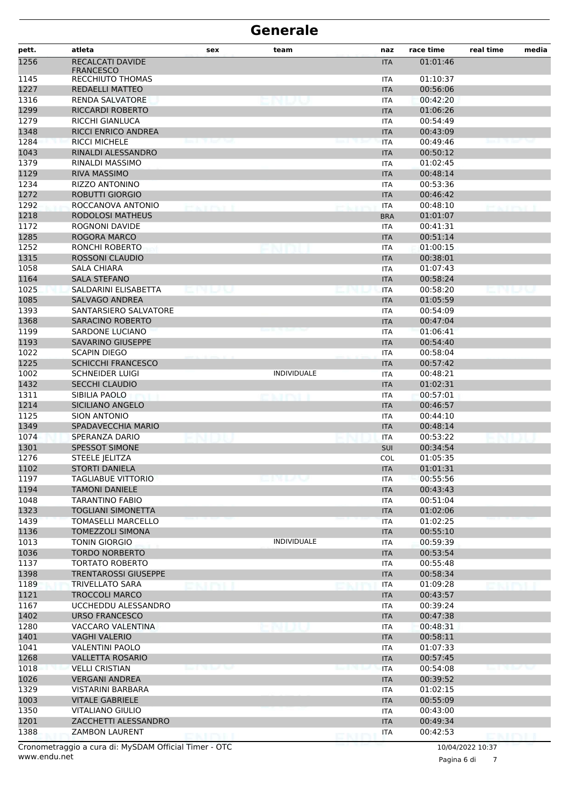| pett.        | atleta                               | sex     | team               | naz        | race time | real time       | media |
|--------------|--------------------------------------|---------|--------------------|------------|-----------|-----------------|-------|
| 1256         | RECALCATI DAVIDE<br><b>FRANCESCO</b> |         |                    | <b>ITA</b> | 01:01:46  |                 |       |
| 1145         | RECCHIUTO THOMAS                     |         |                    | ITA        | 01:10:37  |                 |       |
| 1227         | REDAELLI MATTEO                      |         |                    | <b>ITA</b> | 00:56:06  |                 |       |
| 1316         | RENDA SALVATORE                      |         |                    | <b>ITA</b> | 00:42:20  |                 |       |
| 1299         | RICCARDI ROBERTO                     |         |                    | <b>ITA</b> | 01:06:26  |                 |       |
| 1279         | RICCHI GIANLUCA                      |         |                    | ITA        | 00:54:49  |                 |       |
| 1348         | RICCI ENRICO ANDREA                  |         |                    | <b>ITA</b> | 00:43:09  |                 |       |
| 1284         | <b>RICCI MICHELE</b>                 |         |                    | <b>ITA</b> | 00:49:46  |                 |       |
| 1043         | RINALDI ALESSANDRO                   |         |                    | <b>ITA</b> | 00:50:12  |                 |       |
| 1379         | RINALDI MASSIMO                      |         |                    | ITA        | 01:02:45  |                 |       |
| 1129         | <b>RIVA MASSIMO</b>                  |         |                    | <b>ITA</b> | 00:48:14  |                 |       |
| 1234         | RIZZO ANTONINO                       |         |                    | ITA        | 00:53:36  |                 |       |
| 1272         | <b>ROBUTTI GIORGIO</b>               |         |                    | <b>ITA</b> | 00:46:42  |                 |       |
| 1292         | ROCCANOVA ANTONIO                    | manna i |                    | <b>ITA</b> | 00:48:10  | <b>PEACEPER</b> |       |
| 1218         | <b>RODOLOSI MATHEUS</b>              |         |                    | <b>BRA</b> | 01:01:07  |                 |       |
| 1172         | <b>ROGNONI DAVIDE</b>                |         |                    | ITA        | 00:41:31  |                 |       |
| 1285         | ROGORA MARCO                         |         |                    | <b>ITA</b> | 00:51:14  |                 |       |
| 1252         | RONCHI ROBERTO                       |         |                    | ITA        | 01:00:15  |                 |       |
| 1315         | <b>ROSSONI CLAUDIO</b>               |         |                    | <b>ITA</b> | 00:38:01  |                 |       |
| 1058         | SALA CHIARA                          |         |                    | <b>ITA</b> | 01:07:43  |                 |       |
| 1164         | <b>SALA STEFANO</b>                  |         |                    | <b>ITA</b> | 00:58:24  |                 |       |
| 1025         | SALDARINI ELISABETTA                 |         |                    | <b>ITA</b> | 00:58:20  |                 |       |
| 1085         | SALVAGO ANDREA                       |         |                    | <b>ITA</b> | 01:05:59  |                 |       |
| 1393         | SANTARSIERO SALVATORE                |         |                    | ITA        | 00:54:09  |                 |       |
| 1368         | <b>SARACINO ROBERTO</b>              |         |                    | <b>ITA</b> | 00:47:04  |                 |       |
| 1199         | SARDONE LUCIANO                      |         |                    |            | 01:06:41  |                 |       |
| 1193         | <b>SAVARINO GIUSEPPE</b>             |         |                    | <b>ITA</b> | 00:54:40  |                 |       |
|              | <b>SCAPIN DIEGO</b>                  |         |                    | <b>ITA</b> | 00:58:04  |                 |       |
| 1022<br>1225 | <b>SCHICCHI FRANCESCO</b>            |         |                    | <b>ITA</b> | 00:57:42  |                 |       |
|              |                                      |         | <b>INDIVIDUALE</b> | <b>ITA</b> |           |                 |       |
| 1002         | <b>SCHNEIDER LUIGI</b>               |         |                    | <b>ITA</b> | 00:48:21  |                 |       |
| 1432         | <b>SECCHI CLAUDIO</b>                |         |                    | <b>ITA</b> | 01:02:31  |                 |       |
| 1311         | SIBILIA PAOLO                        |         | na ten             | <b>ITA</b> | 00:57:01  |                 |       |
| 1214         | SICILIANO ANGELO                     |         |                    | <b>ITA</b> | 00:46:57  |                 |       |
| 1125         | <b>SION ANTONIO</b>                  |         |                    | ITA        | 00:44:10  |                 |       |
| 1349         | SPADAVECCHIA MARIO                   |         |                    | <b>ITA</b> | 00:48:14  |                 |       |
| 1074         | SPERANZA DARIO                       |         |                    | <b>ITA</b> | 00:53:22  |                 |       |
| 1301         | <b>SPESSOT SIMONE</b>                |         |                    | <b>SUI</b> | 00:34:54  |                 |       |
| 1276         | <b>STEELE JELITZA</b>                |         |                    | COL        | 01:05:35  |                 |       |
| 1102         | <b>STORTI DANIELA</b>                |         |                    | <b>ITA</b> | 01:01:31  |                 |       |
| 1197         | <b>TAGLIABUE VITTORIO</b>            |         |                    | ITA        | 00:55:56  |                 |       |
| 1194         | TAMONI DANIELE                       |         |                    | <b>ITA</b> | 00:43:43  |                 |       |
| 1048         | <b>TARANTINO FABIO</b>               |         |                    | ITA        | 00:51:04  |                 |       |
| 1323         | <b>TOGLIANI SIMONETTA</b>            |         |                    | <b>ITA</b> | 01:02:06  |                 |       |
| 1439         | <b>TOMASELLI MARCELLO</b>            |         |                    | <b>ITA</b> | 01:02:25  |                 |       |
| 1136         | <b>TOMEZZOLI SIMONA</b>              |         |                    | <b>ITA</b> | 00:55:10  |                 |       |
| 1013         | <b>TONIN GIORGIO</b>                 |         | <b>INDIVIDUALE</b> | <b>ITA</b> | 00:59:39  |                 |       |
| 1036         | <b>TORDO NORBERTO</b>                |         |                    | <b>ITA</b> | 00:53:54  |                 |       |
| 1137         | <b>TORTATO ROBERTO</b>               |         |                    | ITA        | 00:55:48  |                 |       |
| 1398         | <b>TRENTAROSSI GIUSEPPE</b>          |         |                    | <b>ITA</b> | 00:58:34  |                 |       |
| 1189         | <b>TRIVELLATO SARA</b>               |         |                    | ITA        | 01:09:28  |                 |       |
| 1121         | <b>TROCCOLI MARCO</b>                |         |                    | <b>ITA</b> | 00:43:57  |                 |       |
| 1167         | UCCHEDDU ALESSANDRO                  |         |                    | ITA        | 00:39:24  |                 |       |
| 1402         | <b>URSO FRANCESCO</b>                |         |                    | <b>ITA</b> | 00:47:38  |                 |       |
| 1280         | <b>VACCARO VALENTINA</b>             |         |                    | ITA        | 00:48:31  |                 |       |
| 1401         | <b>VAGHI VALERIO</b>                 |         |                    | <b>ITA</b> | 00:58:11  |                 |       |
| 1041         | <b>VALENTINI PAOLO</b>               |         |                    | <b>ITA</b> | 01:07:33  |                 |       |
| 1268         | <b>VALLETTA ROSARIO</b>              |         |                    | <b>ITA</b> | 00:57:45  |                 |       |
| 1018         | <b>VELLI CRISTIAN</b>                |         |                    | <b>ITA</b> | 00:54:08  |                 |       |
| 1026         | <b>VERGANI ANDREA</b>                |         |                    | <b>ITA</b> | 00:39:52  |                 |       |
| 1329         | <b>VISTARINI BARBARA</b>             |         |                    | ITA        | 01:02:15  |                 |       |
| 1003         | <b>VITALE GABRIELE</b>               |         |                    | <b>ITA</b> | 00:55:09  |                 |       |
| 1350         | <b>VITALIANO GIULIO</b>              |         |                    | ITA        | 00:43:00  |                 |       |
| 1201         | ZACCHETTI ALESSANDRO                 |         |                    | <b>ITA</b> | 00:49:34  |                 |       |
| 1388         | <b>ZAMBON LAURENT</b>                |         |                    | <b>ITA</b> | 00:42:53  |                 |       |
|              |                                      |         |                    |            |           |                 |       |

www.endu.net Cronometraggio a cura di: MySDAM Official Timer - OTC 10/04/2022 10:37

Pagina 6 di 7